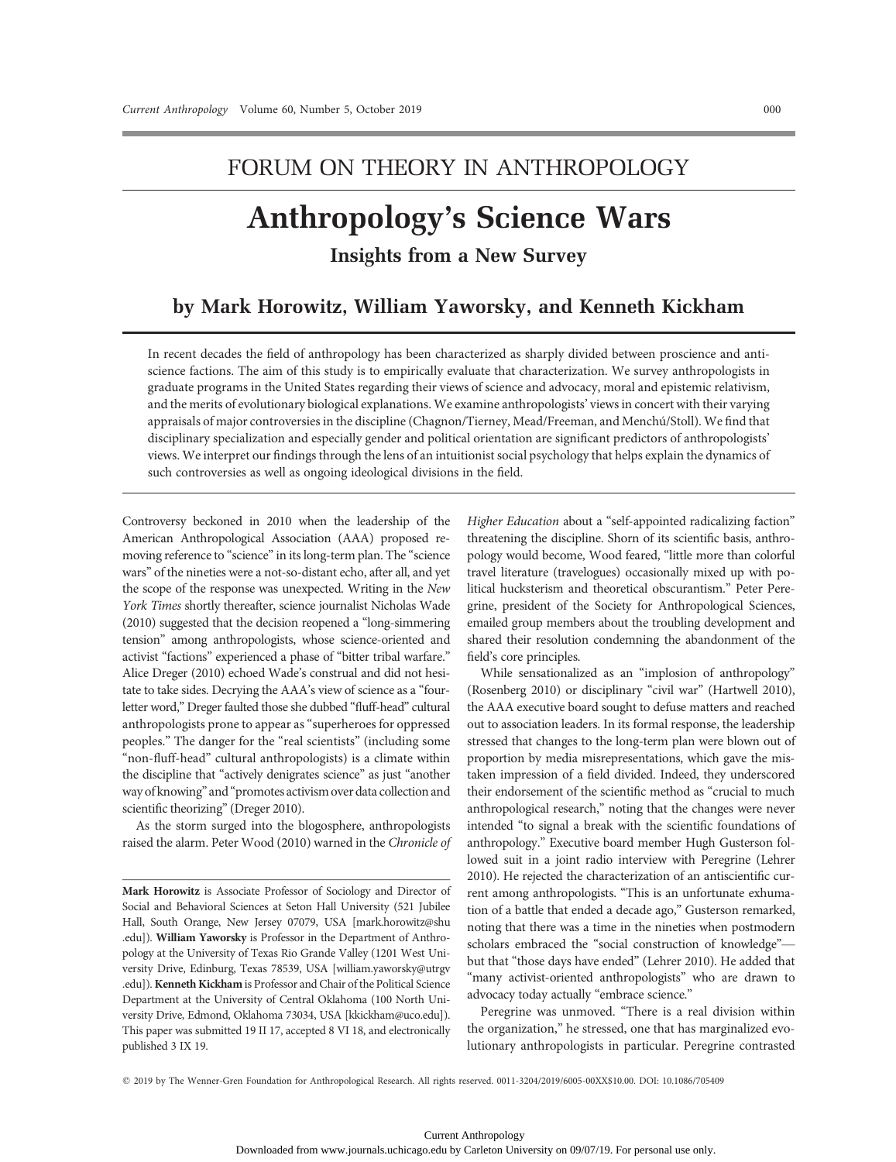# FORUM ON THEORY IN ANTHROPOLOGY

# Anthropology's Science Wars

Insights from a New Survey

# by Mark Horowitz, William Yaworsky, and Kenneth Kickham

In recent decades the field of anthropology has been characterized as sharply divided between proscience and antiscience factions. The aim of this study is to empirically evaluate that characterization. We survey anthropologists in graduate programs in the United States regarding their views of science and advocacy, moral and epistemic relativism, and the merits of evolutionary biological explanations. We examine anthropologists' views in concert with their varying appraisals of major controversies in the discipline (Chagnon/Tierney, Mead/Freeman, and Menchú/Stoll). We find that disciplinary specialization and especially gender and political orientation are significant predictors of anthropologists' views. We interpret our findings through the lens of an intuitionist social psychology that helps explain the dynamics of such controversies as well as ongoing ideological divisions in the field.

Controversy beckoned in 2010 when the leadership of the American Anthropological Association (AAA) proposed removing reference to "science"in its long-term plan. The "science wars" of the nineties were a not-so-distant echo, after all, and yet the scope of the response was unexpected. Writing in the New York Times shortly thereafter, science journalist Nicholas Wade (2010) suggested that the decision reopened a "long-simmering tension" among anthropologists, whose science-oriented and activist "factions" experienced a phase of "bitter tribal warfare." Alice Dreger (2010) echoed Wade's construal and did not hesitate to take sides. Decrying the AAA's view of science as a "fourletter word," Dreger faulted those she dubbed "fluff-head" cultural anthropologists prone to appear as"superheroes for oppressed peoples." The danger for the "real scientists" (including some "non-fluff-head" cultural anthropologists) is a climate within the discipline that "actively denigrates science" as just "another way of knowing" and "promotes activism over data collection and scientific theorizing"(Dreger 2010).

As the storm surged into the blogosphere, anthropologists raised the alarm. Peter Wood (2010) warned in the Chronicle of Higher Education about a "self-appointed radicalizing faction" threatening the discipline. Shorn of its scientific basis, anthropology would become, Wood feared, "little more than colorful travel literature (travelogues) occasionally mixed up with political hucksterism and theoretical obscurantism." Peter Peregrine, president of the Society for Anthropological Sciences, emailed group members about the troubling development and shared their resolution condemning the abandonment of the field's core principles.

While sensationalized as an "implosion of anthropology" (Rosenberg 2010) or disciplinary "civil war" (Hartwell 2010), the AAA executive board sought to defuse matters and reached out to association leaders. In its formal response, the leadership stressed that changes to the long-term plan were blown out of proportion by media misrepresentations, which gave the mistaken impression of a field divided. Indeed, they underscored their endorsement of the scientific method as "crucial to much anthropological research," noting that the changes were never intended "to signal a break with the scientific foundations of anthropology." Executive board member Hugh Gusterson followed suit in a joint radio interview with Peregrine (Lehrer 2010). He rejected the characterization of an antiscientific current among anthropologists. "This is an unfortunate exhumation of a battle that ended a decade ago," Gusterson remarked, noting that there was a time in the nineties when postmodern scholars embraced the "social construction of knowledge" but that "those days have ended" (Lehrer 2010). He added that "many activist-oriented anthropologists" who are drawn to advocacy today actually "embrace science."

Peregrine was unmoved. "There is a real division within the organization," he stressed, one that has marginalized evolutionary anthropologists in particular. Peregrine contrasted

q 2019 by The Wenner-Gren Foundation for Anthropological Research. All rights reserved. 0011-3204/2019/6005-00XX\$10.00. DOI: 10.1086/705409

Mark Horowitz is Associate Professor of Sociology and Director of Social and Behavioral Sciences at Seton Hall University (521 Jubilee Hall, South Orange, New Jersey 07079, USA [mark.horowitz@shu .edu]). William Yaworsky is Professor in the Department of Anthropology at the University of Texas Rio Grande Valley (1201 West University Drive, Edinburg, Texas 78539, USA [william.yaworsky@utrgv .edu]). Kenneth Kickham is Professor and Chair of the Political Science Department at the University of Central Oklahoma (100 North University Drive, Edmond, Oklahoma 73034, USA [kkickham@uco.edu]). This paper was submitted 19 II 17, accepted 8 VI 18, and electronically published 3 IX 19.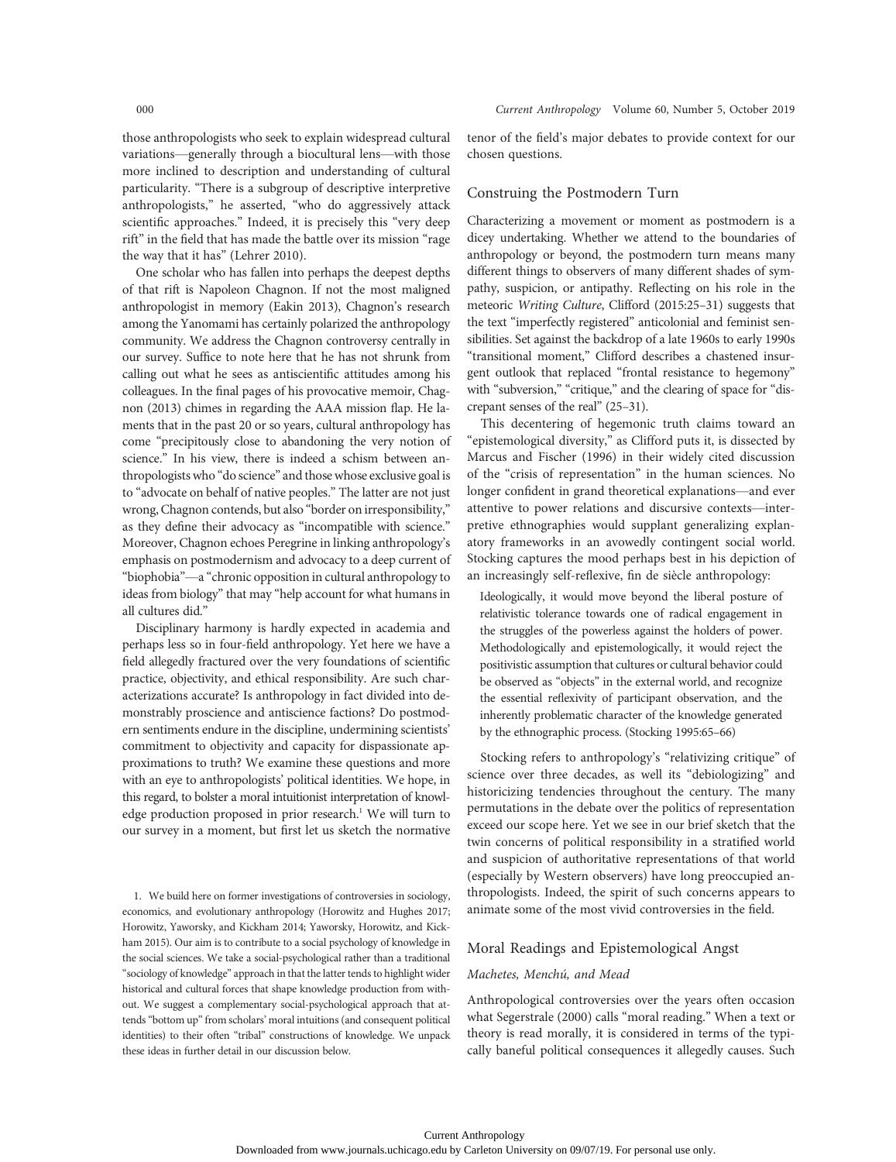those anthropologists who seek to explain widespread cultural variations—generally through a biocultural lens—with those more inclined to description and understanding of cultural particularity. "There is a subgroup of descriptive interpretive anthropologists," he asserted, "who do aggressively attack scientific approaches." Indeed, it is precisely this "very deep rift" in the field that has made the battle over its mission "rage the way that it has" (Lehrer 2010).

One scholar who has fallen into perhaps the deepest depths of that rift is Napoleon Chagnon. If not the most maligned anthropologist in memory (Eakin 2013), Chagnon's research among the Yanomami has certainly polarized the anthropology community. We address the Chagnon controversy centrally in our survey. Suffice to note here that he has not shrunk from calling out what he sees as antiscientific attitudes among his colleagues. In the final pages of his provocative memoir, Chagnon (2013) chimes in regarding the AAA mission flap. He laments that in the past 20 or so years, cultural anthropology has come "precipitously close to abandoning the very notion of science." In his view, there is indeed a schism between anthropologists who "do science" and those whose exclusive goal is to "advocate on behalf of native peoples." The latter are not just wrong, Chagnon contends, but also "border on irresponsibility," as they define their advocacy as "incompatible with science." Moreover, Chagnon echoes Peregrine in linking anthropology's emphasis on postmodernism and advocacy to a deep current of "biophobia"—a "chronic opposition in cultural anthropology to ideas from biology" that may "help account for what humans in all cultures did."

Disciplinary harmony is hardly expected in academia and perhaps less so in four-field anthropology. Yet here we have a field allegedly fractured over the very foundations of scientific practice, objectivity, and ethical responsibility. Are such characterizations accurate? Is anthropology in fact divided into demonstrably proscience and antiscience factions? Do postmodern sentiments endure in the discipline, undermining scientists' commitment to objectivity and capacity for dispassionate approximations to truth? We examine these questions and more with an eye to anthropologists' political identities. We hope, in this regard, to bolster a moral intuitionist interpretation of knowledge production proposed in prior research.<sup>1</sup> We will turn to our survey in a moment, but first let us sketch the normative

1. We build here on former investigations of controversies in sociology, economics, and evolutionary anthropology (Horowitz and Hughes 2017; Horowitz, Yaworsky, and Kickham 2014; Yaworsky, Horowitz, and Kickham 2015). Our aim is to contribute to a social psychology of knowledge in the social sciences. We take a social-psychological rather than a traditional "sociology of knowledge" approach in that the latter tends to highlight wider historical and cultural forces that shape knowledge production from without. We suggest a complementary social-psychological approach that attends"bottom up"from scholars' moral intuitions (and consequent political identities) to their often "tribal" constructions of knowledge. We unpack these ideas in further detail in our discussion below.

tenor of the field's major debates to provide context for our chosen questions.

# Construing the Postmodern Turn

Characterizing a movement or moment as postmodern is a dicey undertaking. Whether we attend to the boundaries of anthropology or beyond, the postmodern turn means many different things to observers of many different shades of sympathy, suspicion, or antipathy. Reflecting on his role in the meteoric Writing Culture, Clifford (2015:25–31) suggests that the text "imperfectly registered" anticolonial and feminist sensibilities. Set against the backdrop of a late 1960s to early 1990s "transitional moment," Clifford describes a chastened insurgent outlook that replaced "frontal resistance to hegemony" with "subversion," "critique," and the clearing of space for "discrepant senses of the real" (25–31).

This decentering of hegemonic truth claims toward an "epistemological diversity," as Clifford puts it, is dissected by Marcus and Fischer (1996) in their widely cited discussion of the "crisis of representation" in the human sciences. No longer confident in grand theoretical explanations—and ever attentive to power relations and discursive contexts—interpretive ethnographies would supplant generalizing explanatory frameworks in an avowedly contingent social world. Stocking captures the mood perhaps best in his depiction of an increasingly self-reflexive, fin de siècle anthropology:

Ideologically, it would move beyond the liberal posture of relativistic tolerance towards one of radical engagement in the struggles of the powerless against the holders of power. Methodologically and epistemologically, it would reject the positivistic assumption that cultures or cultural behavior could be observed as "objects" in the external world, and recognize the essential reflexivity of participant observation, and the inherently problematic character of the knowledge generated by the ethnographic process. (Stocking 1995:65–66)

Stocking refers to anthropology's "relativizing critique" of science over three decades, as well its "debiologizing" and historicizing tendencies throughout the century. The many permutations in the debate over the politics of representation exceed our scope here. Yet we see in our brief sketch that the twin concerns of political responsibility in a stratified world and suspicion of authoritative representations of that world (especially by Western observers) have long preoccupied anthropologists. Indeed, the spirit of such concerns appears to animate some of the most vivid controversies in the field.

# Moral Readings and Epistemological Angst

#### Machetes, Menchú, and Mead

Anthropological controversies over the years often occasion what Segerstrale (2000) calls "moral reading." When a text or theory is read morally, it is considered in terms of the typically baneful political consequences it allegedly causes. Such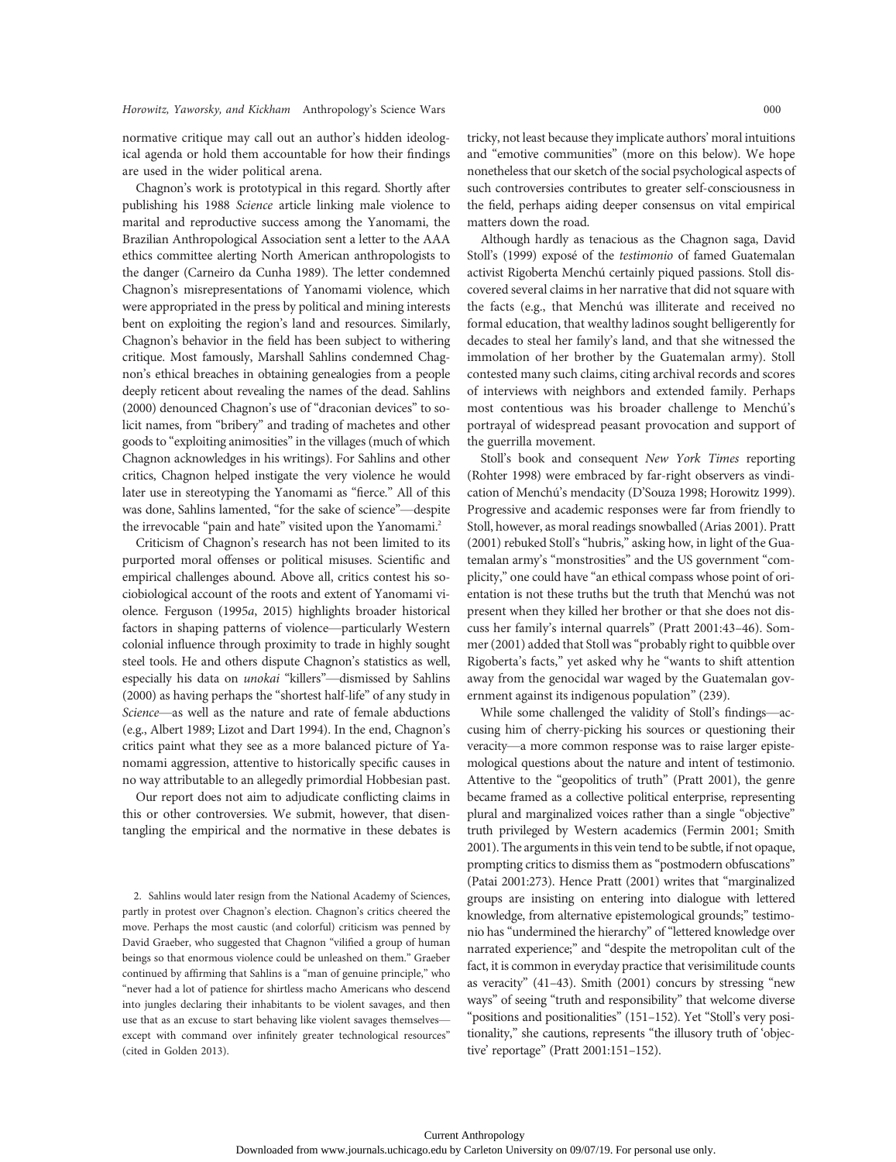normative critique may call out an author's hidden ideological agenda or hold them accountable for how their findings are used in the wider political arena.

Chagnon's work is prototypical in this regard. Shortly after publishing his 1988 Science article linking male violence to marital and reproductive success among the Yanomami, the Brazilian Anthropological Association sent a letter to the AAA ethics committee alerting North American anthropologists to the danger (Carneiro da Cunha 1989). The letter condemned Chagnon's misrepresentations of Yanomami violence, which were appropriated in the press by political and mining interests bent on exploiting the region's land and resources. Similarly, Chagnon's behavior in the field has been subject to withering critique. Most famously, Marshall Sahlins condemned Chagnon's ethical breaches in obtaining genealogies from a people deeply reticent about revealing the names of the dead. Sahlins (2000) denounced Chagnon's use of "draconian devices" to solicit names, from "bribery" and trading of machetes and other goods to "exploiting animosities" in the villages (much of which Chagnon acknowledges in his writings). For Sahlins and other critics, Chagnon helped instigate the very violence he would later use in stereotyping the Yanomami as "fierce." All of this was done, Sahlins lamented, "for the sake of science"—despite the irrevocable "pain and hate" visited upon the Yanomami.<sup>2</sup>

Criticism of Chagnon's research has not been limited to its purported moral offenses or political misuses. Scientific and empirical challenges abound. Above all, critics contest his sociobiological account of the roots and extent of Yanomami violence. Ferguson (1995a, 2015) highlights broader historical factors in shaping patterns of violence—particularly Western colonial influence through proximity to trade in highly sought steel tools. He and others dispute Chagnon's statistics as well, especially his data on *unokai* "killers"-dismissed by Sahlins (2000) as having perhaps the "shortest half-life" of any study in Science—as well as the nature and rate of female abductions (e.g., Albert 1989; Lizot and Dart 1994). In the end, Chagnon's critics paint what they see as a more balanced picture of Yanomami aggression, attentive to historically specific causes in no way attributable to an allegedly primordial Hobbesian past.

Our report does not aim to adjudicate conflicting claims in this or other controversies. We submit, however, that disentangling the empirical and the normative in these debates is

2. Sahlins would later resign from the National Academy of Sciences, partly in protest over Chagnon's election. Chagnon's critics cheered the move. Perhaps the most caustic (and colorful) criticism was penned by David Graeber, who suggested that Chagnon "vilified a group of human beings so that enormous violence could be unleashed on them." Graeber continued by affirming that Sahlins is a "man of genuine principle," who "never had a lot of patience for shirtless macho Americans who descend into jungles declaring their inhabitants to be violent savages, and then use that as an excuse to start behaving like violent savages themselves except with command over infinitely greater technological resources" (cited in Golden 2013).

tricky, not least because they implicate authors' moral intuitions and "emotive communities" (more on this below). We hope nonetheless that our sketch of the social psychological aspects of such controversies contributes to greater self-consciousness in the field, perhaps aiding deeper consensus on vital empirical matters down the road.

Although hardly as tenacious as the Chagnon saga, David Stoll's (1999) exposé of the testimonio of famed Guatemalan activist Rigoberta Menchú certainly piqued passions. Stoll discovered several claims in her narrative that did not square with the facts (e.g., that Menchú was illiterate and received no formal education, that wealthy ladinos sought belligerently for decades to steal her family's land, and that she witnessed the immolation of her brother by the Guatemalan army). Stoll contested many such claims, citing archival records and scores of interviews with neighbors and extended family. Perhaps most contentious was his broader challenge to Menchú's portrayal of widespread peasant provocation and support of the guerrilla movement.

Stoll's book and consequent New York Times reporting (Rohter 1998) were embraced by far-right observers as vindication of Menchú's mendacity (D'Souza 1998; Horowitz 1999). Progressive and academic responses were far from friendly to Stoll, however, as moral readings snowballed (Arias 2001). Pratt (2001) rebuked Stoll's "hubris," asking how, in light of the Guatemalan army's "monstrosities" and the US government "complicity," one could have "an ethical compass whose point of orientation is not these truths but the truth that Menchú was not present when they killed her brother or that she does not discuss her family's internal quarrels" (Pratt 2001:43–46). Sommer (2001) added that Stoll was"probably right to quibble over Rigoberta's facts," yet asked why he "wants to shift attention away from the genocidal war waged by the Guatemalan government against its indigenous population" (239).

While some challenged the validity of Stoll's findings—accusing him of cherry-picking his sources or questioning their veracity—a more common response was to raise larger epistemological questions about the nature and intent of testimonio. Attentive to the "geopolitics of truth" (Pratt 2001), the genre became framed as a collective political enterprise, representing plural and marginalized voices rather than a single "objective" truth privileged by Western academics (Fermin 2001; Smith 2001). The arguments in this vein tend to be subtle, if not opaque, prompting critics to dismiss them as"postmodern obfuscations" (Patai 2001:273). Hence Pratt (2001) writes that "marginalized groups are insisting on entering into dialogue with lettered knowledge, from alternative epistemological grounds;" testimonio has "undermined the hierarchy" of "lettered knowledge over narrated experience;" and "despite the metropolitan cult of the fact, it is common in everyday practice that verisimilitude counts as veracity" (41–43). Smith (2001) concurs by stressing "new ways" of seeing "truth and responsibility" that welcome diverse "positions and positionalities" (151–152). Yet "Stoll's very positionality," she cautions, represents "the illusory truth of 'objective' reportage" (Pratt 2001:151–152).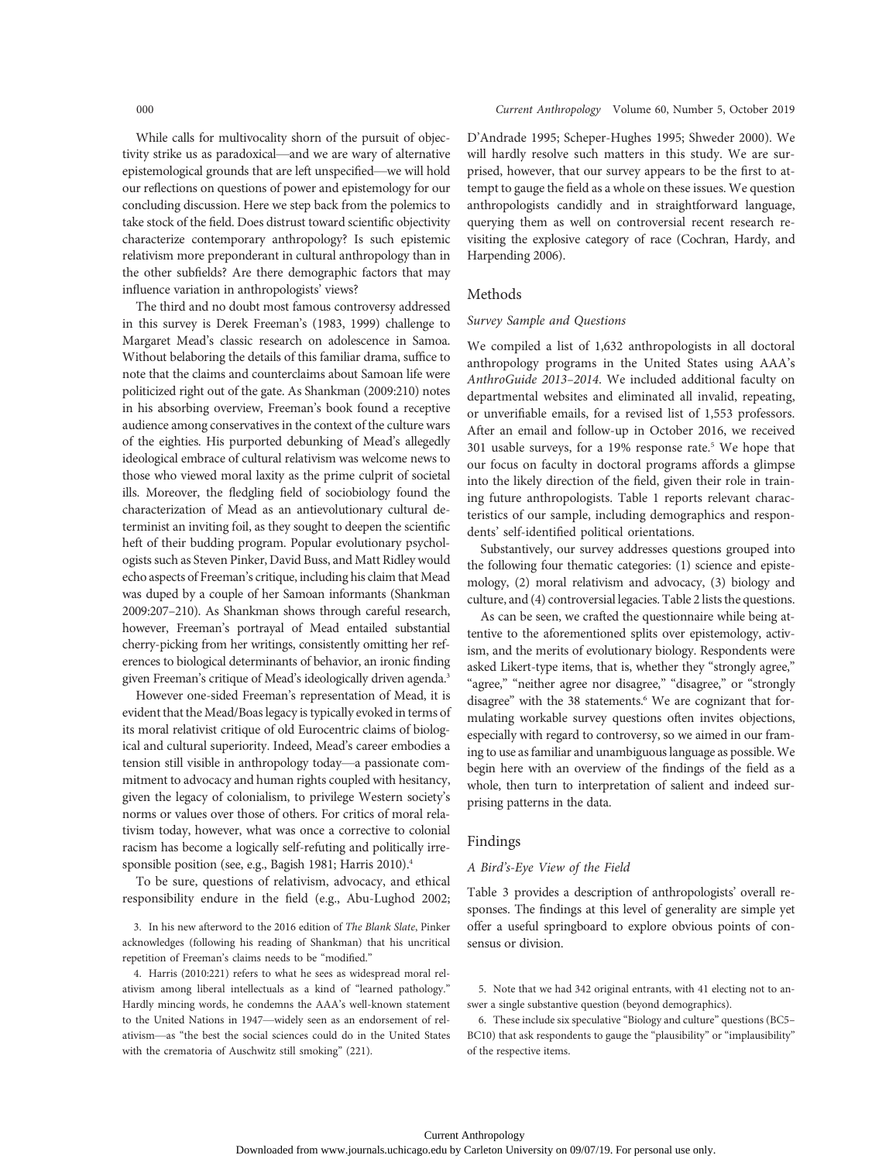While calls for multivocality shorn of the pursuit of objectivity strike us as paradoxical—and we are wary of alternative epistemological grounds that are left unspecified—we will hold our reflections on questions of power and epistemology for our concluding discussion. Here we step back from the polemics to take stock of the field. Does distrust toward scientific objectivity characterize contemporary anthropology? Is such epistemic relativism more preponderant in cultural anthropology than in the other subfields? Are there demographic factors that may influence variation in anthropologists' views?

The third and no doubt most famous controversy addressed in this survey is Derek Freeman's (1983, 1999) challenge to Margaret Mead's classic research on adolescence in Samoa. Without belaboring the details of this familiar drama, suffice to note that the claims and counterclaims about Samoan life were politicized right out of the gate. As Shankman (2009:210) notes in his absorbing overview, Freeman's book found a receptive audience among conservatives in the context of the culture wars of the eighties. His purported debunking of Mead's allegedly ideological embrace of cultural relativism was welcome news to those who viewed moral laxity as the prime culprit of societal ills. Moreover, the fledgling field of sociobiology found the characterization of Mead as an antievolutionary cultural determinist an inviting foil, as they sought to deepen the scientific heft of their budding program. Popular evolutionary psychologists such as Steven Pinker, David Buss, and Matt Ridley would echo aspects of Freeman's critique, including his claim that Mead was duped by a couple of her Samoan informants (Shankman 2009:207–210). As Shankman shows through careful research, however, Freeman's portrayal of Mead entailed substantial cherry-picking from her writings, consistently omitting her references to biological determinants of behavior, an ironic finding given Freeman's critique of Mead's ideologically driven agenda.<sup>3</sup>

However one-sided Freeman's representation of Mead, it is evident that the Mead/Boas legacy is typically evoked in terms of its moral relativist critique of old Eurocentric claims of biological and cultural superiority. Indeed, Mead's career embodies a tension still visible in anthropology today—a passionate commitment to advocacy and human rights coupled with hesitancy, given the legacy of colonialism, to privilege Western society's norms or values over those of others. For critics of moral relativism today, however, what was once a corrective to colonial racism has become a logically self-refuting and politically irresponsible position (see, e.g., Bagish 1981; Harris 2010).<sup>4</sup>

To be sure, questions of relativism, advocacy, and ethical responsibility endure in the field (e.g., Abu-Lughod 2002;

3. In his new afterword to the 2016 edition of The Blank Slate, Pinker acknowledges (following his reading of Shankman) that his uncritical repetition of Freeman's claims needs to be "modified."

4. Harris (2010:221) refers to what he sees as widespread moral relativism among liberal intellectuals as a kind of "learned pathology." Hardly mincing words, he condemns the AAA's well-known statement to the United Nations in 1947—widely seen as an endorsement of relativism—as "the best the social sciences could do in the United States with the crematoria of Auschwitz still smoking" (221).

D'Andrade 1995; Scheper-Hughes 1995; Shweder 2000). We will hardly resolve such matters in this study. We are surprised, however, that our survey appears to be the first to attempt to gauge the field as a whole on these issues. We question anthropologists candidly and in straightforward language, querying them as well on controversial recent research revisiting the explosive category of race (Cochran, Hardy, and Harpending 2006).

# Methods

# Survey Sample and Questions

We compiled a list of 1,632 anthropologists in all doctoral anthropology programs in the United States using AAA's AnthroGuide 2013–2014. We included additional faculty on departmental websites and eliminated all invalid, repeating, or unverifiable emails, for a revised list of 1,553 professors. After an email and follow-up in October 2016, we received 301 usable surveys, for a 19% response rate.5 We hope that our focus on faculty in doctoral programs affords a glimpse into the likely direction of the field, given their role in training future anthropologists. Table 1 reports relevant characteristics of our sample, including demographics and respondents' self-identified political orientations.

Substantively, our survey addresses questions grouped into the following four thematic categories: (1) science and epistemology, (2) moral relativism and advocacy, (3) biology and culture, and (4) controversial legacies. Table 2 lists the questions.

As can be seen, we crafted the questionnaire while being attentive to the aforementioned splits over epistemology, activism, and the merits of evolutionary biology. Respondents were asked Likert-type items, that is, whether they "strongly agree," "agree," "neither agree nor disagree," "disagree," or "strongly disagree" with the 38 statements.<sup>6</sup> We are cognizant that formulating workable survey questions often invites objections, especially with regard to controversy, so we aimed in our framing to use as familiar and unambiguous language as possible.We begin here with an overview of the findings of the field as a whole, then turn to interpretation of salient and indeed surprising patterns in the data.

# Findings

### A Bird's-Eye View of the Field

Table 3 provides a description of anthropologists' overall responses. The findings at this level of generality are simple yet offer a useful springboard to explore obvious points of consensus or division.

5. Note that we had 342 original entrants, with 41 electing not to answer a single substantive question (beyond demographics).

6. These include six speculative "Biology and culture" questions (BC5– BC10) that ask respondents to gauge the "plausibility" or "implausibility" of the respective items.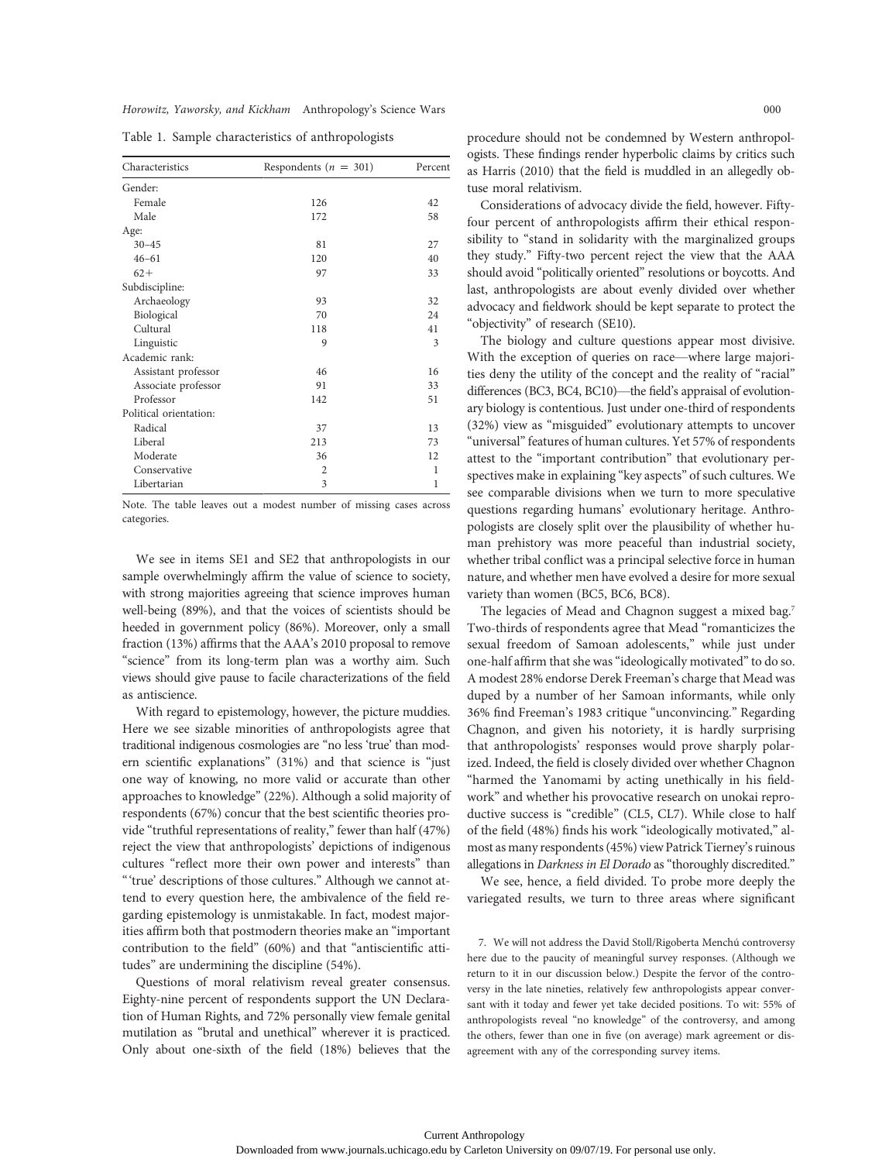| Characteristics        | Respondents ( $n = 301$ ) | Percent |
|------------------------|---------------------------|---------|
| Gender:                |                           |         |
| Female                 | 126                       | 42      |
| Male                   | 172                       | 58      |
| Age:                   |                           |         |
| $30 - 45$              | 81                        | 27      |
| $46 - 61$              | 120                       | 40      |
| $62+$                  | 97                        | 33      |
| Subdiscipline:         |                           |         |
| Archaeology            | 93                        | 32      |
| Biological             | 70                        | 24      |
| Cultural               | 118                       | 41      |
| Linguistic             | 9                         | 3       |
| Academic rank:         |                           |         |
| Assistant professor    | 46                        | 16      |
| Associate professor    | 91                        | 33      |
| Professor              | 142                       | 51      |
| Political orientation: |                           |         |
| Radical                | 37                        | 13      |
| Liberal                | 213                       | 73      |
| Moderate               | 36                        | 12      |
| Conservative           | $\overline{2}$            | 1       |
| Libertarian            | 3                         | 1       |

Table 1. Sample characteristics of anthropologists

Note. The table leaves out a modest number of missing cases across categories.

We see in items SE1 and SE2 that anthropologists in our sample overwhelmingly affirm the value of science to society, with strong majorities agreeing that science improves human well-being (89%), and that the voices of scientists should be heeded in government policy (86%). Moreover, only a small fraction (13%) affirms that the AAA's 2010 proposal to remove "science" from its long-term plan was a worthy aim. Such views should give pause to facile characterizations of the field as antiscience.

With regard to epistemology, however, the picture muddies. Here we see sizable minorities of anthropologists agree that traditional indigenous cosmologies are "no less 'true' than modern scientific explanations" (31%) and that science is "just one way of knowing, no more valid or accurate than other approaches to knowledge" (22%). Although a solid majority of respondents (67%) concur that the best scientific theories provide "truthful representations of reality," fewer than half (47%) reject the view that anthropologists' depictions of indigenous cultures "reflect more their own power and interests" than "'true' descriptions of those cultures." Although we cannot attend to every question here, the ambivalence of the field regarding epistemology is unmistakable. In fact, modest majorities affirm both that postmodern theories make an "important contribution to the field" (60%) and that "antiscientific attitudes" are undermining the discipline (54%).

Questions of moral relativism reveal greater consensus. Eighty-nine percent of respondents support the UN Declaration of Human Rights, and 72% personally view female genital mutilation as "brutal and unethical" wherever it is practiced. Only about one-sixth of the field (18%) believes that the procedure should not be condemned by Western anthropologists. These findings render hyperbolic claims by critics such as Harris (2010) that the field is muddled in an allegedly obtuse moral relativism.

Considerations of advocacy divide the field, however. Fiftyfour percent of anthropologists affirm their ethical responsibility to "stand in solidarity with the marginalized groups they study." Fifty-two percent reject the view that the AAA should avoid "politically oriented" resolutions or boycotts. And last, anthropologists are about evenly divided over whether advocacy and fieldwork should be kept separate to protect the "objectivity" of research (SE10).

The biology and culture questions appear most divisive. With the exception of queries on race—where large majorities deny the utility of the concept and the reality of "racial" differences (BC3, BC4, BC10)—the field's appraisal of evolutionary biology is contentious. Just under one-third of respondents (32%) view as "misguided" evolutionary attempts to uncover "universal" features of human cultures. Yet 57% of respondents attest to the "important contribution" that evolutionary perspectives make in explaining "key aspects" of such cultures. We see comparable divisions when we turn to more speculative questions regarding humans' evolutionary heritage. Anthropologists are closely split over the plausibility of whether human prehistory was more peaceful than industrial society, whether tribal conflict was a principal selective force in human nature, and whether men have evolved a desire for more sexual variety than women (BC5, BC6, BC8).

The legacies of Mead and Chagnon suggest a mixed bag.<sup>7</sup> Two-thirds of respondents agree that Mead "romanticizes the sexual freedom of Samoan adolescents," while just under one-half affirm that she was "ideologically motivated" to do so. A modest 28% endorse Derek Freeman's charge that Mead was duped by a number of her Samoan informants, while only 36% find Freeman's 1983 critique "unconvincing." Regarding Chagnon, and given his notoriety, it is hardly surprising that anthropologists' responses would prove sharply polarized. Indeed, the field is closely divided over whether Chagnon "harmed the Yanomami by acting unethically in his fieldwork" and whether his provocative research on unokai reproductive success is "credible" (CL5, CL7). While close to half of the field (48%) finds his work "ideologically motivated," almost as many respondents (45%) view Patrick Tierney's ruinous allegations in Darkness in El Dorado as "thoroughly discredited."

We see, hence, a field divided. To probe more deeply the variegated results, we turn to three areas where significant

7. We will not address the David Stoll/Rigoberta Menchú controversy here due to the paucity of meaningful survey responses. (Although we return to it in our discussion below.) Despite the fervor of the controversy in the late nineties, relatively few anthropologists appear conversant with it today and fewer yet take decided positions. To wit: 55% of anthropologists reveal "no knowledge" of the controversy, and among the others, fewer than one in five (on average) mark agreement or disagreement with any of the corresponding survey items.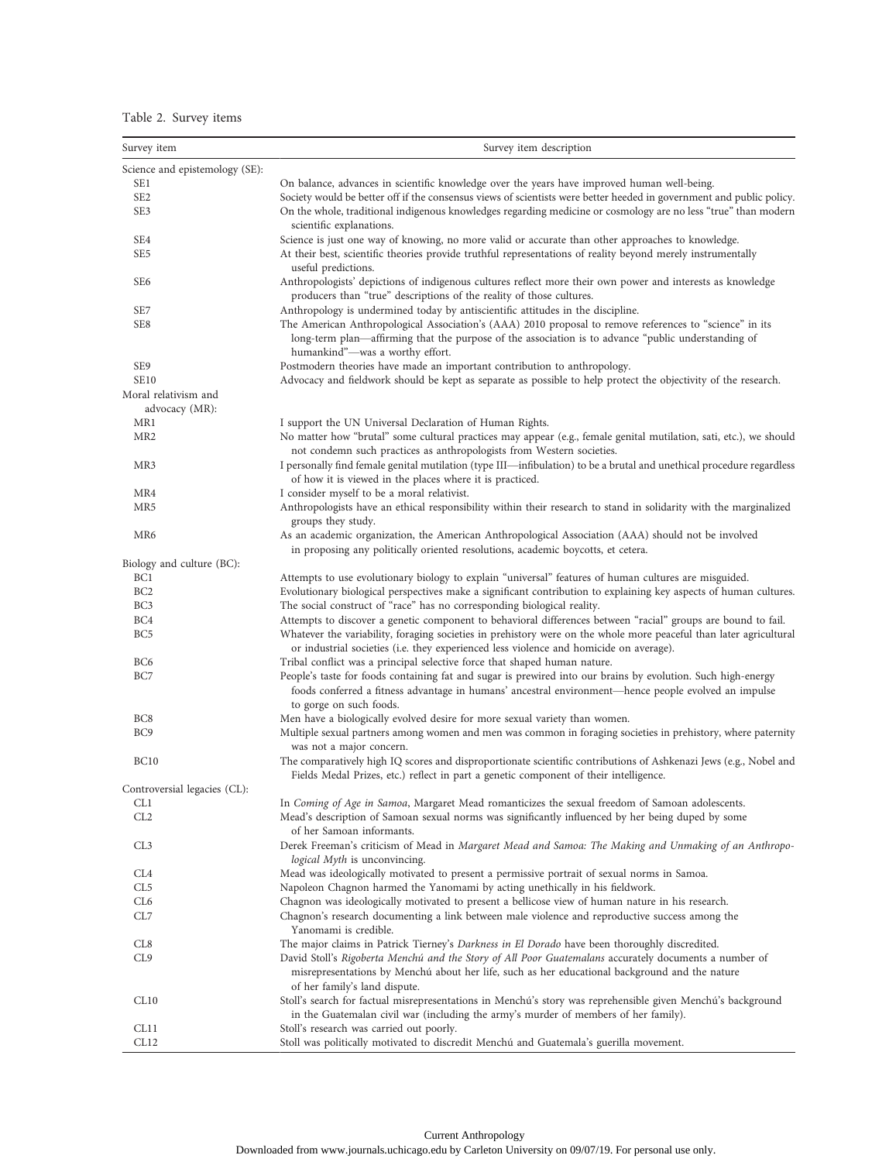# Table 2. Survey items

| Survey item                            | Survey item description                                                                                                                                                                                                                           |
|----------------------------------------|---------------------------------------------------------------------------------------------------------------------------------------------------------------------------------------------------------------------------------------------------|
| Science and epistemology (SE):         |                                                                                                                                                                                                                                                   |
| SE <sub>1</sub>                        | On balance, advances in scientific knowledge over the years have improved human well-being.                                                                                                                                                       |
| SE <sub>2</sub>                        | Society would be better off if the consensus views of scientists were better heeded in government and public policy.                                                                                                                              |
| SE <sub>3</sub>                        | On the whole, traditional indigenous knowledges regarding medicine or cosmology are no less "true" than modern                                                                                                                                    |
|                                        | scientific explanations.                                                                                                                                                                                                                          |
| SE4                                    | Science is just one way of knowing, no more valid or accurate than other approaches to knowledge.                                                                                                                                                 |
| SE <sub>5</sub>                        | At their best, scientific theories provide truthful representations of reality beyond merely instrumentally<br>useful predictions.                                                                                                                |
| SE <sub>6</sub>                        | Anthropologists' depictions of indigenous cultures reflect more their own power and interests as knowledge<br>producers than "true" descriptions of the reality of those cultures.                                                                |
| SE7                                    | Anthropology is undermined today by antiscientific attitudes in the discipline.                                                                                                                                                                   |
| SE8                                    | The American Anthropological Association's (AAA) 2010 proposal to remove references to "science" in its<br>long-term plan—affirming that the purpose of the association is to advance "public understanding of<br>humankind"-was a worthy effort. |
| SE9                                    | Postmodern theories have made an important contribution to anthropology.                                                                                                                                                                          |
| <b>SE10</b>                            | Advocacy and fieldwork should be kept as separate as possible to help protect the objectivity of the research.                                                                                                                                    |
| Moral relativism and<br>advocacy (MR): |                                                                                                                                                                                                                                                   |
| MR1                                    | I support the UN Universal Declaration of Human Rights.                                                                                                                                                                                           |
| MR <sub>2</sub>                        | No matter how "brutal" some cultural practices may appear (e.g., female genital mutilation, sati, etc.), we should<br>not condemn such practices as anthropologists from Western societies.                                                       |
| MR3                                    | I personally find female genital mutilation (type III—infibulation) to be a brutal and unethical procedure regardless<br>of how it is viewed in the places where it is practiced.                                                                 |
| MR4                                    | I consider myself to be a moral relativist.                                                                                                                                                                                                       |
| MR5                                    | Anthropologists have an ethical responsibility within their research to stand in solidarity with the marginalized<br>groups they study.                                                                                                           |
| MR6                                    | As an academic organization, the American Anthropological Association (AAA) should not be involved<br>in proposing any politically oriented resolutions, academic boycotts, et cetera.                                                            |
| Biology and culture (BC):              |                                                                                                                                                                                                                                                   |
| BC <sub>1</sub>                        | Attempts to use evolutionary biology to explain "universal" features of human cultures are misguided.                                                                                                                                             |
| BC <sub>2</sub>                        | Evolutionary biological perspectives make a significant contribution to explaining key aspects of human cultures.                                                                                                                                 |
| BC <sub>3</sub>                        | The social construct of "race" has no corresponding biological reality.                                                                                                                                                                           |
| BC4                                    | Attempts to discover a genetic component to behavioral differences between "racial" groups are bound to fail.                                                                                                                                     |
| BC <sub>5</sub>                        | Whatever the variability, foraging societies in prehistory were on the whole more peaceful than later agricultural<br>or industrial societies (i.e. they experienced less violence and homicide on average).                                      |
| BC <sub>6</sub>                        | Tribal conflict was a principal selective force that shaped human nature.                                                                                                                                                                         |
| BC7                                    | People's taste for foods containing fat and sugar is prewired into our brains by evolution. Such high-energy<br>foods conferred a fitness advantage in humans' ancestral environment—hence people evolved an impulse<br>to gorge on such foods.   |
| BC <sub>8</sub>                        | Men have a biologically evolved desire for more sexual variety than women.                                                                                                                                                                        |
| BC <sub>9</sub>                        | Multiple sexual partners among women and men was common in foraging societies in prehistory, where paternity<br>was not a major concern.                                                                                                          |
| <b>BC10</b>                            | The comparatively high IQ scores and disproportionate scientific contributions of Ashkenazi Jews (e.g., Nobel and<br>Fields Medal Prizes, etc.) reflect in part a genetic component of their intelligence.                                        |
| Controversial legacies (CL):           |                                                                                                                                                                                                                                                   |
| CL1                                    | In Coming of Age in Samoa, Margaret Mead romanticizes the sexual freedom of Samoan adolescents.                                                                                                                                                   |
| CL <sub>2</sub>                        | Mead's description of Samoan sexual norms was significantly influenced by her being duped by some<br>of her Samoan informants.                                                                                                                    |
| CL3                                    | Derek Freeman's criticism of Mead in Margaret Mead and Samoa: The Making and Unmaking of an Anthropo-<br>logical Myth is unconvincing.                                                                                                            |
| CL <sub>4</sub>                        | Mead was ideologically motivated to present a permissive portrait of sexual norms in Samoa.                                                                                                                                                       |
| CL5                                    | Napoleon Chagnon harmed the Yanomami by acting unethically in his fieldwork.                                                                                                                                                                      |
| CL6                                    | Chagnon was ideologically motivated to present a bellicose view of human nature in his research.                                                                                                                                                  |
| CL7                                    | Chagnon's research documenting a link between male violence and reproductive success among the<br>Yanomami is credible.                                                                                                                           |
| CL8                                    | The major claims in Patrick Tierney's Darkness in El Dorado have been thoroughly discredited.                                                                                                                                                     |
| CL9                                    | David Stoll's Rigoberta Menchú and the Story of All Poor Guatemalans accurately documents a number of<br>misrepresentations by Menchú about her life, such as her educational background and the nature                                           |
|                                        | of her family's land dispute.                                                                                                                                                                                                                     |
| CL10                                   | Stoll's search for factual misrepresentations in Menchú's story was reprehensible given Menchú's background<br>in the Guatemalan civil war (including the army's murder of members of her family).                                                |
| CL11                                   | Stoll's research was carried out poorly.                                                                                                                                                                                                          |
| CL12                                   | Stoll was politically motivated to discredit Menchú and Guatemala's guerilla movement.                                                                                                                                                            |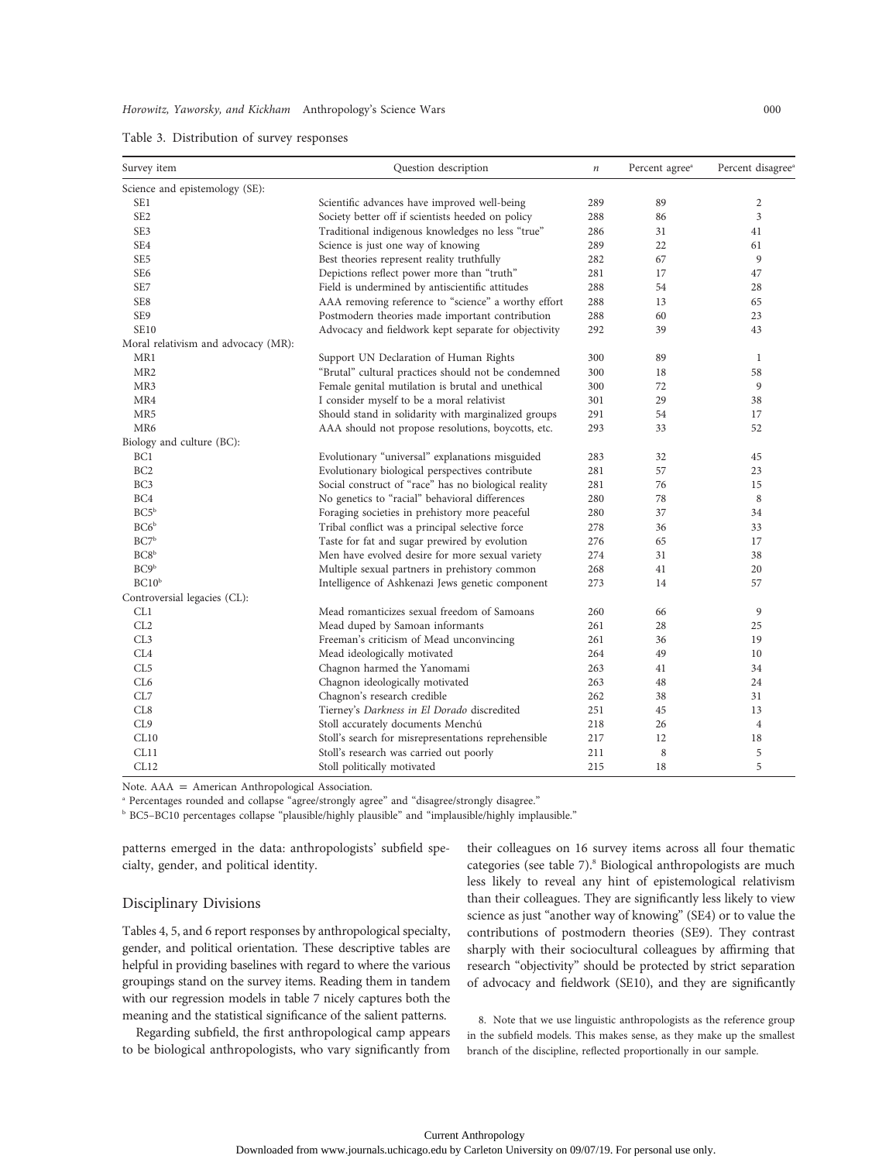| Survey item                         | Question description                                 | $\it n$ | Percent agree <sup>a</sup> | Percent disagree <sup>®</sup> |
|-------------------------------------|------------------------------------------------------|---------|----------------------------|-------------------------------|
| Science and epistemology (SE):      |                                                      |         |                            |                               |
| SE1                                 | Scientific advances have improved well-being         | 289     | 89                         | $\boldsymbol{2}$              |
| SE <sub>2</sub>                     | Society better off if scientists heeded on policy    | 288     | 86                         | 3                             |
| SE <sub>3</sub>                     | Traditional indigenous knowledges no less "true"     | 286     | 31                         | 41                            |
| SE4                                 | Science is just one way of knowing                   | 289     | 22                         | 61                            |
| SE <sub>5</sub>                     | Best theories represent reality truthfully           | 282     | 67                         | 9                             |
| SE <sub>6</sub>                     | Depictions reflect power more than "truth"           | 281     | 17                         | 47                            |
| SE7                                 | Field is undermined by antiscientific attitudes      | 288     | 54                         | 28                            |
| SE8                                 | AAA removing reference to "science" a worthy effort  | 288     | 13                         | 65                            |
| SE9                                 | Postmodern theories made important contribution      | 288     | 60                         | 23                            |
| <b>SE10</b>                         | Advocacy and fieldwork kept separate for objectivity | 292     | 39                         | 43                            |
| Moral relativism and advocacy (MR): |                                                      |         |                            |                               |
| MR1                                 | Support UN Declaration of Human Rights               | 300     | 89                         | 1                             |
| MR <sub>2</sub>                     | "Brutal" cultural practices should not be condemned  | 300     | 18                         | 58                            |
| MR3                                 | Female genital mutilation is brutal and unethical    | 300     | 72                         | 9                             |
| MR4                                 | I consider myself to be a moral relativist           | 301     | 29                         | 38                            |
| MR5                                 | Should stand in solidarity with marginalized groups  | 291     | 54                         | 17                            |
| MR6                                 | AAA should not propose resolutions, boycotts, etc.   | 293     | 33                         | 52                            |
| Biology and culture (BC):           |                                                      |         |                            |                               |
| BC1                                 | Evolutionary "universal" explanations misguided      | 283     | 32                         | 45                            |
| BC <sub>2</sub>                     | Evolutionary biological perspectives contribute      | 281     | 57                         | 23                            |
| BC <sub>3</sub>                     | Social construct of "race" has no biological reality | 281     | 76                         | 15                            |
| BC4                                 | No genetics to "racial" behavioral differences       | 280     | 78                         | 8                             |
| BC5 <sup>b</sup>                    | Foraging societies in prehistory more peaceful       | 280     | 37                         | 34                            |
| BC6 <sup>b</sup>                    | Tribal conflict was a principal selective force      | 278     | 36                         | 33                            |
| BC7 <sup>b</sup>                    | Taste for fat and sugar prewired by evolution        | 276     | 65                         | 17                            |
| BC8 <sup>b</sup>                    | Men have evolved desire for more sexual variety      | 274     | 31                         | 38                            |
| BC9 <sup>b</sup>                    | Multiple sexual partners in prehistory common        | 268     | 41                         | 20                            |
| BC10 <sup>b</sup>                   | Intelligence of Ashkenazi Jews genetic component     | 273     | 14                         | 57                            |
| Controversial legacies (CL):        |                                                      |         |                            |                               |
| CL1                                 | Mead romanticizes sexual freedom of Samoans          | 260     | 66                         | 9                             |
| CL <sub>2</sub>                     | Mead duped by Samoan informants                      | 261     | 28                         | 25                            |
| CL3                                 | Freeman's criticism of Mead unconvincing             | 261     | 36                         | 19                            |
| CL4                                 | Mead ideologically motivated                         | 264     | 49                         | 10                            |
| CL <sub>5</sub>                     | Chagnon harmed the Yanomami                          | 263     | 41                         | 34                            |
| CL6                                 | Chagnon ideologically motivated                      | 263     | 48                         | 24                            |
| CL7                                 | Chagnon's research credible                          | 262     | 38                         | 31                            |
| CL8                                 | Tierney's Darkness in El Dorado discredited          | 251     | 45                         | 13                            |
| CL9                                 | Stoll accurately documents Menchú                    | 218     | 26                         | $\overline{4}$                |
| CL10                                | Stoll's search for misrepresentations reprehensible  | 217     | 12                         | 18                            |
| CL11                                | Stoll's research was carried out poorly              | 211     | 8                          | 5                             |
| CL12                                | Stoll politically motivated                          | 215     | 18                         | 5                             |

Note.  $AAA = American Anthropological Association.$ 

<sup>a</sup> Percentages rounded and collapse "agree/strongly agree" and "disagree/strongly disagree."

**b BC5–BC10 percentages collapse "plausible/highly plausible" and "implausible/highly implausible."** 

patterns emerged in the data: anthropologists' subfield specialty, gender, and political identity.

# Disciplinary Divisions

Tables 4, 5, and 6 report responses by anthropological specialty, gender, and political orientation. These descriptive tables are helpful in providing baselines with regard to where the various groupings stand on the survey items. Reading them in tandem with our regression models in table 7 nicely captures both the meaning and the statistical significance of the salient patterns.

Regarding subfield, the first anthropological camp appears to be biological anthropologists, who vary significantly from their colleagues on 16 survey items across all four thematic categories (see table 7).<sup>8</sup> Biological anthropologists are much less likely to reveal any hint of epistemological relativism than their colleagues. They are significantly less likely to view science as just "another way of knowing" (SE4) or to value the contributions of postmodern theories (SE9). They contrast sharply with their sociocultural colleagues by affirming that research "objectivity" should be protected by strict separation of advocacy and fieldwork (SE10), and they are significantly

8. Note that we use linguistic anthropologists as the reference group in the subfield models. This makes sense, as they make up the smallest branch of the discipline, reflected proportionally in our sample.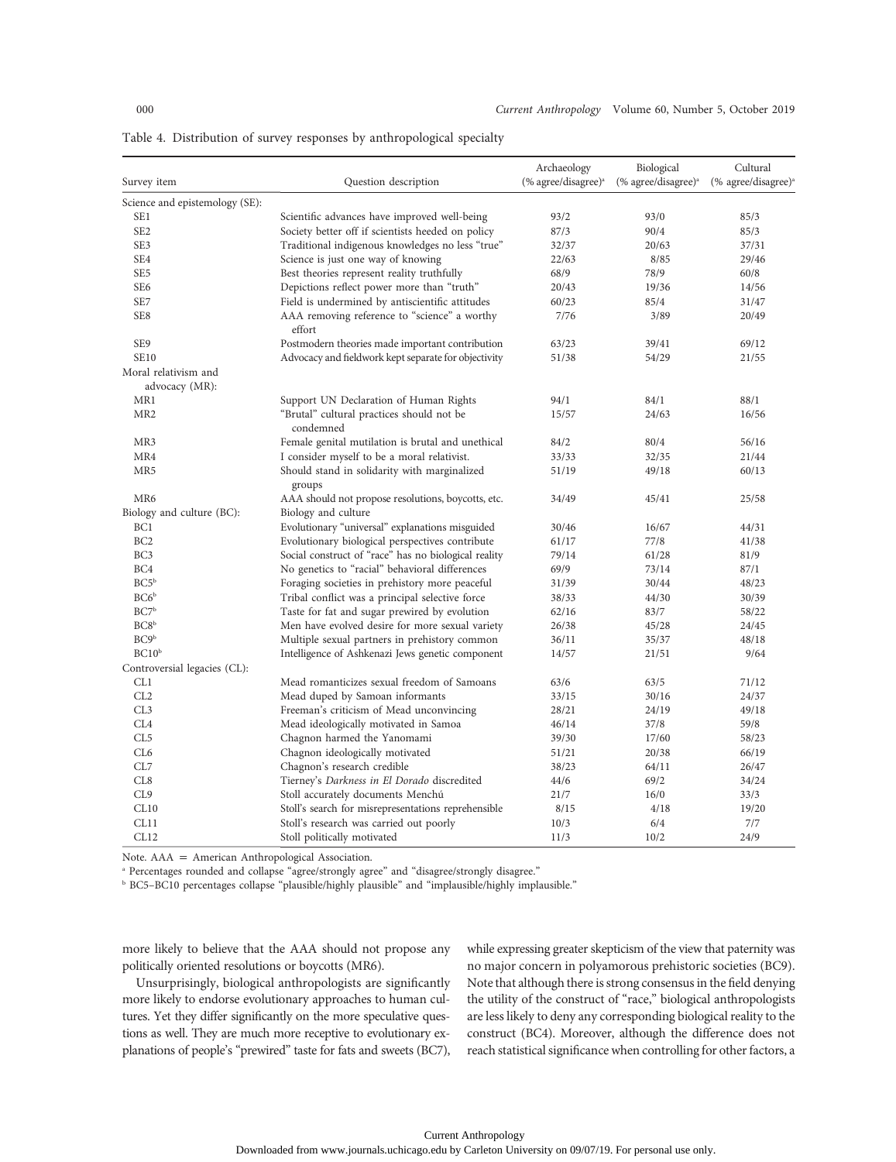| Survey item                    | Question description                                           | Archaeology<br>$(% \mathcal{L}_{0})$ (% agree/disagree) <sup>a</sup> | Biological<br>$(% \mathcal{L}_{0})$ (% agree/disagree) <sup>a</sup> | Cultural<br>$(\%$ agree/disagree) <sup>a</sup> |
|--------------------------------|----------------------------------------------------------------|----------------------------------------------------------------------|---------------------------------------------------------------------|------------------------------------------------|
|                                |                                                                |                                                                      |                                                                     |                                                |
| Science and epistemology (SE): |                                                                |                                                                      |                                                                     |                                                |
| SE1                            | Scientific advances have improved well-being                   | 93/2                                                                 | 93/0                                                                | 85/3                                           |
| SE <sub>2</sub>                | Society better off if scientists heeded on policy              | 87/3                                                                 | 90/4                                                                | 85/3                                           |
| SE3                            | Traditional indigenous knowledges no less "true"               | 32/37                                                                | 20/63                                                               | 37/31                                          |
| SE4                            | Science is just one way of knowing                             | 22/63                                                                | 8/85                                                                | 29/46                                          |
| SE <sub>5</sub>                | Best theories represent reality truthfully                     | 68/9                                                                 | 78/9                                                                | 60/8                                           |
| SE <sub>6</sub>                | Depictions reflect power more than "truth"                     | 20/43                                                                | 19/36                                                               | 14/56                                          |
| SE7                            | Field is undermined by antiscientific attitudes                | 60/23                                                                | 85/4                                                                | 31/47                                          |
| SE8                            | AAA removing reference to "science" a worthy<br>effort         | 7/76                                                                 | 3/89                                                                | 20/49                                          |
| SE9                            | Postmodern theories made important contribution                | 63/23                                                                | 39/41                                                               | 69/12                                          |
| <b>SE10</b>                    | Advocacy and fieldwork kept separate for objectivity           | 51/38                                                                | 54/29                                                               | 21/55                                          |
| Moral relativism and           |                                                                |                                                                      |                                                                     |                                                |
| advocacy (MR):                 |                                                                |                                                                      |                                                                     |                                                |
| MR1                            | Support UN Declaration of Human Rights                         | 94/1                                                                 | 84/1                                                                | 88/1                                           |
| MR <sub>2</sub>                | "Brutal" cultural practices should not be                      | 15/57                                                                | 24/63                                                               | 16/56                                          |
|                                | condemned                                                      |                                                                      |                                                                     |                                                |
| MR3                            | Female genital mutilation is brutal and unethical              | 84/2                                                                 | 80/4                                                                | 56/16                                          |
| MR4                            | I consider myself to be a moral relativist.                    | 33/33                                                                | 32/35                                                               | 21/44                                          |
| MR5                            | Should stand in solidarity with marginalized                   | 51/19                                                                | 49/18                                                               | 60/13                                          |
|                                | groups                                                         |                                                                      |                                                                     |                                                |
| MR <sub>6</sub>                | AAA should not propose resolutions, boycotts, etc.             | 34/49                                                                | 45/41                                                               | 25/58                                          |
| Biology and culture (BC):      | Biology and culture                                            |                                                                      |                                                                     |                                                |
| BC <sub>1</sub>                | Evolutionary "universal" explanations misguided                | 30/46                                                                | 16/67                                                               | 44/31                                          |
| BC <sub>2</sub>                | Evolutionary biological perspectives contribute                | 61/17                                                                | 77/8                                                                | 41/38                                          |
| BC3                            | Social construct of "race" has no biological reality           | 79/14                                                                | 61/28                                                               | 81/9                                           |
| BC4                            | No genetics to "racial" behavioral differences                 | 69/9                                                                 | 73/14                                                               | 87/1                                           |
| BC5 <sup>b</sup>               | Foraging societies in prehistory more peaceful                 | 31/39                                                                | 30/44                                                               | 48/23                                          |
| BC6 <sup>b</sup>               | Tribal conflict was a principal selective force                | 38/33                                                                | 44/30                                                               | 30/39                                          |
| BC7 <sup>b</sup>               | Taste for fat and sugar prewired by evolution                  | 62/16                                                                | 83/7                                                                | 58/22                                          |
| BC8 <sup>b</sup>               | Men have evolved desire for more sexual variety                | 26/38                                                                | 45/28                                                               | 24/45                                          |
| BC9 <sup>b</sup>               | Multiple sexual partners in prehistory common                  | 36/11                                                                | 35/37                                                               | 48/18                                          |
| BC10 <sup>b</sup>              | Intelligence of Ashkenazi Jews genetic component               | 14/57                                                                | 21/51                                                               | 9/64                                           |
| Controversial legacies (CL):   |                                                                |                                                                      |                                                                     |                                                |
| CL1                            | Mead romanticizes sexual freedom of Samoans                    | 63/6                                                                 | 63/5                                                                | 71/12                                          |
| CL2                            | Mead duped by Samoan informants                                | 33/15                                                                | 30/16                                                               | 24/37                                          |
| CL3                            | Freeman's criticism of Mead unconvincing                       | 28/21                                                                | 24/19                                                               | 49/18                                          |
| CL4                            | Mead ideologically motivated in Samoa                          | 46/14                                                                | 37/8                                                                | 59/8                                           |
| CL <sub>5</sub>                | Chagnon harmed the Yanomami                                    | 39/30                                                                | 17/60                                                               | 58/23                                          |
| CL6                            |                                                                | 51/21                                                                | 20/38                                                               | 66/19                                          |
| CL7                            | Chagnon ideologically motivated<br>Chagnon's research credible | 38/23                                                                | 64/11                                                               | 26/47                                          |
| CL8                            |                                                                |                                                                      | 69/2                                                                | 34/24                                          |
| CL9                            | Tierney's Darkness in El Dorado discredited                    | 44/6                                                                 | 16/0                                                                | 33/3                                           |
|                                | Stoll accurately documents Menchú                              | 21/7                                                                 |                                                                     |                                                |
| CL10                           | Stoll's search for misrepresentations reprehensible            | 8/15                                                                 | 4/18                                                                | 19/20                                          |
| CL11                           | Stoll's research was carried out poorly                        | 10/3                                                                 | 6/4                                                                 | 7/7                                            |
| CL12                           | Stoll politically motivated                                    | 11/3                                                                 | 10/2                                                                | 24/9                                           |

Table 4. Distribution of survey responses by anthropological specialty

Note.  $AAA = American Anthropological Association.$ 

<sup>a</sup> Percentages rounded and collapse "agree/strongly agree" and "disagree/strongly disagree."

**b BC5–BC10** percentages collapse "plausible/highly plausible" and "implausible/highly implausible."

more likely to believe that the AAA should not propose any politically oriented resolutions or boycotts (MR6).

Unsurprisingly, biological anthropologists are significantly more likely to endorse evolutionary approaches to human cultures. Yet they differ significantly on the more speculative questions as well. They are much more receptive to evolutionary explanations of people's "prewired" taste for fats and sweets (BC7),

while expressing greater skepticism of the view that paternity was no major concern in polyamorous prehistoric societies (BC9). Note that although there is strong consensus in the field denying the utility of the construct of "race," biological anthropologists are less likely to deny any corresponding biological reality to the construct (BC4). Moreover, although the difference does not reach statistical significance when controlling for other factors, a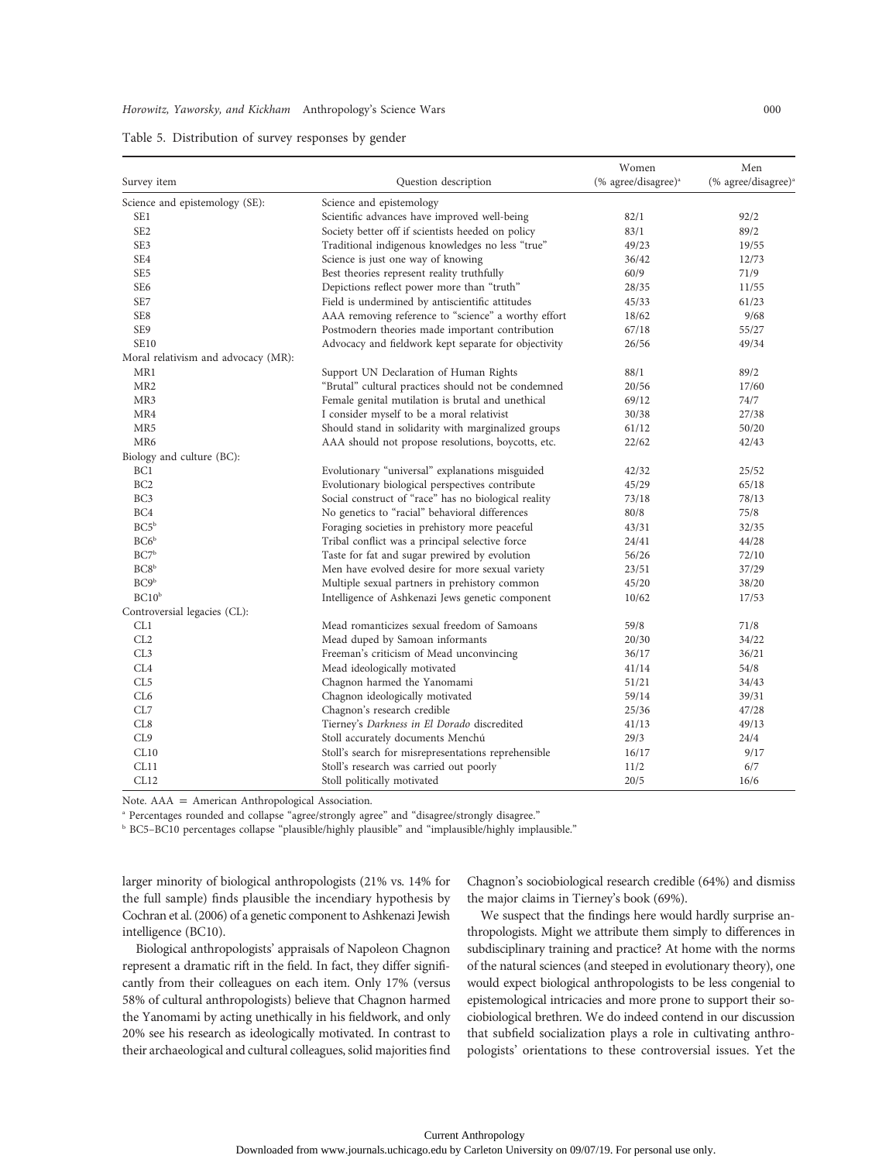|  |  |  |  |  |  |  | Table 5. Distribution of survey responses by gender |  |  |  |
|--|--|--|--|--|--|--|-----------------------------------------------------|--|--|--|
|--|--|--|--|--|--|--|-----------------------------------------------------|--|--|--|

|                                     |                                                      | Women                                                 | Men                                                                 |
|-------------------------------------|------------------------------------------------------|-------------------------------------------------------|---------------------------------------------------------------------|
| Survey item                         | Question description                                 | $(% \mathcal{L}_{0})$ (% agree/disagree) <sup>a</sup> | $(% \mathcal{L}_{\alpha})^{\alpha}$ (% agree/disagree) <sup>a</sup> |
| Science and epistemology (SE):      | Science and epistemology                             |                                                       |                                                                     |
| SE <sub>1</sub>                     | Scientific advances have improved well-being         | 82/1                                                  | 92/2                                                                |
| SE <sub>2</sub>                     | Society better off if scientists heeded on policy    | 83/1                                                  | 89/2                                                                |
| SE3                                 | Traditional indigenous knowledges no less "true"     | 49/23                                                 | 19/55                                                               |
| SE <sub>4</sub>                     | Science is just one way of knowing                   | 36/42                                                 | 12/73                                                               |
| SE <sub>5</sub>                     | Best theories represent reality truthfully           | 60/9                                                  | 71/9                                                                |
| SE <sub>6</sub>                     | Depictions reflect power more than "truth"           | 28/35                                                 | 11/55                                                               |
| SE7                                 | Field is undermined by antiscientific attitudes      | 45/33                                                 | 61/23                                                               |
| SE8                                 | AAA removing reference to "science" a worthy effort  | 18/62                                                 | 9/68                                                                |
| SE9                                 | Postmodern theories made important contribution      | 67/18                                                 | 55/27                                                               |
| <b>SE10</b>                         | Advocacy and fieldwork kept separate for objectivity | 26/56                                                 | 49/34                                                               |
| Moral relativism and advocacy (MR): |                                                      |                                                       |                                                                     |
| MR1                                 | Support UN Declaration of Human Rights               | 88/1                                                  | 89/2                                                                |
| MR <sub>2</sub>                     | "Brutal" cultural practices should not be condemned  | 20/56                                                 | 17/60                                                               |
| MR3                                 | Female genital mutilation is brutal and unethical    | 69/12                                                 | 74/7                                                                |
| MR4                                 | I consider myself to be a moral relativist           | 30/38                                                 | 27/38                                                               |
| MR5                                 | Should stand in solidarity with marginalized groups  | 61/12                                                 | 50/20                                                               |
| MR6                                 | AAA should not propose resolutions, boycotts, etc.   | 22/62                                                 | 42/43                                                               |
| Biology and culture (BC):           |                                                      |                                                       |                                                                     |
| BC <sub>1</sub>                     | Evolutionary "universal" explanations misguided      | 42/32                                                 | 25/52                                                               |
| BC <sub>2</sub>                     | Evolutionary biological perspectives contribute      | 45/29                                                 | 65/18                                                               |
| BC <sub>3</sub>                     | Social construct of "race" has no biological reality | 73/18                                                 | 78/13                                                               |
| BC4                                 | No genetics to "racial" behavioral differences       | 80/8                                                  | 75/8                                                                |
| BC5 <sup>b</sup>                    | Foraging societies in prehistory more peaceful       | 43/31                                                 | 32/35                                                               |
| BC6 <sup>b</sup>                    | Tribal conflict was a principal selective force      | 24/41                                                 | 44/28                                                               |
| BC7 <sup>b</sup>                    | Taste for fat and sugar prewired by evolution        | 56/26                                                 | 72/10                                                               |
| BC8 <sup>b</sup>                    | Men have evolved desire for more sexual variety      | 23/51                                                 | 37/29                                                               |
| BC9 <sup>b</sup>                    | Multiple sexual partners in prehistory common        | 45/20                                                 | 38/20                                                               |
| BC10 <sup>b</sup>                   | Intelligence of Ashkenazi Jews genetic component     | 10/62                                                 | 17/53                                                               |
| Controversial legacies (CL):        |                                                      |                                                       |                                                                     |
| CL1                                 | Mead romanticizes sexual freedom of Samoans          | 59/8                                                  | 71/8                                                                |
| CL2                                 | Mead duped by Samoan informants                      | 20/30                                                 | 34/22                                                               |
| CL3                                 | Freeman's criticism of Mead unconvincing             | 36/17                                                 | 36/21                                                               |
| CL <sub>4</sub>                     | Mead ideologically motivated                         | 41/14                                                 | 54/8                                                                |
| CL <sub>5</sub>                     | Chagnon harmed the Yanomami                          | 51/21                                                 | 34/43                                                               |
| CL <sub>6</sub>                     | Chagnon ideologically motivated                      | 59/14                                                 | 39/31                                                               |
| CL7                                 | Chagnon's research credible                          | 25/36                                                 | 47/28                                                               |
| CL8                                 | Tierney's Darkness in El Dorado discredited          | 41/13                                                 | 49/13                                                               |
| CL9                                 | Stoll accurately documents Menchú                    | 29/3                                                  | 24/4                                                                |
| CL10                                | Stoll's search for misrepresentations reprehensible  | 16/17                                                 | 9/17                                                                |
| CL11                                | Stoll's research was carried out poorly              | 11/2                                                  | 6/7                                                                 |
| CL12                                | Stoll politically motivated                          | 20/5                                                  | 16/6                                                                |

Note.  $AAA = American Anthropological Association.$ 

<sup>a</sup> Percentages rounded and collapse "agree/strongly agree" and "disagree/strongly disagree."

<sup>b</sup> BC5–BC10 percentages collapse "plausible/highly plausible" and "implausible/highly implausible."

larger minority of biological anthropologists (21% vs. 14% for the full sample) finds plausible the incendiary hypothesis by Cochran et al. (2006) of a genetic component to Ashkenazi Jewish intelligence (BC10).

Chagnon's sociobiological research credible (64%) and dismiss the major claims in Tierney's book (69%).

Biological anthropologists' appraisals of Napoleon Chagnon represent a dramatic rift in the field. In fact, they differ significantly from their colleagues on each item. Only 17% (versus 58% of cultural anthropologists) believe that Chagnon harmed the Yanomami by acting unethically in his fieldwork, and only 20% see his research as ideologically motivated. In contrast to their archaeological and cultural colleagues, solid majorities find

We suspect that the findings here would hardly surprise anthropologists. Might we attribute them simply to differences in subdisciplinary training and practice? At home with the norms of the natural sciences (and steeped in evolutionary theory), one would expect biological anthropologists to be less congenial to epistemological intricacies and more prone to support their sociobiological brethren. We do indeed contend in our discussion that subfield socialization plays a role in cultivating anthropologists' orientations to these controversial issues. Yet the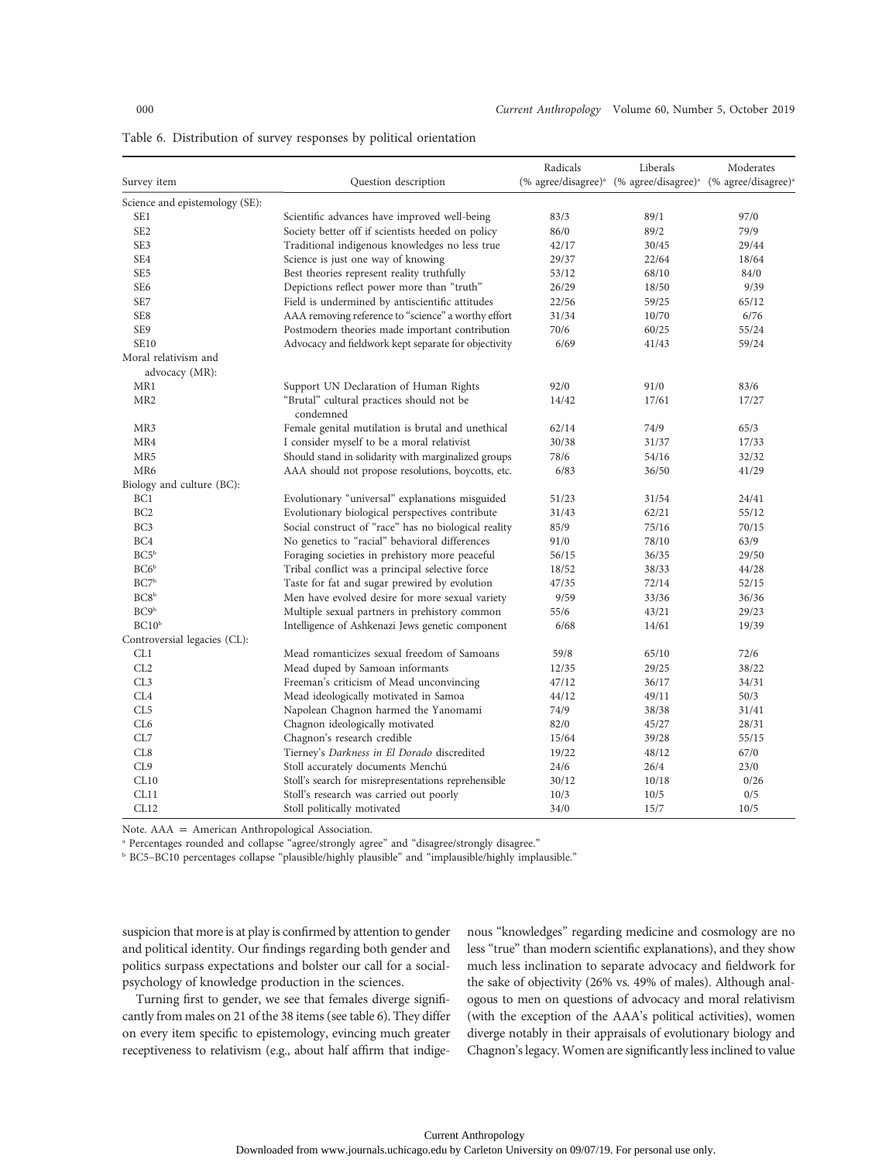|                                |                                                        | Radicals | Liberals                                                                                        | Moderates |  |
|--------------------------------|--------------------------------------------------------|----------|-------------------------------------------------------------------------------------------------|-----------|--|
| Survey item                    | Question description                                   |          | (% agree/disagree) <sup>a</sup> (% agree/disagree) <sup>a</sup> (% agree/disagree) <sup>a</sup> |           |  |
| Science and epistemology (SE): |                                                        |          |                                                                                                 |           |  |
| SE <sub>1</sub>                | Scientific advances have improved well-being           | 83/3     | 89/1                                                                                            | 97/0      |  |
| SE <sub>2</sub>                | Society better off if scientists heeded on policy      | 86/0     | 89/2                                                                                            | 79/9      |  |
| SE3                            | Traditional indigenous knowledges no less true         | 42/17    | 30/45                                                                                           | 29/44     |  |
| SE4                            | Science is just one way of knowing                     | 29/37    | 22/64                                                                                           | 18/64     |  |
| SE <sub>5</sub>                | Best theories represent reality truthfully             | 53/12    | 68/10                                                                                           | 84/0      |  |
| SE <sub>6</sub>                | Depictions reflect power more than "truth"             | 26/29    | 18/50                                                                                           | 9/39      |  |
| SE7                            | Field is undermined by antiscientific attitudes        | 22/56    | 59/25                                                                                           | 65/12     |  |
| SE8                            | AAA removing reference to "science" a worthy effort    | 31/34    | 10/70                                                                                           | 6/76      |  |
| SE9                            | Postmodern theories made important contribution        | 70/6     | 60/25                                                                                           | 55/24     |  |
| <b>SE10</b>                    | Advocacy and fieldwork kept separate for objectivity   | 6/69     | 41/43                                                                                           | 59/24     |  |
| Moral relativism and           |                                                        |          |                                                                                                 |           |  |
| advocacy (MR):                 |                                                        |          |                                                                                                 |           |  |
| MR1                            | Support UN Declaration of Human Rights                 | 92/0     | 91/0                                                                                            | 83/6      |  |
| MR <sub>2</sub>                | "Brutal" cultural practices should not be<br>condemned | 14/42    | 17/61                                                                                           | 17/27     |  |
| MR3                            | Female genital mutilation is brutal and unethical      | 62/14    | 74/9                                                                                            | 65/3      |  |
| MR4                            | I consider myself to be a moral relativist             | 30/38    | 31/37                                                                                           | 17/33     |  |
| MR5                            | Should stand in solidarity with marginalized groups    | 78/6     | 54/16                                                                                           | 32/32     |  |
| MR6                            | AAA should not propose resolutions, boycotts, etc.     | 6/83     | 36/50                                                                                           | 41/29     |  |
| Biology and culture (BC):      |                                                        |          |                                                                                                 |           |  |
| BC <sub>1</sub>                | Evolutionary "universal" explanations misguided        | 51/23    | 31/54                                                                                           | 24/41     |  |
| BC <sub>2</sub>                | Evolutionary biological perspectives contribute        | 31/43    | 62/21                                                                                           | 55/12     |  |
| BC <sub>3</sub>                | Social construct of "race" has no biological reality   | 85/9     | 75/16                                                                                           | 70/15     |  |
| BC4                            | No genetics to "racial" behavioral differences         | 91/0     | 78/10                                                                                           | 63/9      |  |
| BC5 <sup>b</sup>               | Foraging societies in prehistory more peaceful         | 56/15    | 36/35                                                                                           | 29/50     |  |
| BC6 <sup>b</sup>               | Tribal conflict was a principal selective force        | 18/52    | 38/33                                                                                           | 44/28     |  |
| BC7 <sup>b</sup>               | Taste for fat and sugar prewired by evolution          | 47/35    | 72/14                                                                                           | 52/15     |  |
| BC8 <sup>b</sup>               | Men have evolved desire for more sexual variety        | 9/59     | 33/36                                                                                           | 36/36     |  |
| BC9 <sup>b</sup>               | Multiple sexual partners in prehistory common          | 55/6     | 43/21                                                                                           | 29/23     |  |
| BC10 <sup>b</sup>              | Intelligence of Ashkenazi Jews genetic component       | 6/68     | 14/61                                                                                           | 19/39     |  |
| Controversial legacies (CL):   |                                                        |          |                                                                                                 |           |  |
| CL1                            | Mead romanticizes sexual freedom of Samoans            | 59/8     | 65/10                                                                                           | 72/6      |  |
| CL2                            | Mead duped by Samoan informants                        | 12/35    | 29/25                                                                                           | 38/22     |  |
| CL <sub>3</sub>                | Freeman's criticism of Mead unconvincing               | 47/12    | 36/17                                                                                           | 34/31     |  |
| CL4                            | Mead ideologically motivated in Samoa                  | 44/12    | 49/11                                                                                           | 50/3      |  |
| CL5                            | Napolean Chagnon harmed the Yanomami                   | 74/9     | 38/38                                                                                           | 31/41     |  |
| CL <sub>6</sub>                | Chagnon ideologically motivated                        | 82/0     | 45/27                                                                                           | 28/31     |  |
| CL7                            | Chagnon's research credible                            | 15/64    | 39/28                                                                                           | 55/15     |  |
| CL <sub>8</sub>                | Tierney's Darkness in El Dorado discredited            | 19/22    | 48/12                                                                                           | 67/0      |  |
| CL <sub>9</sub>                | Stoll accurately documents Menchú                      | 24/6     | 26/4                                                                                            | 23/0      |  |
| CL10                           | Stoll's search for misrepresentations reprehensible    | 30/12    | 10/18                                                                                           | 0/26      |  |
| CL11                           | Stoll's research was carried out poorly                | 10/3     | 10/5                                                                                            | 0/5       |  |
| CL12                           | Stoll politically motivated                            | 34/0     | 15/7                                                                                            | 10/5      |  |

Table 6. Distribution of survey responses by political orientation

Note.  $AAA = American Anthropological Association.$ 

<sup>a</sup> Percentages rounded and collapse "agree/strongly agree" and "disagree/strongly disagree."

**b BC5-BC10** percentages collapse "plausible/highly plausible" and "implausible/highly implausible."

suspicion that more is at play is confirmed by attention to gender and political identity. Our findings regarding both gender and politics surpass expectations and bolster our call for a socialpsychology of knowledge production in the sciences.

Turning first to gender, we see that females diverge significantly from males on 21 of the 38 items (see table 6). They differ on every item specific to epistemology, evincing much greater receptiveness to relativism (e.g., about half affirm that indigenous "knowledges" regarding medicine and cosmology are no less "true" than modern scientific explanations), and they show much less inclination to separate advocacy and fieldwork for the sake of objectivity (26% vs. 49% of males). Although analogous to men on questions of advocacy and moral relativism (with the exception of the AAA's political activities), women diverge notably in their appraisals of evolutionary biology and Chagnon's legacy. Women are significantly less inclined to value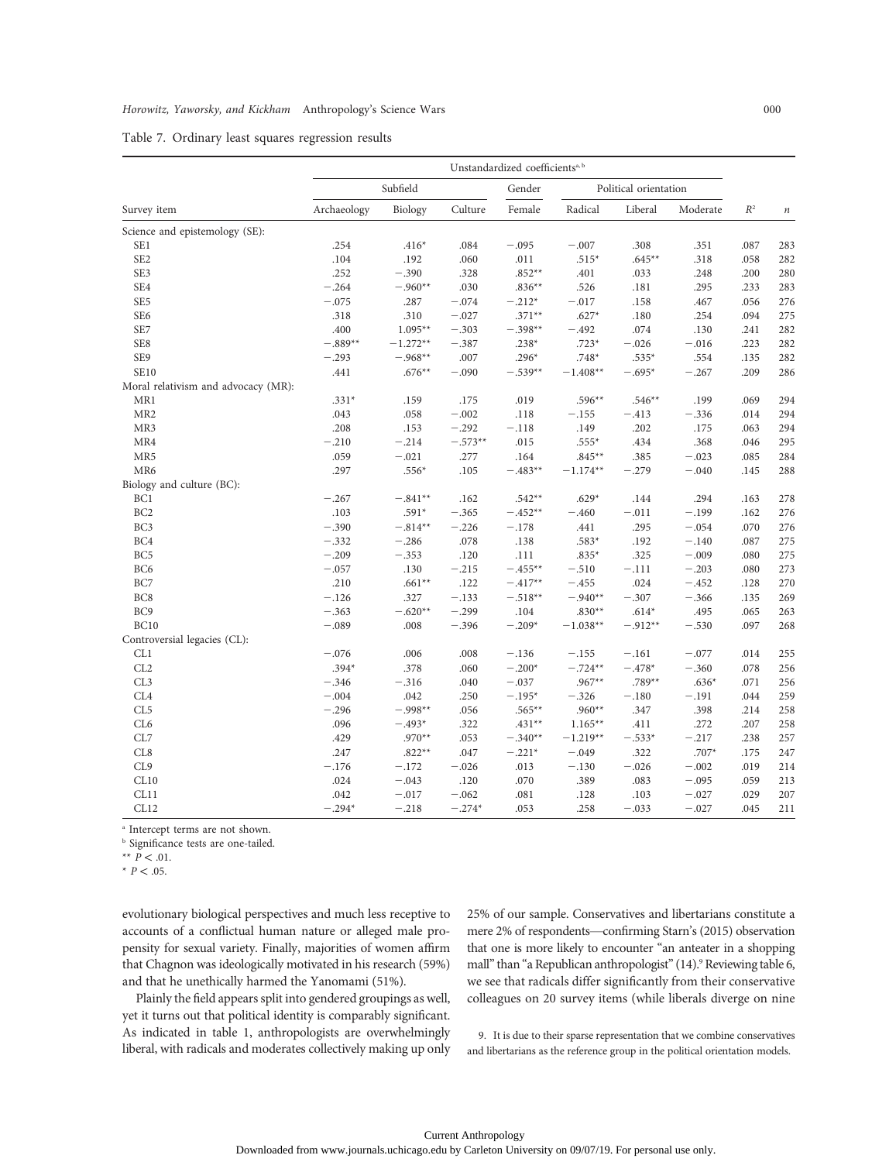| Table 7. Ordinary least squares regression results |  |  |  |  |
|----------------------------------------------------|--|--|--|--|
|----------------------------------------------------|--|--|--|--|

|                                     | Unstandardized coefficients <sup>a, b</sup> |            |           |                       |            |           |          |       |                  |
|-------------------------------------|---------------------------------------------|------------|-----------|-----------------------|------------|-----------|----------|-------|------------------|
|                                     | Subfield                                    |            | Gender    | Political orientation |            |           |          |       |                  |
| Survey item                         | Archaeology                                 | Biology    | Culture   | Female                | Radical    | Liberal   | Moderate | $R^2$ | $\boldsymbol{n}$ |
| Science and epistemology (SE):      |                                             |            |           |                       |            |           |          |       |                  |
| SE <sub>1</sub>                     | .254                                        | $.416*$    | .084      | $-.095$               | $-.007$    | .308      | .351     | .087  | 283              |
| SE <sub>2</sub>                     | .104                                        | .192       | .060      | .011                  | $.515*$    | $.645**$  | .318     | .058  | 282              |
| SE3                                 | .252                                        | $-.390$    | .328      | $.852**$              | .401       | .033      | .248     | .200  | 280              |
| SE4                                 | $-.264$                                     | $-.960**$  | .030      | $.836**$              | .526       | .181      | .295     | .233  | 283              |
| SE <sub>5</sub>                     | $-.075$                                     | .287       | $-.074$   | $-.212*$              | $-.017$    | .158      | .467     | .056  | 276              |
| SE <sub>6</sub>                     | .318                                        | .310       | $-.027$   | $.371**$              | $.627*$    | .180      | .254     | .094  | 275              |
| SE7                                 | .400                                        | $1.095**$  | $-.303$   | $-.398**$             | $-.492$    | .074      | .130     | .241  | 282              |
| SE8                                 | $-.889**$                                   | $-1.272**$ | $-.387$   | $.238*$               | $.723*$    | $-.026$   | $-.016$  | .223  | 282              |
| SE9                                 | $-.293$                                     | $-.968**$  | .007      | $.296*$               | $.748*$    | $.535*$   | .554     | .135  | 282              |
| <b>SE10</b>                         | .441                                        | $.676**$   | $-.090$   | $-.539**$             | $-1.408**$ | $-.695*$  | $-.267$  | .209  | 286              |
| Moral relativism and advocacy (MR): |                                             |            |           |                       |            |           |          |       |                  |
| MR1                                 | $.331*$                                     | .159       | .175      | .019                  | $.596**$   | $.546**$  | .199     | .069  | 294              |
| MR <sub>2</sub>                     | .043                                        | .058       | $-.002$   | .118                  | $-.155$    | $-.413$   | $-.336$  | .014  | 294              |
| MR3                                 | .208                                        | .153       | $-.292$   | $-.118$               | .149       | .202      | .175     | .063  | 294              |
| MR4                                 | $-.210$                                     | $-.214$    | $-.573**$ | .015                  | $.555*$    | .434      | .368     | .046  | 295              |
| MR <sub>5</sub>                     | .059                                        | $-.021$    | .277      | .164                  | $.845**$   | .385      | $-.023$  | .085  | 284              |
| MR6                                 | .297                                        | $.556*$    | .105      | $-.483**$             | $-1.174**$ | $-.279$   | $-.040$  | .145  | 288              |
| Biology and culture (BC):           |                                             |            |           |                       |            |           |          |       |                  |
| BC <sub>1</sub>                     | $-.267$                                     | $-.841**$  | .162      | $.542**$              | $.629*$    | .144      | .294     | .163  | 278              |
| BC <sub>2</sub>                     | .103                                        | $.591*$    | $-.365$   | $-.452**$             | $-.460$    | $-.011$   | $-.199$  | .162  | 276              |
| BC <sub>3</sub>                     | $-.390$                                     | $-.814**$  | $-.226$   | $-.178$               | .441       | .295      | $-.054$  | .070  | 276              |
| BC <sub>4</sub>                     | $-.332$                                     | $-.286$    | .078      | .138                  | $.583*$    | .192      | $-.140$  | .087  | 275              |
| BC <sub>5</sub>                     | $-.209$                                     | $-.353$    | .120      | .111                  | $.835*$    | .325      | $-.009$  | .080  | 275              |
| BC <sub>6</sub>                     | $-.057$                                     | .130       | $-.215$   | $-.455**$             | $-.510$    | $-.111$   | $-.203$  | .080  | 273              |
| BC7                                 | .210                                        | $.661**$   | .122      | $-.417**$             | $-.455$    | .024      | $-.452$  | .128  | 270              |
| BC8                                 | $-.126$                                     | .327       | $-.133$   | $-.518**$             | $-.940**$  | $-.307$   | $-.366$  | .135  | 269              |
| BC <sub>9</sub>                     | $-.363$                                     | $-.620**$  | $-.299$   | .104                  | $.830**$   | $.614*$   | .495     | .065  | 263              |
| <b>BC10</b>                         | $-.089$                                     | .008       | $-.396$   | $-.209*$              | $-1.038**$ | $-.912**$ | $-.530$  | .097  | 268              |
| Controversial legacies (CL):        |                                             |            |           |                       |            |           |          |       |                  |
| CL1                                 | $-.076$                                     | .006       | .008      | $-.136$               | $-.155$    | $-.161$   | $-.077$  | .014  | 255              |
| CL2                                 | $.394*$                                     | .378       | .060      | $-.200*$              | $-.724**$  | $-.478*$  | $-.360$  | .078  | 256              |
| CL3                                 | $-.346$                                     | $-.316$    | .040      | $-.037$               | $.967**$   | $.789**$  | $.636*$  | .071  | 256              |
| CL <sub>4</sub>                     | $-.004$                                     | .042       | .250      | $-.195*$              | $-.326$    | $-.180$   | $-.191$  | .044  | 259              |
| CL5                                 | $-.296$                                     | $-.998**$  | .056      | $.565**$              | $.960**$   | .347      | .398     | .214  | 258              |
| CL <sub>6</sub>                     | .096                                        | $-.493*$   | .322      | $.431**$              | $1.165**$  | .411      | .272     | .207  | 258              |
| CL7                                 | .429                                        | $.970**$   | .053      | $-.340**$             | $-1.219**$ | $-.533*$  | $-.217$  | .238  | 257              |
| CL <sub>8</sub>                     | .247                                        | $.822**$   | .047      | $-.221*$              | $-.049$    | .322      | $.707*$  | .175  | 247              |
| CL9                                 | $-.176$                                     | $-.172$    | $-.026$   | .013                  | $-.130$    | $-.026$   | $-.002$  | .019  | 214              |
| CL10                                | .024                                        | $-.043$    | .120      | .070                  | .389       | .083      | $-.095$  | .059  | 213              |
| CL11                                | .042                                        | $-.017$    | $-.062$   | .081                  | .128       | .103      | $-.027$  | .029  | 207              |
| CL12                                | $-.294*$                                    | $-.218$    | $-.274*$  | .053                  | .258       | $-.033$   | $-.027$  | .045  | 211              |

<sup>a</sup> Intercept terms are not shown.

**b** Significance tests are one-tailed.

\*\*  $P \le 0.01$ .

 $*$  P < .05.

evolutionary biological perspectives and much less receptive to accounts of a conflictual human nature or alleged male propensity for sexual variety. Finally, majorities of women affirm that Chagnon was ideologically motivated in his research (59%) and that he unethically harmed the Yanomami (51%).

Plainly the field appears split into gendered groupings as well, yet it turns out that political identity is comparably significant. As indicated in table 1, anthropologists are overwhelmingly liberal, with radicals and moderates collectively making up only 25% of our sample. Conservatives and libertarians constitute a mere 2% of respondents—confirming Starn's (2015) observation that one is more likely to encounter "an anteater in a shopping mall" than "a Republican anthropologist" (14).<sup>9</sup> Reviewing table 6, we see that radicals differ significantly from their conservative colleagues on 20 survey items (while liberals diverge on nine

9. It is due to their sparse representation that we combine conservatives and libertarians as the reference group in the political orientation models.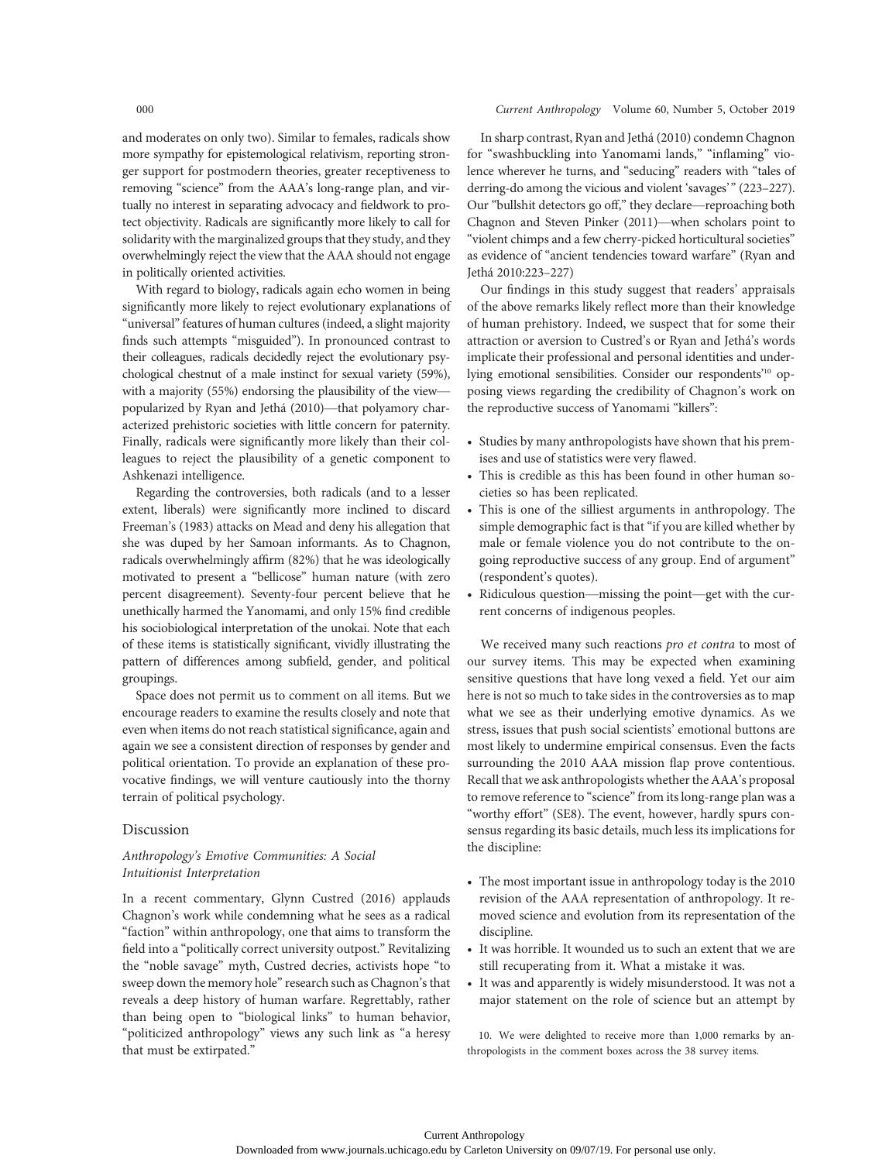and moderates on only two). Similar to females, radicals show more sympathy for epistemological relativism, reporting stronger support for postmodern theories, greater receptiveness to removing "science" from the AAA's long-range plan, and virtually no interest in separating advocacy and fieldwork to protect objectivity. Radicals are significantly more likely to call for solidarity with the marginalized groups that they study, and they overwhelmingly reject the view that the AAA should not engage in politically oriented activities.

With regard to biology, radicals again echo women in being significantly more likely to reject evolutionary explanations of "universal" features of human cultures (indeed, a slight majority finds such attempts "misguided"). In pronounced contrast to their colleagues, radicals decidedly reject the evolutionary psychological chestnut of a male instinct for sexual variety (59%), with a majority (55%) endorsing the plausibility of the view popularized by Ryan and Jethá (2010)—that polyamory characterized prehistoric societies with little concern for paternity. Finally, radicals were significantly more likely than their colleagues to reject the plausibility of a genetic component to Ashkenazi intelligence.

Regarding the controversies, both radicals (and to a lesser extent, liberals) were significantly more inclined to discard Freeman's (1983) attacks on Mead and deny his allegation that she was duped by her Samoan informants. As to Chagnon, radicals overwhelmingly affirm (82%) that he was ideologically motivated to present a "bellicose" human nature (with zero percent disagreement). Seventy-four percent believe that he unethically harmed the Yanomami, and only 15% find credible his sociobiological interpretation of the unokai. Note that each of these items is statistically significant, vividly illustrating the pattern of differences among subfield, gender, and political groupings.

Space does not permit us to comment on all items. But we encourage readers to examine the results closely and note that even when items do not reach statistical significance, again and again we see a consistent direction of responses by gender and political orientation. To provide an explanation of these provocative findings, we will venture cautiously into the thorny terrain of political psychology.

## Discussion

# Anthropology's Emotive Communities: A Social Intuitionist Interpretation

In a recent commentary, Glynn Custred (2016) applauds Chagnon's work while condemning what he sees as a radical "faction" within anthropology, one that aims to transform the field into a "politically correct university outpost." Revitalizing the "noble savage" myth, Custred decries, activists hope "to sweep down the memory hole" research such as Chagnon's that reveals a deep history of human warfare. Regrettably, rather than being open to "biological links" to human behavior, "politicized anthropology" views any such link as "a heresy that must be extirpated."

In sharp contrast, Ryan and Jethá (2010) condemn Chagnon for "swashbuckling into Yanomami lands," "inflaming" violence wherever he turns, and "seducing" readers with "tales of derring-do among the vicious and violent 'savages'" (223–227). Our "bullshit detectors go off," they declare—reproaching both Chagnon and Steven Pinker (2011)—when scholars point to "violent chimps and a few cherry-picked horticultural societies" as evidence of "ancient tendencies toward warfare" (Ryan and Jethá 2010:223–227)

Our findings in this study suggest that readers' appraisals of the above remarks likely reflect more than their knowledge of human prehistory. Indeed, we suspect that for some their attraction or aversion to Custred's or Ryan and Jethá's words implicate their professional and personal identities and underlying emotional sensibilities. Consider our respondents'<sup>10</sup> opposing views regarding the credibility of Chagnon's work on the reproductive success of Yanomami "killers":

- Studies by many anthropologists have shown that his premises and use of statistics were very flawed.
- This is credible as this has been found in other human societies so has been replicated.
- This is one of the silliest arguments in anthropology. The simple demographic fact is that "if you are killed whether by male or female violence you do not contribute to the ongoing reproductive success of any group. End of argument" (respondent's quotes).
- Ridiculous question—missing the point—get with the current concerns of indigenous peoples.

We received many such reactions pro et contra to most of our survey items. This may be expected when examining sensitive questions that have long vexed a field. Yet our aim here is not so much to take sides in the controversies as to map what we see as their underlying emotive dynamics. As we stress, issues that push social scientists' emotional buttons are most likely to undermine empirical consensus. Even the facts surrounding the 2010 AAA mission flap prove contentious. Recall that we ask anthropologists whether the AAA's proposal to remove reference to "science" from its long-range plan was a "worthy effort" (SE8). The event, however, hardly spurs consensus regarding its basic details, much less its implications for the discipline:

- The most important issue in anthropology today is the 2010 revision of the AAA representation of anthropology. It removed science and evolution from its representation of the discipline.
- It was horrible. It wounded us to such an extent that we are still recuperating from it. What a mistake it was.
- It was and apparently is widely misunderstood. It was not a major statement on the role of science but an attempt by

10. We were delighted to receive more than 1,000 remarks by anthropologists in the comment boxes across the 38 survey items.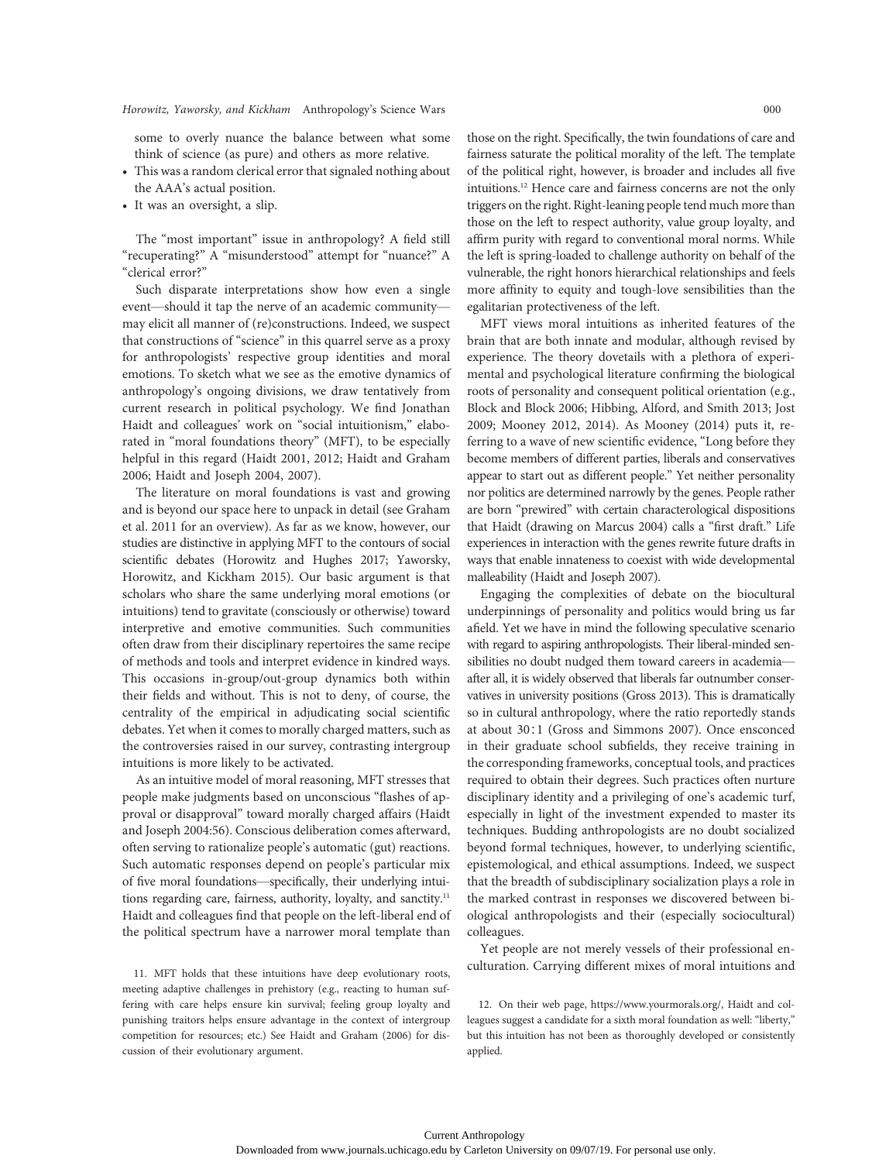some to overly nuance the balance between what some think of science (as pure) and others as more relative.

- This was a random clerical error that signaled nothing about the AAA's actual position.
- It was an oversight, a slip.

The "most important" issue in anthropology? A field still "recuperating?" A "misunderstood" attempt for "nuance?" A "clerical error?"

Such disparate interpretations show how even a single event—should it tap the nerve of an academic community may elicit all manner of (re)constructions. Indeed, we suspect that constructions of "science" in this quarrel serve as a proxy for anthropologists' respective group identities and moral emotions. To sketch what we see as the emotive dynamics of anthropology's ongoing divisions, we draw tentatively from current research in political psychology. We find Jonathan Haidt and colleagues' work on "social intuitionism," elaborated in "moral foundations theory" (MFT), to be especially helpful in this regard (Haidt 2001, 2012; Haidt and Graham 2006; Haidt and Joseph 2004, 2007).

The literature on moral foundations is vast and growing and is beyond our space here to unpack in detail (see Graham et al. 2011 for an overview). As far as we know, however, our studies are distinctive in applying MFT to the contours of social scientific debates (Horowitz and Hughes 2017; Yaworsky, Horowitz, and Kickham 2015). Our basic argument is that scholars who share the same underlying moral emotions (or intuitions) tend to gravitate (consciously or otherwise) toward interpretive and emotive communities. Such communities often draw from their disciplinary repertoires the same recipe of methods and tools and interpret evidence in kindred ways. This occasions in-group/out-group dynamics both within their fields and without. This is not to deny, of course, the centrality of the empirical in adjudicating social scientific debates. Yet when it comes to morally charged matters, such as the controversies raised in our survey, contrasting intergroup intuitions is more likely to be activated.

As an intuitive model of moral reasoning, MFT stresses that people make judgments based on unconscious "flashes of approval or disapproval" toward morally charged affairs (Haidt and Joseph 2004:56). Conscious deliberation comes afterward, often serving to rationalize people's automatic (gut) reactions. Such automatic responses depend on people's particular mix of five moral foundations—specifically, their underlying intuitions regarding care, fairness, authority, loyalty, and sanctity.<sup>11</sup> Haidt and colleagues find that people on the left-liberal end of the political spectrum have a narrower moral template than

meeting adaptive challenges in prehistory (e.g., reacting to human suffering with care helps ensure kin survival; feeling group loyalty and punishing traitors helps ensure advantage in the context of intergroup competition for resources; etc.) See Haidt and Graham (2006) for discussion of their evolutionary argument.

those on the right. Specifically, the twin foundations of care and fairness saturate the political morality of the left. The template of the political right, however, is broader and includes all five intuitions.12 Hence care and fairness concerns are not the only triggers on the right. Right-leaning people tend much more than those on the left to respect authority, value group loyalty, and affirm purity with regard to conventional moral norms. While the left is spring-loaded to challenge authority on behalf of the vulnerable, the right honors hierarchical relationships and feels more affinity to equity and tough-love sensibilities than the egalitarian protectiveness of the left.

MFT views moral intuitions as inherited features of the brain that are both innate and modular, although revised by experience. The theory dovetails with a plethora of experimental and psychological literature confirming the biological roots of personality and consequent political orientation (e.g., Block and Block 2006; Hibbing, Alford, and Smith 2013; Jost 2009; Mooney 2012, 2014). As Mooney (2014) puts it, referring to a wave of new scientific evidence, "Long before they become members of different parties, liberals and conservatives appear to start out as different people." Yet neither personality nor politics are determined narrowly by the genes. People rather are born "prewired" with certain characterological dispositions that Haidt (drawing on Marcus 2004) calls a "first draft." Life experiences in interaction with the genes rewrite future drafts in ways that enable innateness to coexist with wide developmental malleability (Haidt and Joseph 2007).

Engaging the complexities of debate on the biocultural underpinnings of personality and politics would bring us far afield. Yet we have in mind the following speculative scenario with regard to aspiring anthropologists. Their liberal-minded sensibilities no doubt nudged them toward careers in academia after all, it is widely observed that liberals far outnumber conservatives in university positions (Gross 2013). This is dramatically so in cultural anthropology, where the ratio reportedly stands at about 30∶1 (Gross and Simmons 2007). Once ensconced in their graduate school subfields, they receive training in the corresponding frameworks, conceptual tools, and practices required to obtain their degrees. Such practices often nurture disciplinary identity and a privileging of one's academic turf, especially in light of the investment expended to master its techniques. Budding anthropologists are no doubt socialized beyond formal techniques, however, to underlying scientific, epistemological, and ethical assumptions. Indeed, we suspect that the breadth of subdisciplinary socialization plays a role in the marked contrast in responses we discovered between biological anthropologists and their (especially sociocultural) colleagues.

Yet people are not merely vessels of their professional enculturation. Carrying different mixes of moral intuitions and 11. MFT holds that these intuitions have deep evolutionary roots,

> 12. On their web page, https://www.yourmorals.org/, Haidt and colleagues suggest a candidate for a sixth moral foundation as well: "liberty," but this intuition has not been as thoroughly developed or consistently applied.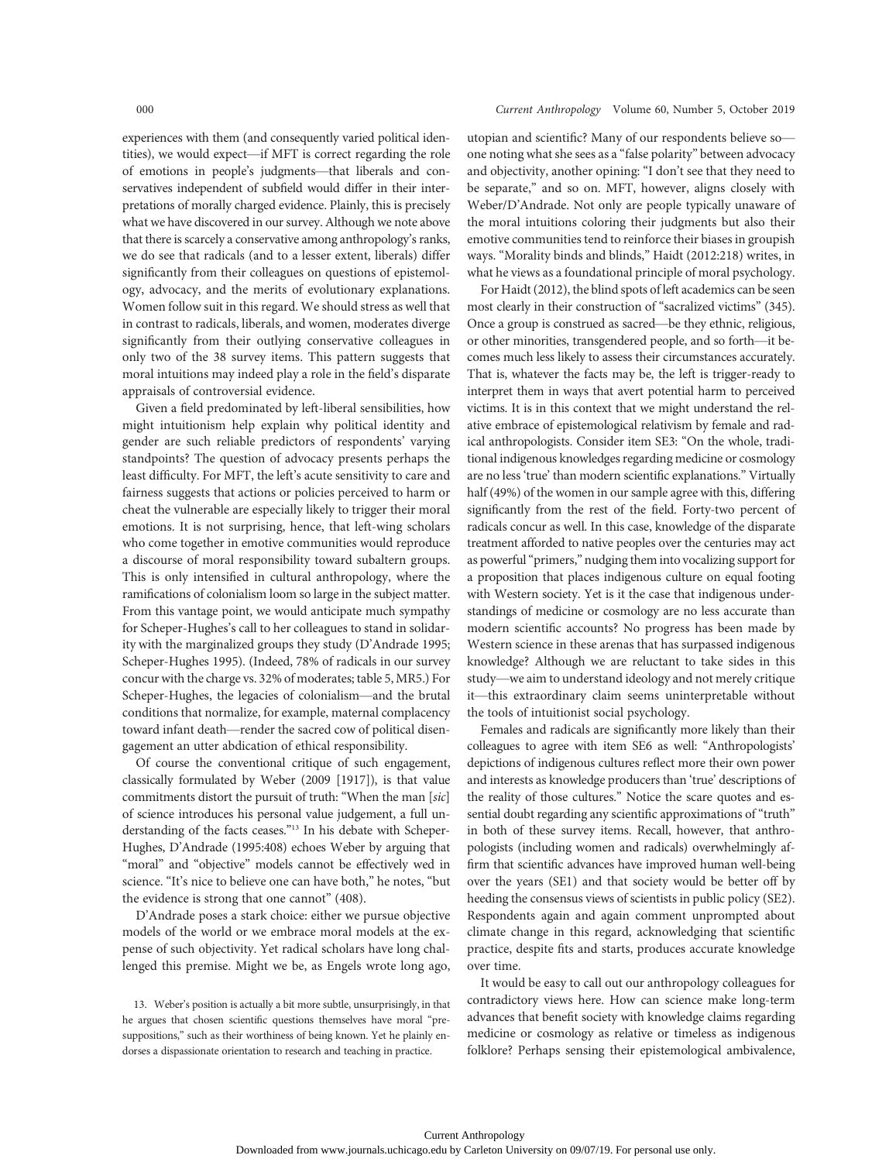experiences with them (and consequently varied political identities), we would expect—if MFT is correct regarding the role of emotions in people's judgments—that liberals and conservatives independent of subfield would differ in their interpretations of morally charged evidence. Plainly, this is precisely what we have discovered in our survey. Although we note above that there is scarcely a conservative among anthropology's ranks, we do see that radicals (and to a lesser extent, liberals) differ significantly from their colleagues on questions of epistemology, advocacy, and the merits of evolutionary explanations. Women follow suit in this regard. We should stress as well that in contrast to radicals, liberals, and women, moderates diverge significantly from their outlying conservative colleagues in only two of the 38 survey items. This pattern suggests that moral intuitions may indeed play a role in the field's disparate appraisals of controversial evidence.

Given a field predominated by left-liberal sensibilities, how might intuitionism help explain why political identity and gender are such reliable predictors of respondents' varying standpoints? The question of advocacy presents perhaps the least difficulty. For MFT, the left's acute sensitivity to care and fairness suggests that actions or policies perceived to harm or cheat the vulnerable are especially likely to trigger their moral emotions. It is not surprising, hence, that left-wing scholars who come together in emotive communities would reproduce a discourse of moral responsibility toward subaltern groups. This is only intensified in cultural anthropology, where the ramifications of colonialism loom so large in the subject matter. From this vantage point, we would anticipate much sympathy for Scheper-Hughes's call to her colleagues to stand in solidarity with the marginalized groups they study (D'Andrade 1995; Scheper-Hughes 1995). (Indeed, 78% of radicals in our survey concur with the charge vs. 32% of moderates; table 5, MR5.) For Scheper-Hughes, the legacies of colonialism—and the brutal conditions that normalize, for example, maternal complacency toward infant death—render the sacred cow of political disengagement an utter abdication of ethical responsibility.

Of course the conventional critique of such engagement, classically formulated by Weber (2009 [1917]), is that value commitments distort the pursuit of truth: "When the man [sic] of science introduces his personal value judgement, a full understanding of the facts ceases."<sup>13</sup> In his debate with Scheper-Hughes, D'Andrade (1995:408) echoes Weber by arguing that "moral" and "objective" models cannot be effectively wed in science. "It's nice to believe one can have both," he notes, "but the evidence is strong that one cannot" (408).

D'Andrade poses a stark choice: either we pursue objective models of the world or we embrace moral models at the expense of such objectivity. Yet radical scholars have long challenged this premise. Might we be, as Engels wrote long ago,

13. Weber's position is actually a bit more subtle, unsurprisingly, in that he argues that chosen scientific questions themselves have moral "presuppositions," such as their worthiness of being known. Yet he plainly endorses a dispassionate orientation to research and teaching in practice.

### 000 Current Anthropology Volume 60, Number 5, October 2019

utopian and scientific? Many of our respondents believe so one noting what she sees as a "false polarity" between advocacy and objectivity, another opining: "I don't see that they need to be separate," and so on. MFT, however, aligns closely with Weber/D'Andrade. Not only are people typically unaware of the moral intuitions coloring their judgments but also their emotive communities tend to reinforce their biases in groupish ways. "Morality binds and blinds," Haidt (2012:218) writes, in what he views as a foundational principle of moral psychology.

For Haidt (2012), the blind spots of left academics can be seen most clearly in their construction of "sacralized victims" (345). Once a group is construed as sacred—be they ethnic, religious, or other minorities, transgendered people, and so forth—it becomes much less likely to assess their circumstances accurately. That is, whatever the facts may be, the left is trigger-ready to interpret them in ways that avert potential harm to perceived victims. It is in this context that we might understand the relative embrace of epistemological relativism by female and radical anthropologists. Consider item SE3: "On the whole, traditional indigenous knowledges regarding medicine or cosmology are no less 'true' than modern scientific explanations." Virtually half (49%) of the women in our sample agree with this, differing significantly from the rest of the field. Forty-two percent of radicals concur as well. In this case, knowledge of the disparate treatment afforded to native peoples over the centuries may act as powerful"primers," nudging them into vocalizing support for a proposition that places indigenous culture on equal footing with Western society. Yet is it the case that indigenous understandings of medicine or cosmology are no less accurate than modern scientific accounts? No progress has been made by Western science in these arenas that has surpassed indigenous knowledge? Although we are reluctant to take sides in this study—we aim to understand ideology and not merely critique it—this extraordinary claim seems uninterpretable without the tools of intuitionist social psychology.

Females and radicals are significantly more likely than their colleagues to agree with item SE6 as well: "Anthropologists' depictions of indigenous cultures reflect more their own power and interests as knowledge producers than 'true' descriptions of the reality of those cultures." Notice the scare quotes and essential doubt regarding any scientific approximations of "truth" in both of these survey items. Recall, however, that anthropologists (including women and radicals) overwhelmingly affirm that scientific advances have improved human well-being over the years (SE1) and that society would be better off by heeding the consensus views of scientists in public policy (SE2). Respondents again and again comment unprompted about climate change in this regard, acknowledging that scientific practice, despite fits and starts, produces accurate knowledge over time.

It would be easy to call out our anthropology colleagues for contradictory views here. How can science make long-term advances that benefit society with knowledge claims regarding medicine or cosmology as relative or timeless as indigenous folklore? Perhaps sensing their epistemological ambivalence,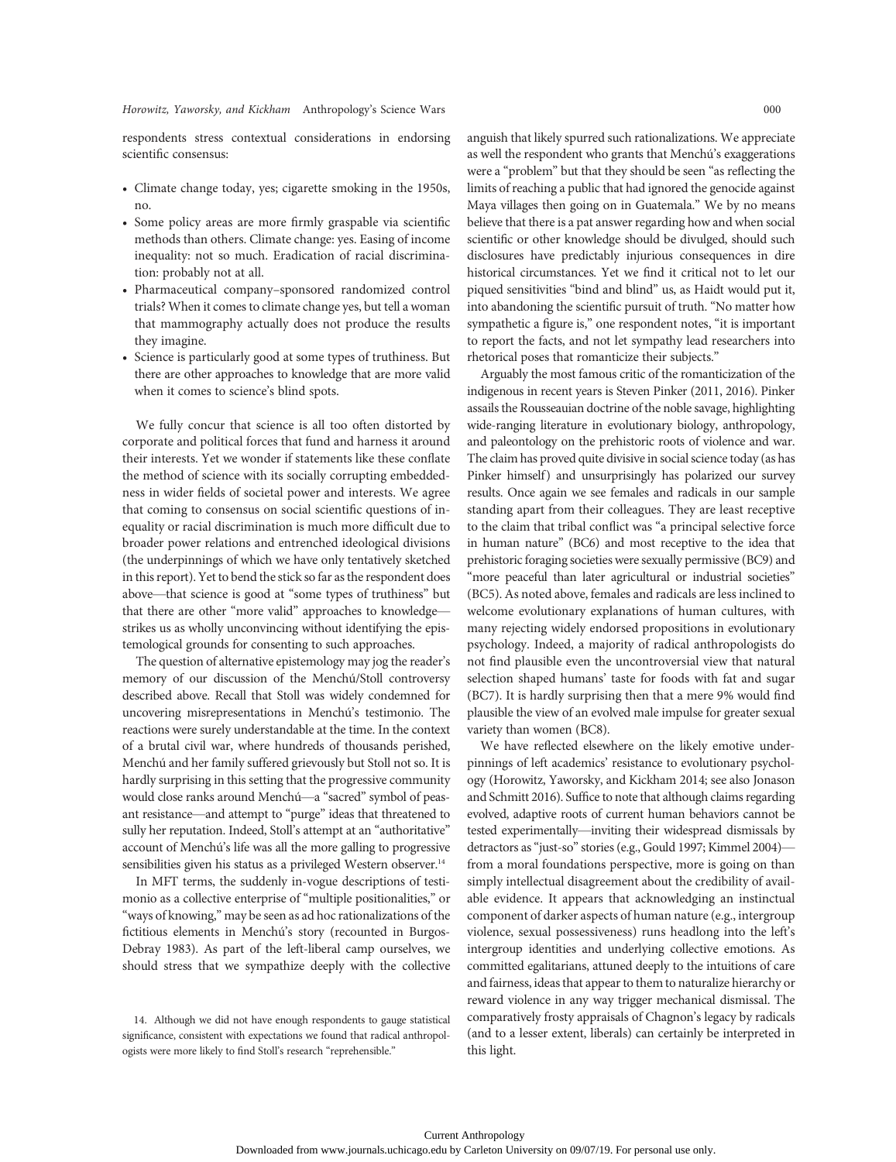respondents stress contextual considerations in endorsing scientific consensus:

- Climate change today, yes; cigarette smoking in the 1950s, no.
- Some policy areas are more firmly graspable via scientific methods than others. Climate change: yes. Easing of income inequality: not so much. Eradication of racial discrimination: probably not at all.
- Pharmaceutical company–sponsored randomized control trials? When it comes to climate change yes, but tell a woman that mammography actually does not produce the results they imagine.
- Science is particularly good at some types of truthiness. But there are other approaches to knowledge that are more valid when it comes to science's blind spots.

We fully concur that science is all too often distorted by corporate and political forces that fund and harness it around their interests. Yet we wonder if statements like these conflate the method of science with its socially corrupting embeddedness in wider fields of societal power and interests. We agree that coming to consensus on social scientific questions of inequality or racial discrimination is much more difficult due to broader power relations and entrenched ideological divisions (the underpinnings of which we have only tentatively sketched in this report). Yet to bend the stick so far as the respondent does above—that science is good at "some types of truthiness" but that there are other "more valid" approaches to knowledge strikes us as wholly unconvincing without identifying the epistemological grounds for consenting to such approaches.

The question of alternative epistemology may jog the reader's memory of our discussion of the Menchú/Stoll controversy described above. Recall that Stoll was widely condemned for uncovering misrepresentations in Menchú's testimonio. The reactions were surely understandable at the time. In the context of a brutal civil war, where hundreds of thousands perished, Menchú and her family suffered grievously but Stoll not so. It is hardly surprising in this setting that the progressive community would close ranks around Menchú—a "sacred" symbol of peasant resistance—and attempt to "purge" ideas that threatened to sully her reputation. Indeed, Stoll's attempt at an "authoritative" account of Menchú's life was all the more galling to progressive sensibilities given his status as a privileged Western observer.<sup>14</sup>

In MFT terms, the suddenly in-vogue descriptions of testimonio as a collective enterprise of "multiple positionalities," or "ways of knowing," may be seen as ad hoc rationalizations of the fictitious elements in Menchú's story (recounted in Burgos-Debray 1983). As part of the left-liberal camp ourselves, we should stress that we sympathize deeply with the collective anguish that likely spurred such rationalizations. We appreciate as well the respondent who grants that Menchú's exaggerations were a "problem" but that they should be seen "as reflecting the limits of reaching a public that had ignored the genocide against Maya villages then going on in Guatemala." We by no means believe that there is a pat answer regarding how and when social scientific or other knowledge should be divulged, should such disclosures have predictably injurious consequences in dire historical circumstances. Yet we find it critical not to let our piqued sensitivities "bind and blind" us, as Haidt would put it, into abandoning the scientific pursuit of truth. "No matter how sympathetic a figure is," one respondent notes, "it is important to report the facts, and not let sympathy lead researchers into rhetorical poses that romanticize their subjects."

Arguably the most famous critic of the romanticization of the indigenous in recent years is Steven Pinker (2011, 2016). Pinker assails the Rousseauian doctrine of the noble savage, highlighting wide-ranging literature in evolutionary biology, anthropology, and paleontology on the prehistoric roots of violence and war. The claim has proved quite divisive in social science today (as has Pinker himself) and unsurprisingly has polarized our survey results. Once again we see females and radicals in our sample standing apart from their colleagues. They are least receptive to the claim that tribal conflict was "a principal selective force in human nature" (BC6) and most receptive to the idea that prehistoric foraging societies were sexually permissive (BC9) and "more peaceful than later agricultural or industrial societies" (BC5). As noted above, females and radicals are less inclined to welcome evolutionary explanations of human cultures, with many rejecting widely endorsed propositions in evolutionary psychology. Indeed, a majority of radical anthropologists do not find plausible even the uncontroversial view that natural selection shaped humans' taste for foods with fat and sugar (BC7). It is hardly surprising then that a mere 9% would find plausible the view of an evolved male impulse for greater sexual variety than women (BC8).

We have reflected elsewhere on the likely emotive underpinnings of left academics' resistance to evolutionary psychology (Horowitz, Yaworsky, and Kickham 2014; see also Jonason and Schmitt 2016). Suffice to note that although claims regarding evolved, adaptive roots of current human behaviors cannot be tested experimentally—inviting their widespread dismissals by detractors as"just-so"stories (e.g., Gould 1997; Kimmel 2004) from a moral foundations perspective, more is going on than simply intellectual disagreement about the credibility of available evidence. It appears that acknowledging an instinctual component of darker aspects of human nature (e.g., intergroup violence, sexual possessiveness) runs headlong into the left's intergroup identities and underlying collective emotions. As committed egalitarians, attuned deeply to the intuitions of care and fairness, ideas that appear to them to naturalize hierarchy or reward violence in any way trigger mechanical dismissal. The comparatively frosty appraisals of Chagnon's legacy by radicals (and to a lesser extent, liberals) can certainly be interpreted in this light.

<sup>14.</sup> Although we did not have enough respondents to gauge statistical significance, consistent with expectations we found that radical anthropologists were more likely to find Stoll's research "reprehensible."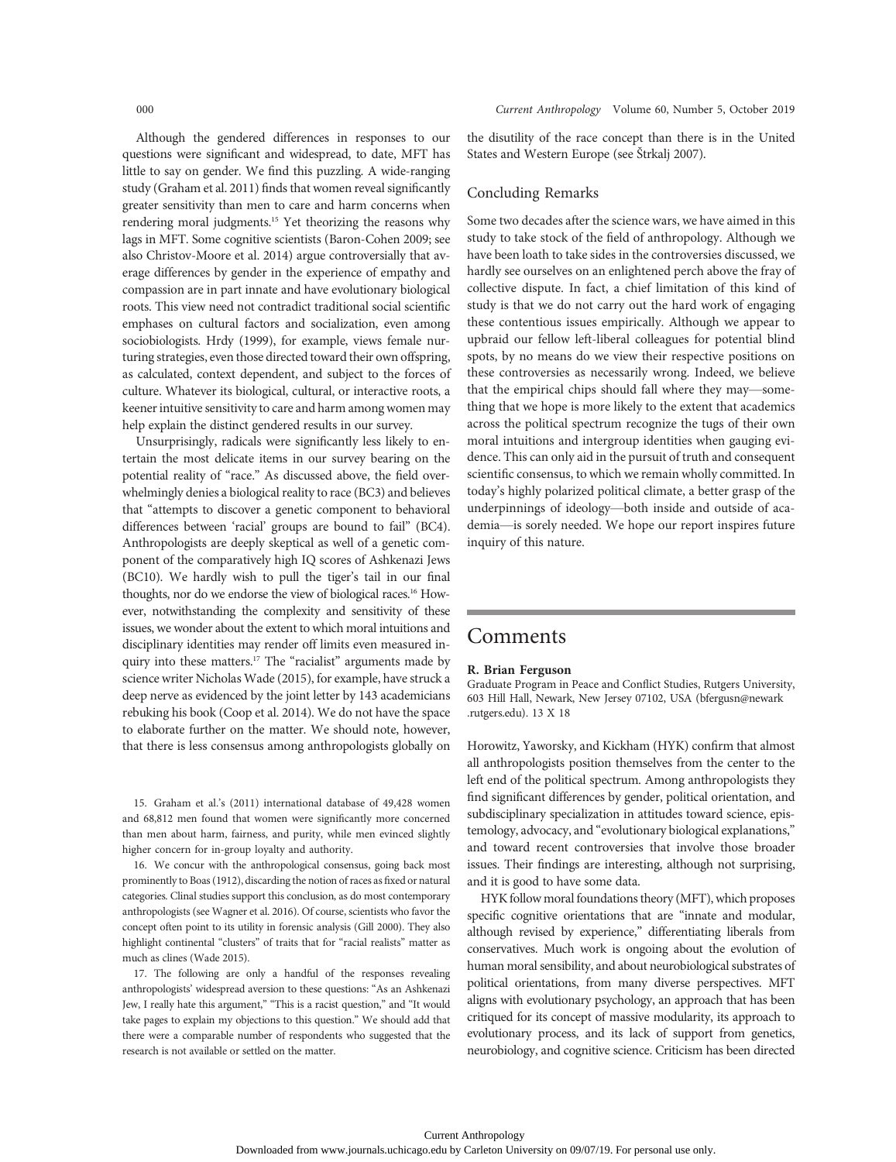Although the gendered differences in responses to our questions were significant and widespread, to date, MFT has little to say on gender. We find this puzzling. A wide-ranging study (Graham et al. 2011) finds that women reveal significantly greater sensitivity than men to care and harm concerns when rendering moral judgments.<sup>15</sup> Yet theorizing the reasons why lags in MFT. Some cognitive scientists (Baron-Cohen 2009; see also Christov-Moore et al. 2014) argue controversially that average differences by gender in the experience of empathy and compassion are in part innate and have evolutionary biological roots. This view need not contradict traditional social scientific emphases on cultural factors and socialization, even among sociobiologists. Hrdy (1999), for example, views female nurturing strategies, even those directed toward their own offspring, as calculated, context dependent, and subject to the forces of culture. Whatever its biological, cultural, or interactive roots, a keener intuitive sensitivity to care and harm among women may help explain the distinct gendered results in our survey.

Unsurprisingly, radicals were significantly less likely to entertain the most delicate items in our survey bearing on the potential reality of "race." As discussed above, the field overwhelmingly denies a biological reality to race (BC3) and believes that "attempts to discover a genetic component to behavioral differences between 'racial' groups are bound to fail" (BC4). Anthropologists are deeply skeptical as well of a genetic component of the comparatively high IQ scores of Ashkenazi Jews (BC10). We hardly wish to pull the tiger's tail in our final thoughts, nor do we endorse the view of biological races.<sup>16</sup> However, notwithstanding the complexity and sensitivity of these issues, we wonder about the extent to which moral intuitions and disciplinary identities may render off limits even measured inquiry into these matters.<sup>17</sup> The "racialist" arguments made by science writer Nicholas Wade (2015), for example, have struck a deep nerve as evidenced by the joint letter by 143 academicians rebuking his book (Coop et al. 2014). We do not have the space to elaborate further on the matter. We should note, however, that there is less consensus among anthropologists globally on

15. Graham et al.'s (2011) international database of 49,428 women and 68,812 men found that women were significantly more concerned than men about harm, fairness, and purity, while men evinced slightly higher concern for in-group loyalty and authority.

16. We concur with the anthropological consensus, going back most prominently to Boas (1912), discarding the notion of races as fixed or natural categories. Clinal studies support this conclusion, as do most contemporary anthropologists (see Wagner et al. 2016). Of course, scientists who favor the concept often point to its utility in forensic analysis (Gill 2000). They also highlight continental "clusters" of traits that for "racial realists" matter as much as clines (Wade 2015).

17. The following are only a handful of the responses revealing anthropologists' widespread aversion to these questions: "As an Ashkenazi Jew, I really hate this argument," "This is a racist question," and "It would take pages to explain my objections to this question." We should add that there were a comparable number of respondents who suggested that the research is not available or settled on the matter.

the disutility of the race concept than there is in the United States and Western Europe (see Štrkalj 2007).

# Concluding Remarks

Some two decades after the science wars, we have aimed in this study to take stock of the field of anthropology. Although we have been loath to take sides in the controversies discussed, we hardly see ourselves on an enlightened perch above the fray of collective dispute. In fact, a chief limitation of this kind of study is that we do not carry out the hard work of engaging these contentious issues empirically. Although we appear to upbraid our fellow left-liberal colleagues for potential blind spots, by no means do we view their respective positions on these controversies as necessarily wrong. Indeed, we believe that the empirical chips should fall where they may—something that we hope is more likely to the extent that academics across the political spectrum recognize the tugs of their own moral intuitions and intergroup identities when gauging evidence. This can only aid in the pursuit of truth and consequent scientific consensus, to which we remain wholly committed. In today's highly polarized political climate, a better grasp of the underpinnings of ideology—both inside and outside of academia—is sorely needed. We hope our report inspires future inquiry of this nature.

# Comments

# R. Brian Ferguson

Graduate Program in Peace and Conflict Studies, Rutgers University, 603 Hill Hall, Newark, New Jersey 07102, USA (bfergusn@newark .rutgers.edu). 13 X 18

Horowitz, Yaworsky, and Kickham (HYK) confirm that almost all anthropologists position themselves from the center to the left end of the political spectrum. Among anthropologists they find significant differences by gender, political orientation, and subdisciplinary specialization in attitudes toward science, epistemology, advocacy, and "evolutionary biological explanations," and toward recent controversies that involve those broader issues. Their findings are interesting, although not surprising, and it is good to have some data.

HYK follow moral foundations theory (MFT), which proposes specific cognitive orientations that are "innate and modular, although revised by experience," differentiating liberals from conservatives. Much work is ongoing about the evolution of human moral sensibility, and about neurobiological substrates of political orientations, from many diverse perspectives. MFT aligns with evolutionary psychology, an approach that has been critiqued for its concept of massive modularity, its approach to evolutionary process, and its lack of support from genetics, neurobiology, and cognitive science. Criticism has been directed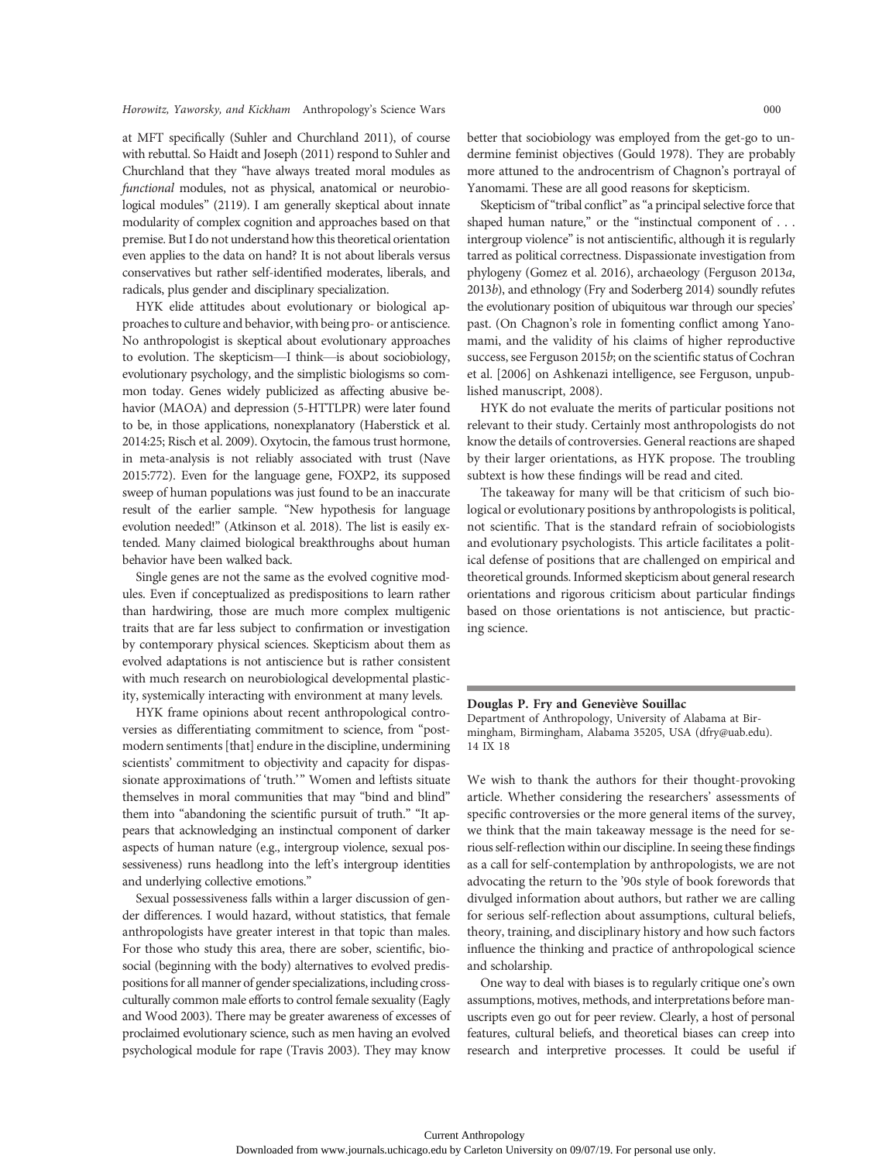at MFT specifically (Suhler and Churchland 2011), of course with rebuttal. So Haidt and Joseph (2011) respond to Suhler and Churchland that they "have always treated moral modules as functional modules, not as physical, anatomical or neurobiological modules" (2119). I am generally skeptical about innate modularity of complex cognition and approaches based on that premise. But I do not understand how this theoretical orientation even applies to the data on hand? It is not about liberals versus conservatives but rather self-identified moderates, liberals, and radicals, plus gender and disciplinary specialization.

HYK elide attitudes about evolutionary or biological approaches to culture and behavior, with being pro- or antiscience. No anthropologist is skeptical about evolutionary approaches to evolution. The skepticism—I think—is about sociobiology, evolutionary psychology, and the simplistic biologisms so common today. Genes widely publicized as affecting abusive behavior (MAOA) and depression (5-HTTLPR) were later found to be, in those applications, nonexplanatory (Haberstick et al. 2014:25; Risch et al. 2009). Oxytocin, the famous trust hormone, in meta-analysis is not reliably associated with trust (Nave 2015:772). Even for the language gene, FOXP2, its supposed sweep of human populations was just found to be an inaccurate result of the earlier sample. "New hypothesis for language evolution needed!" (Atkinson et al. 2018). The list is easily extended. Many claimed biological breakthroughs about human behavior have been walked back.

Single genes are not the same as the evolved cognitive modules. Even if conceptualized as predispositions to learn rather than hardwiring, those are much more complex multigenic traits that are far less subject to confirmation or investigation by contemporary physical sciences. Skepticism about them as evolved adaptations is not antiscience but is rather consistent with much research on neurobiological developmental plasticity, systemically interacting with environment at many levels.

HYK frame opinions about recent anthropological controversies as differentiating commitment to science, from "postmodern sentiments [that] endure in the discipline, undermining scientists' commitment to objectivity and capacity for dispassionate approximations of 'truth.'" Women and leftists situate themselves in moral communities that may "bind and blind" them into "abandoning the scientific pursuit of truth." "It appears that acknowledging an instinctual component of darker aspects of human nature (e.g., intergroup violence, sexual possessiveness) runs headlong into the left's intergroup identities and underlying collective emotions."

Sexual possessiveness falls within a larger discussion of gender differences. I would hazard, without statistics, that female anthropologists have greater interest in that topic than males. For those who study this area, there are sober, scientific, biosocial (beginning with the body) alternatives to evolved predispositions for all manner of gender specializations, including crossculturally common male efforts to control female sexuality (Eagly and Wood 2003). There may be greater awareness of excesses of proclaimed evolutionary science, such as men having an evolved psychological module for rape (Travis 2003). They may know

better that sociobiology was employed from the get-go to undermine feminist objectives (Gould 1978). They are probably more attuned to the androcentrism of Chagnon's portrayal of Yanomami. These are all good reasons for skepticism.

Skepticism of "tribal conflict" as "a principal selective force that shaped human nature," or the "instinctual component of . . . intergroup violence" is not antiscientific, although it is regularly tarred as political correctness. Dispassionate investigation from phylogeny (Gomez et al. 2016), archaeology (Ferguson 2013a, 2013b), and ethnology (Fry and Soderberg 2014) soundly refutes the evolutionary position of ubiquitous war through our species' past. (On Chagnon's role in fomenting conflict among Yanomami, and the validity of his claims of higher reproductive success, see Ferguson 2015b; on the scientific status of Cochran et al. [2006] on Ashkenazi intelligence, see Ferguson, unpublished manuscript, 2008).

HYK do not evaluate the merits of particular positions not relevant to their study. Certainly most anthropologists do not know the details of controversies. General reactions are shaped by their larger orientations, as HYK propose. The troubling subtext is how these findings will be read and cited.

The takeaway for many will be that criticism of such biological or evolutionary positions by anthropologists is political, not scientific. That is the standard refrain of sociobiologists and evolutionary psychologists. This article facilitates a political defense of positions that are challenged on empirical and theoretical grounds. Informed skepticism about general research orientations and rigorous criticism about particular findings based on those orientations is not antiscience, but practicing science.

# Douglas P. Fry and Geneviève Souillac

Department of Anthropology, University of Alabama at Birmingham, Birmingham, Alabama 35205, USA (dfry@uab.edu). 14 IX 18

We wish to thank the authors for their thought-provoking article. Whether considering the researchers' assessments of specific controversies or the more general items of the survey, we think that the main takeaway message is the need for serious self-reflection within our discipline. In seeing these findings as a call for self-contemplation by anthropologists, we are not advocating the return to the '90s style of book forewords that divulged information about authors, but rather we are calling for serious self-reflection about assumptions, cultural beliefs, theory, training, and disciplinary history and how such factors influence the thinking and practice of anthropological science and scholarship.

One way to deal with biases is to regularly critique one's own assumptions, motives, methods, and interpretations before manuscripts even go out for peer review. Clearly, a host of personal features, cultural beliefs, and theoretical biases can creep into research and interpretive processes. It could be useful if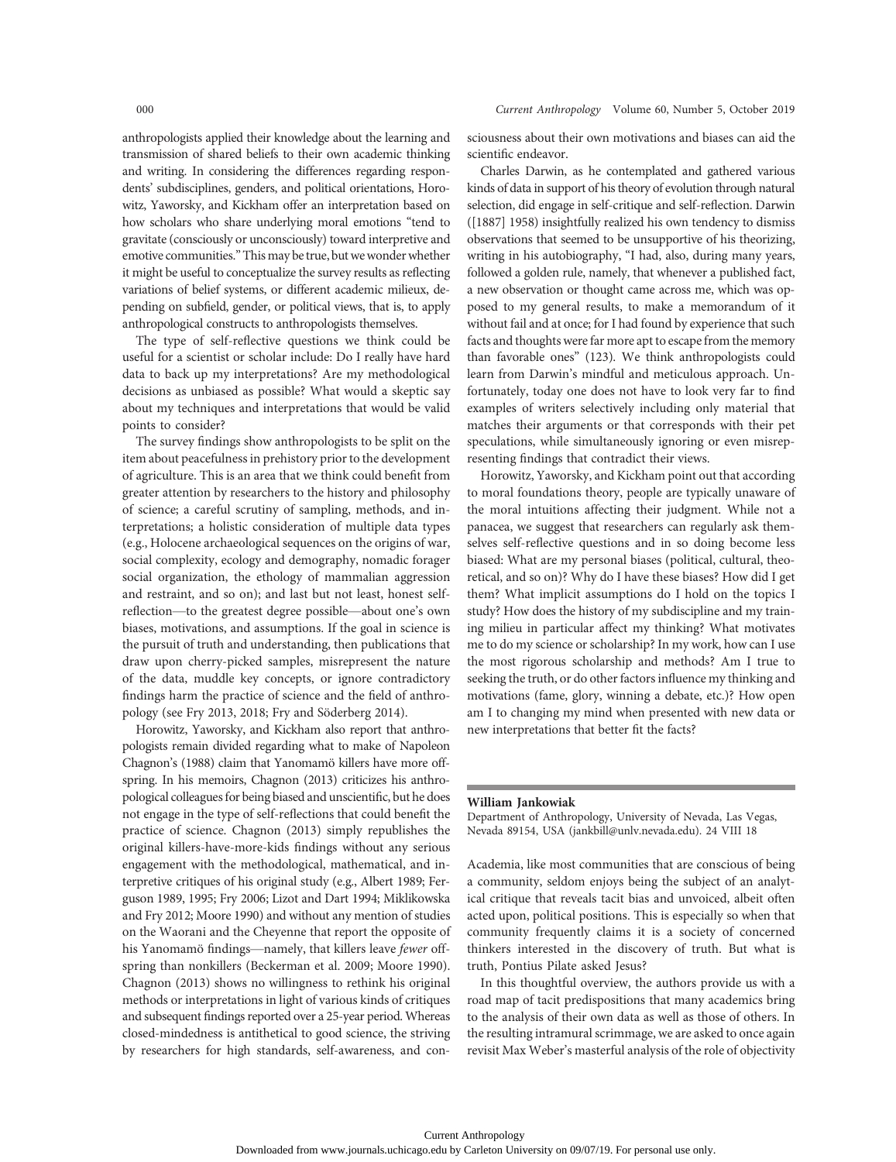anthropologists applied their knowledge about the learning and transmission of shared beliefs to their own academic thinking and writing. In considering the differences regarding respondents' subdisciplines, genders, and political orientations, Horowitz, Yaworsky, and Kickham offer an interpretation based on how scholars who share underlying moral emotions "tend to gravitate (consciously or unconsciously) toward interpretive and emotive communities."This may be true, but we wonder whether it might be useful to conceptualize the survey results as reflecting variations of belief systems, or different academic milieux, depending on subfield, gender, or political views, that is, to apply anthropological constructs to anthropologists themselves.

The type of self-reflective questions we think could be useful for a scientist or scholar include: Do I really have hard data to back up my interpretations? Are my methodological decisions as unbiased as possible? What would a skeptic say about my techniques and interpretations that would be valid points to consider?

The survey findings show anthropologists to be split on the item about peacefulness in prehistory prior to the development of agriculture. This is an area that we think could benefit from greater attention by researchers to the history and philosophy of science; a careful scrutiny of sampling, methods, and interpretations; a holistic consideration of multiple data types (e.g., Holocene archaeological sequences on the origins of war, social complexity, ecology and demography, nomadic forager social organization, the ethology of mammalian aggression and restraint, and so on); and last but not least, honest selfreflection—to the greatest degree possible—about one's own biases, motivations, and assumptions. If the goal in science is the pursuit of truth and understanding, then publications that draw upon cherry-picked samples, misrepresent the nature of the data, muddle key concepts, or ignore contradictory findings harm the practice of science and the field of anthropology (see Fry 2013, 2018; Fry and Söderberg 2014).

Horowitz, Yaworsky, and Kickham also report that anthropologists remain divided regarding what to make of Napoleon Chagnon's (1988) claim that Yanomamö killers have more offspring. In his memoirs, Chagnon (2013) criticizes his anthropological colleaguesfor being biased and unscientific, but he does not engage in the type of self-reflections that could benefit the practice of science. Chagnon (2013) simply republishes the original killers-have-more-kids findings without any serious engagement with the methodological, mathematical, and interpretive critiques of his original study (e.g., Albert 1989; Ferguson 1989, 1995; Fry 2006; Lizot and Dart 1994; Miklikowska and Fry 2012; Moore 1990) and without any mention of studies on the Waorani and the Cheyenne that report the opposite of his Yanomamö findings—namely, that killers leave fewer offspring than nonkillers (Beckerman et al. 2009; Moore 1990). Chagnon (2013) shows no willingness to rethink his original methods or interpretations in light of various kinds of critiques and subsequent findings reported over a 25-year period. Whereas closed-mindedness is antithetical to good science, the striving by researchers for high standards, self-awareness, and consciousness about their own motivations and biases can aid the scientific endeavor.

Charles Darwin, as he contemplated and gathered various kinds of data in support of his theory of evolution through natural selection, did engage in self-critique and self-reflection. Darwin ([1887] 1958) insightfully realized his own tendency to dismiss observations that seemed to be unsupportive of his theorizing, writing in his autobiography, "I had, also, during many years, followed a golden rule, namely, that whenever a published fact, a new observation or thought came across me, which was opposed to my general results, to make a memorandum of it without fail and at once; for I had found by experience that such facts and thoughts were far more apt to escape from the memory than favorable ones" (123). We think anthropologists could learn from Darwin's mindful and meticulous approach. Unfortunately, today one does not have to look very far to find examples of writers selectively including only material that matches their arguments or that corresponds with their pet speculations, while simultaneously ignoring or even misrepresenting findings that contradict their views.

Horowitz, Yaworsky, and Kickham point out that according to moral foundations theory, people are typically unaware of the moral intuitions affecting their judgment. While not a panacea, we suggest that researchers can regularly ask themselves self-reflective questions and in so doing become less biased: What are my personal biases (political, cultural, theoretical, and so on)? Why do I have these biases? How did I get them? What implicit assumptions do I hold on the topics I study? How does the history of my subdiscipline and my training milieu in particular affect my thinking? What motivates me to do my science or scholarship? In my work, how can I use the most rigorous scholarship and methods? Am I true to seeking the truth, or do other factors influence my thinking and motivations (fame, glory, winning a debate, etc.)? How open am I to changing my mind when presented with new data or new interpretations that better fit the facts?

#### William Jankowiak

Department of Anthropology, University of Nevada, Las Vegas, Nevada 89154, USA (jankbill@unlv.nevada.edu). 24 VIII 18

Academia, like most communities that are conscious of being a community, seldom enjoys being the subject of an analytical critique that reveals tacit bias and unvoiced, albeit often acted upon, political positions. This is especially so when that community frequently claims it is a society of concerned thinkers interested in the discovery of truth. But what is truth, Pontius Pilate asked Jesus?

In this thoughtful overview, the authors provide us with a road map of tacit predispositions that many academics bring to the analysis of their own data as well as those of others. In the resulting intramural scrimmage, we are asked to once again revisit Max Weber's masterful analysis of the role of objectivity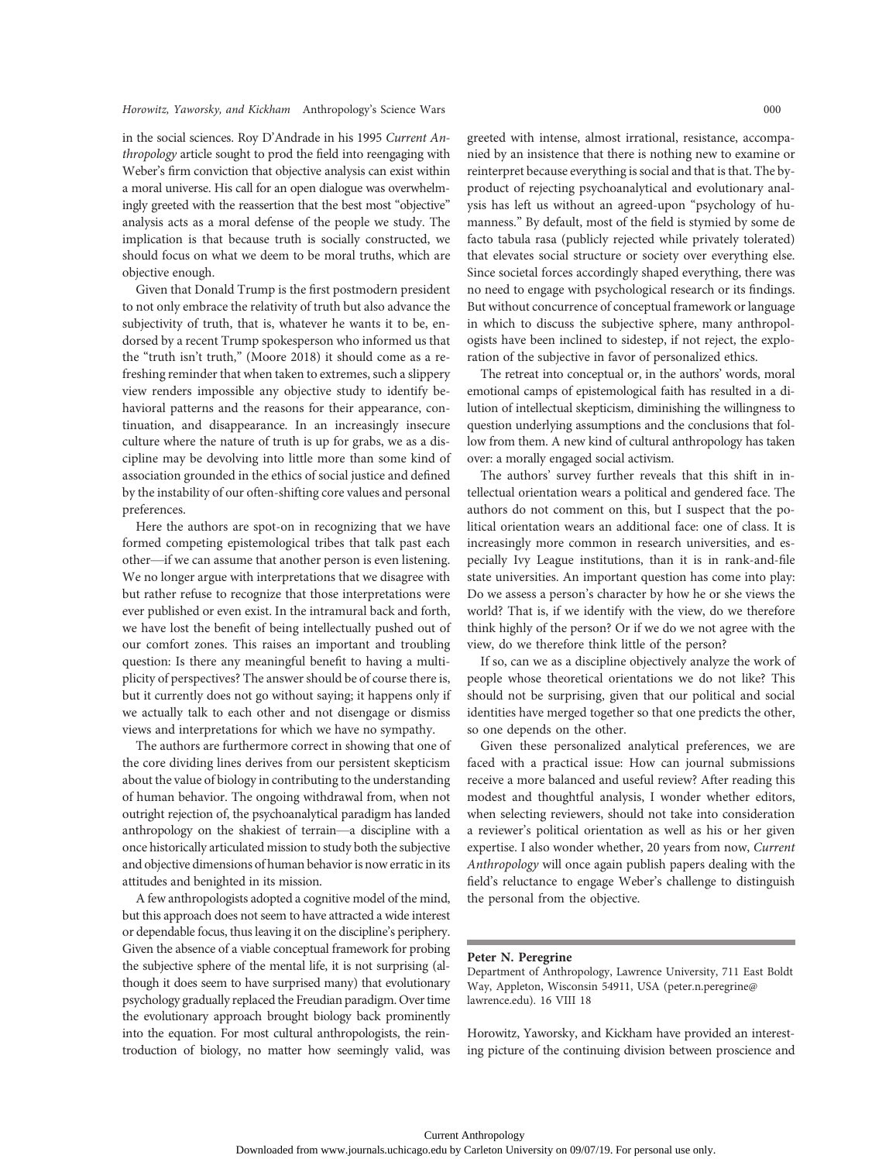in the social sciences. Roy D'Andrade in his 1995 Current Anthropology article sought to prod the field into reengaging with Weber's firm conviction that objective analysis can exist within a moral universe. His call for an open dialogue was overwhelmingly greeted with the reassertion that the best most "objective" analysis acts as a moral defense of the people we study. The implication is that because truth is socially constructed, we should focus on what we deem to be moral truths, which are objective enough.

Given that Donald Trump is the first postmodern president to not only embrace the relativity of truth but also advance the subjectivity of truth, that is, whatever he wants it to be, endorsed by a recent Trump spokesperson who informed us that the "truth isn't truth," (Moore 2018) it should come as a refreshing reminder that when taken to extremes, such a slippery view renders impossible any objective study to identify behavioral patterns and the reasons for their appearance, continuation, and disappearance. In an increasingly insecure culture where the nature of truth is up for grabs, we as a discipline may be devolving into little more than some kind of association grounded in the ethics of social justice and defined by the instability of our often-shifting core values and personal preferences.

Here the authors are spot-on in recognizing that we have formed competing epistemological tribes that talk past each other—if we can assume that another person is even listening. We no longer argue with interpretations that we disagree with but rather refuse to recognize that those interpretations were ever published or even exist. In the intramural back and forth, we have lost the benefit of being intellectually pushed out of our comfort zones. This raises an important and troubling question: Is there any meaningful benefit to having a multiplicity of perspectives? The answer should be of course there is, but it currently does not go without saying; it happens only if we actually talk to each other and not disengage or dismiss views and interpretations for which we have no sympathy.

The authors are furthermore correct in showing that one of the core dividing lines derives from our persistent skepticism about the value of biology in contributing to the understanding of human behavior. The ongoing withdrawal from, when not outright rejection of, the psychoanalytical paradigm has landed anthropology on the shakiest of terrain—a discipline with a once historically articulated mission to study both the subjective and objective dimensions of human behavior is now erratic in its attitudes and benighted in its mission.

A few anthropologists adopted a cognitive model of the mind, but this approach does not seem to have attracted a wide interest or dependable focus, thus leaving it on the discipline's periphery. Given the absence of a viable conceptual framework for probing the subjective sphere of the mental life, it is not surprising (although it does seem to have surprised many) that evolutionary psychology gradually replaced the Freudian paradigm. Over time the evolutionary approach brought biology back prominently into the equation. For most cultural anthropologists, the reintroduction of biology, no matter how seemingly valid, was

greeted with intense, almost irrational, resistance, accompanied by an insistence that there is nothing new to examine or reinterpret because everything is social and that is that. The byproduct of rejecting psychoanalytical and evolutionary analysis has left us without an agreed-upon "psychology of humanness." By default, most of the field is stymied by some de facto tabula rasa (publicly rejected while privately tolerated) that elevates social structure or society over everything else. Since societal forces accordingly shaped everything, there was no need to engage with psychological research or its findings. But without concurrence of conceptual framework or language in which to discuss the subjective sphere, many anthropologists have been inclined to sidestep, if not reject, the exploration of the subjective in favor of personalized ethics.

The retreat into conceptual or, in the authors' words, moral emotional camps of epistemological faith has resulted in a dilution of intellectual skepticism, diminishing the willingness to question underlying assumptions and the conclusions that follow from them. A new kind of cultural anthropology has taken over: a morally engaged social activism.

The authors' survey further reveals that this shift in intellectual orientation wears a political and gendered face. The authors do not comment on this, but I suspect that the political orientation wears an additional face: one of class. It is increasingly more common in research universities, and especially Ivy League institutions, than it is in rank-and-file state universities. An important question has come into play: Do we assess a person's character by how he or she views the world? That is, if we identify with the view, do we therefore think highly of the person? Or if we do we not agree with the view, do we therefore think little of the person?

If so, can we as a discipline objectively analyze the work of people whose theoretical orientations we do not like? This should not be surprising, given that our political and social identities have merged together so that one predicts the other, so one depends on the other.

Given these personalized analytical preferences, we are faced with a practical issue: How can journal submissions receive a more balanced and useful review? After reading this modest and thoughtful analysis, I wonder whether editors, when selecting reviewers, should not take into consideration a reviewer's political orientation as well as his or her given expertise. I also wonder whether, 20 years from now, Current Anthropology will once again publish papers dealing with the field's reluctance to engage Weber's challenge to distinguish the personal from the objective.

#### Peter N. Peregrine

Department of Anthropology, Lawrence University, 711 East Boldt Way, Appleton, Wisconsin 54911, USA (peter.n.peregrine@ lawrence.edu). 16 VIII 18

Horowitz, Yaworsky, and Kickham have provided an interesting picture of the continuing division between proscience and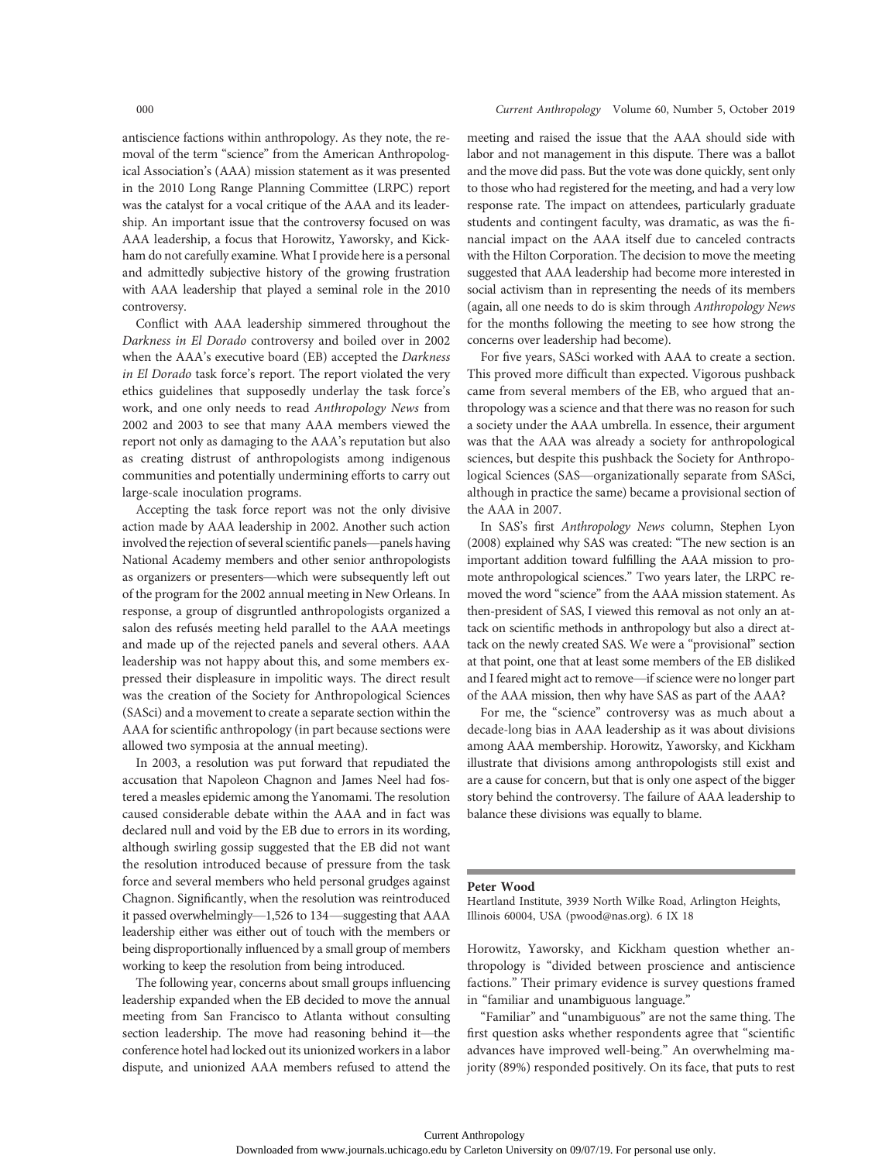antiscience factions within anthropology. As they note, the removal of the term "science" from the American Anthropological Association's (AAA) mission statement as it was presented in the 2010 Long Range Planning Committee (LRPC) report was the catalyst for a vocal critique of the AAA and its leadership. An important issue that the controversy focused on was AAA leadership, a focus that Horowitz, Yaworsky, and Kickham do not carefully examine. What I provide here is a personal and admittedly subjective history of the growing frustration with AAA leadership that played a seminal role in the 2010 controversy.

Conflict with AAA leadership simmered throughout the Darkness in El Dorado controversy and boiled over in 2002 when the AAA's executive board (EB) accepted the Darkness in El Dorado task force's report. The report violated the very ethics guidelines that supposedly underlay the task force's work, and one only needs to read Anthropology News from 2002 and 2003 to see that many AAA members viewed the report not only as damaging to the AAA's reputation but also as creating distrust of anthropologists among indigenous communities and potentially undermining efforts to carry out large-scale inoculation programs.

Accepting the task force report was not the only divisive action made by AAA leadership in 2002. Another such action involved the rejection of several scientific panels—panels having National Academy members and other senior anthropologists as organizers or presenters—which were subsequently left out of the program for the 2002 annual meeting in New Orleans. In response, a group of disgruntled anthropologists organized a salon des refusés meeting held parallel to the AAA meetings and made up of the rejected panels and several others. AAA leadership was not happy about this, and some members expressed their displeasure in impolitic ways. The direct result was the creation of the Society for Anthropological Sciences (SASci) and a movement to create a separate section within the AAA for scientific anthropology (in part because sections were allowed two symposia at the annual meeting).

In 2003, a resolution was put forward that repudiated the accusation that Napoleon Chagnon and James Neel had fostered a measles epidemic among the Yanomami. The resolution caused considerable debate within the AAA and in fact was declared null and void by the EB due to errors in its wording, although swirling gossip suggested that the EB did not want the resolution introduced because of pressure from the task force and several members who held personal grudges against Chagnon. Significantly, when the resolution was reintroduced it passed overwhelmingly—1,526 to 134—suggesting that AAA leadership either was either out of touch with the members or being disproportionally influenced by a small group of members working to keep the resolution from being introduced.

The following year, concerns about small groups influencing leadership expanded when the EB decided to move the annual meeting from San Francisco to Atlanta without consulting section leadership. The move had reasoning behind it—the conference hotel had locked out its unionized workers in a labor dispute, and unionized AAA members refused to attend the

# 000 Current Anthropology Volume 60, Number 5, October 2019

meeting and raised the issue that the AAA should side with labor and not management in this dispute. There was a ballot and the move did pass. But the vote was done quickly, sent only to those who had registered for the meeting, and had a very low response rate. The impact on attendees, particularly graduate students and contingent faculty, was dramatic, as was the financial impact on the AAA itself due to canceled contracts with the Hilton Corporation. The decision to move the meeting suggested that AAA leadership had become more interested in social activism than in representing the needs of its members (again, all one needs to do is skim through Anthropology News for the months following the meeting to see how strong the concerns over leadership had become).

For five years, SASci worked with AAA to create a section. This proved more difficult than expected. Vigorous pushback came from several members of the EB, who argued that anthropology was a science and that there was no reason for such a society under the AAA umbrella. In essence, their argument was that the AAA was already a society for anthropological sciences, but despite this pushback the Society for Anthropological Sciences (SAS—organizationally separate from SASci, although in practice the same) became a provisional section of the AAA in 2007.

In SAS's first Anthropology News column, Stephen Lyon (2008) explained why SAS was created: "The new section is an important addition toward fulfilling the AAA mission to promote anthropological sciences." Two years later, the LRPC removed the word "science" from the AAA mission statement. As then-president of SAS, I viewed this removal as not only an attack on scientific methods in anthropology but also a direct attack on the newly created SAS. We were a "provisional" section at that point, one that at least some members of the EB disliked and I feared might act to remove—if science were no longer part of the AAA mission, then why have SAS as part of the AAA?

For me, the "science" controversy was as much about a decade-long bias in AAA leadership as it was about divisions among AAA membership. Horowitz, Yaworsky, and Kickham illustrate that divisions among anthropologists still exist and are a cause for concern, but that is only one aspect of the bigger story behind the controversy. The failure of AAA leadership to balance these divisions was equally to blame.

#### Peter Wood

Heartland Institute, 3939 North Wilke Road, Arlington Heights, Illinois 60004, USA (pwood@nas.org). 6 IX 18

Horowitz, Yaworsky, and Kickham question whether anthropology is "divided between proscience and antiscience factions." Their primary evidence is survey questions framed in "familiar and unambiguous language."

"Familiar" and "unambiguous" are not the same thing. The first question asks whether respondents agree that "scientific advances have improved well-being." An overwhelming majority (89%) responded positively. On its face, that puts to rest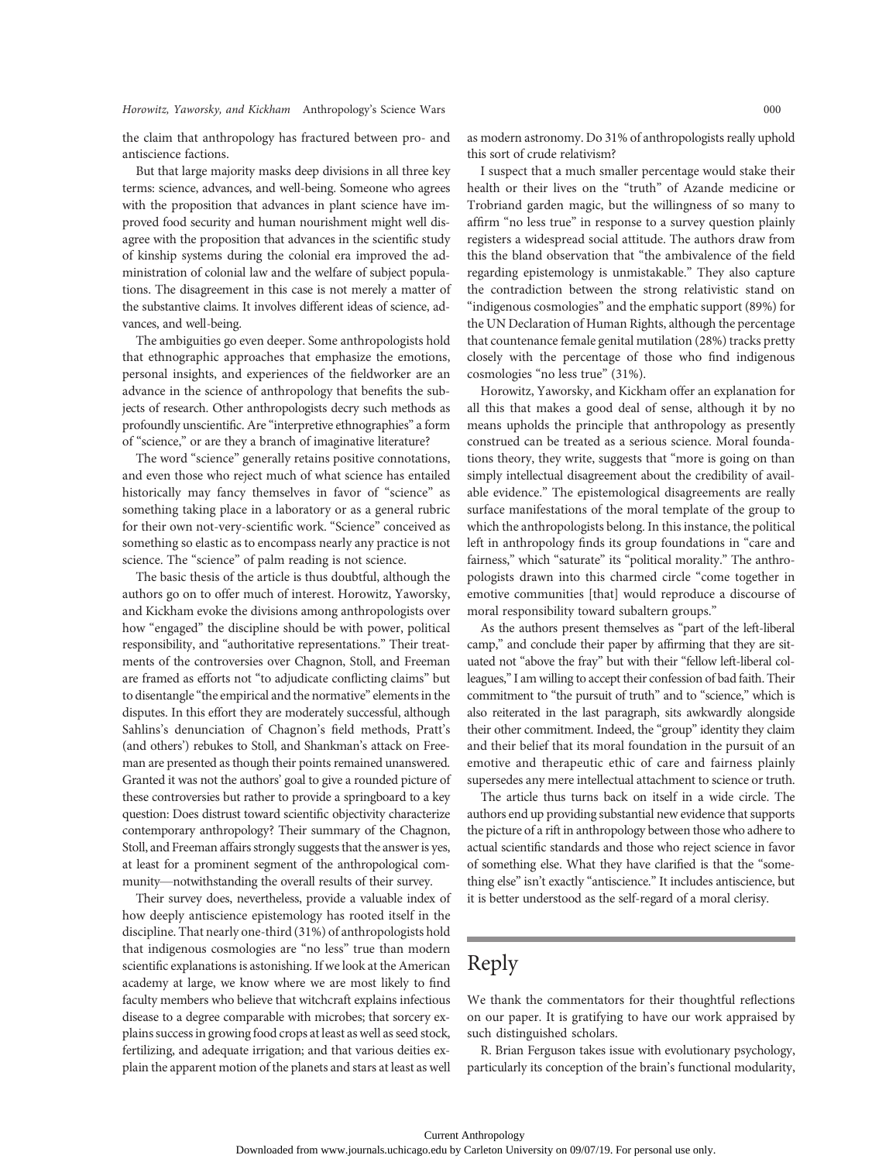the claim that anthropology has fractured between pro- and antiscience factions.

But that large majority masks deep divisions in all three key terms: science, advances, and well-being. Someone who agrees with the proposition that advances in plant science have improved food security and human nourishment might well disagree with the proposition that advances in the scientific study of kinship systems during the colonial era improved the administration of colonial law and the welfare of subject populations. The disagreement in this case is not merely a matter of the substantive claims. It involves different ideas of science, advances, and well-being.

The ambiguities go even deeper. Some anthropologists hold that ethnographic approaches that emphasize the emotions, personal insights, and experiences of the fieldworker are an advance in the science of anthropology that benefits the subjects of research. Other anthropologists decry such methods as profoundly unscientific. Are "interpretive ethnographies" a form of "science," or are they a branch of imaginative literature?

The word "science" generally retains positive connotations, and even those who reject much of what science has entailed historically may fancy themselves in favor of "science" as something taking place in a laboratory or as a general rubric for their own not-very-scientific work. "Science" conceived as something so elastic as to encompass nearly any practice is not science. The "science" of palm reading is not science.

The basic thesis of the article is thus doubtful, although the authors go on to offer much of interest. Horowitz, Yaworsky, and Kickham evoke the divisions among anthropologists over how "engaged" the discipline should be with power, political responsibility, and "authoritative representations." Their treatments of the controversies over Chagnon, Stoll, and Freeman are framed as efforts not "to adjudicate conflicting claims" but to disentangle "the empirical and the normative" elements in the disputes. In this effort they are moderately successful, although Sahlins's denunciation of Chagnon's field methods, Pratt's (and others') rebukes to Stoll, and Shankman's attack on Freeman are presented as though their points remained unanswered. Granted it was not the authors' goal to give a rounded picture of these controversies but rather to provide a springboard to a key question: Does distrust toward scientific objectivity characterize contemporary anthropology? Their summary of the Chagnon, Stoll, and Freeman affairs strongly suggests that the answer is yes, at least for a prominent segment of the anthropological community—notwithstanding the overall results of their survey.

Their survey does, nevertheless, provide a valuable index of how deeply antiscience epistemology has rooted itself in the discipline. That nearly one-third (31%) of anthropologists hold that indigenous cosmologies are "no less" true than modern scientific explanations is astonishing. If we look at the American academy at large, we know where we are most likely to find faculty members who believe that witchcraft explains infectious disease to a degree comparable with microbes; that sorcery explains success in growing food crops at least as well as seed stock, fertilizing, and adequate irrigation; and that various deities explain the apparent motion of the planets and stars at least as well

as modern astronomy. Do 31% of anthropologists really uphold this sort of crude relativism?

I suspect that a much smaller percentage would stake their health or their lives on the "truth" of Azande medicine or Trobriand garden magic, but the willingness of so many to affirm "no less true" in response to a survey question plainly registers a widespread social attitude. The authors draw from this the bland observation that "the ambivalence of the field regarding epistemology is unmistakable." They also capture the contradiction between the strong relativistic stand on "indigenous cosmologies" and the emphatic support (89%) for the UN Declaration of Human Rights, although the percentage that countenance female genital mutilation (28%) tracks pretty closely with the percentage of those who find indigenous cosmologies "no less true" (31%).

Horowitz, Yaworsky, and Kickham offer an explanation for all this that makes a good deal of sense, although it by no means upholds the principle that anthropology as presently construed can be treated as a serious science. Moral foundations theory, they write, suggests that "more is going on than simply intellectual disagreement about the credibility of available evidence." The epistemological disagreements are really surface manifestations of the moral template of the group to which the anthropologists belong. In this instance, the political left in anthropology finds its group foundations in "care and fairness," which "saturate" its "political morality." The anthropologists drawn into this charmed circle "come together in emotive communities [that] would reproduce a discourse of moral responsibility toward subaltern groups."

As the authors present themselves as "part of the left-liberal camp," and conclude their paper by affirming that they are situated not "above the fray" but with their "fellow left-liberal colleagues,"I am willing to accept their confession of bad faith. Their commitment to "the pursuit of truth" and to "science," which is also reiterated in the last paragraph, sits awkwardly alongside their other commitment. Indeed, the "group" identity they claim and their belief that its moral foundation in the pursuit of an emotive and therapeutic ethic of care and fairness plainly supersedes any mere intellectual attachment to science or truth.

The article thus turns back on itself in a wide circle. The authors end up providing substantial new evidence that supports the picture of a rift in anthropology between those who adhere to actual scientific standards and those who reject science in favor of something else. What they have clarified is that the "something else" isn't exactly "antiscience." It includes antiscience, but it is better understood as the self-regard of a moral clerisy.

# Reply

We thank the commentators for their thoughtful reflections on our paper. It is gratifying to have our work appraised by such distinguished scholars.

R. Brian Ferguson takes issue with evolutionary psychology, particularly its conception of the brain's functional modularity,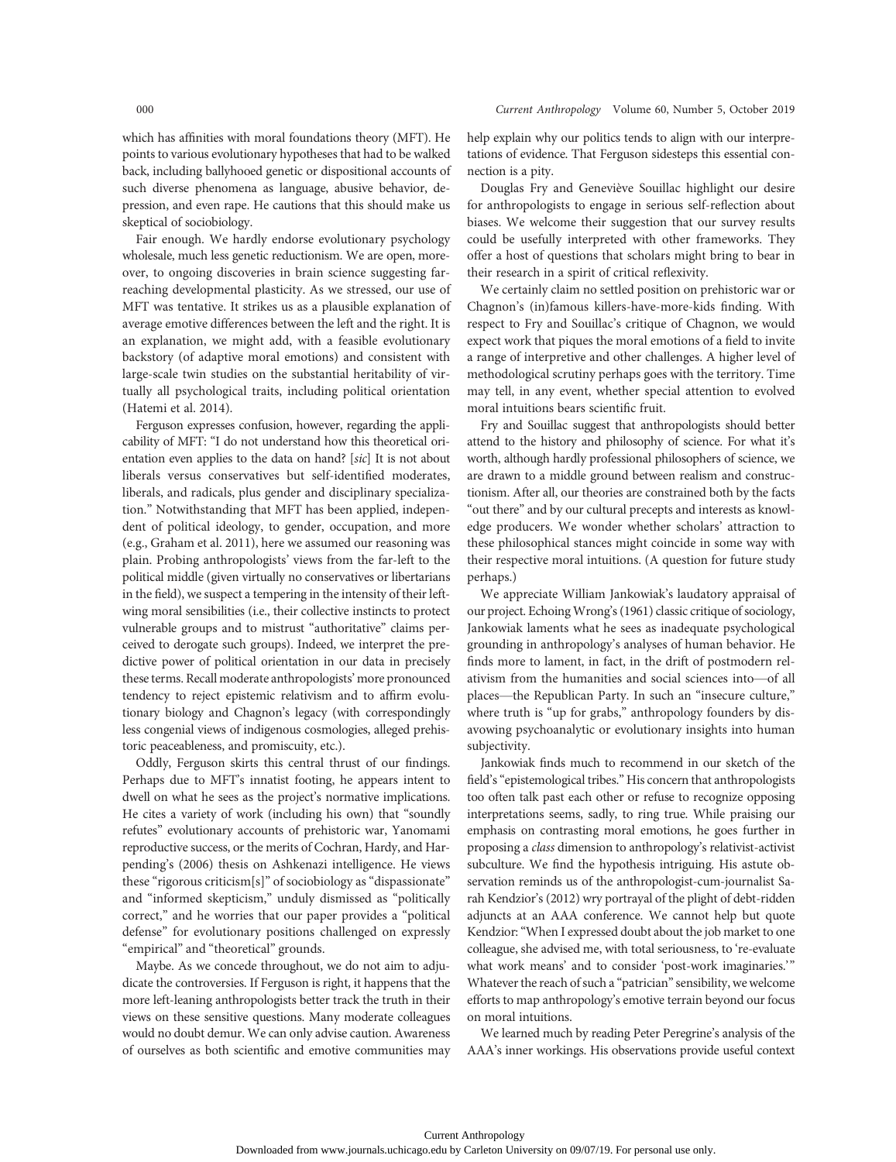which has affinities with moral foundations theory (MFT). He points to various evolutionary hypotheses that had to be walked back, including ballyhooed genetic or dispositional accounts of such diverse phenomena as language, abusive behavior, depression, and even rape. He cautions that this should make us skeptical of sociobiology.

Fair enough. We hardly endorse evolutionary psychology wholesale, much less genetic reductionism. We are open, moreover, to ongoing discoveries in brain science suggesting farreaching developmental plasticity. As we stressed, our use of MFT was tentative. It strikes us as a plausible explanation of average emotive differences between the left and the right. It is an explanation, we might add, with a feasible evolutionary backstory (of adaptive moral emotions) and consistent with large-scale twin studies on the substantial heritability of virtually all psychological traits, including political orientation (Hatemi et al. 2014).

Ferguson expresses confusion, however, regarding the applicability of MFT: "I do not understand how this theoretical orientation even applies to the data on hand? [sic] It is not about liberals versus conservatives but self-identified moderates, liberals, and radicals, plus gender and disciplinary specialization." Notwithstanding that MFT has been applied, independent of political ideology, to gender, occupation, and more (e.g., Graham et al. 2011), here we assumed our reasoning was plain. Probing anthropologists' views from the far-left to the political middle (given virtually no conservatives or libertarians in the field), we suspect a tempering in the intensity of their leftwing moral sensibilities (i.e., their collective instincts to protect vulnerable groups and to mistrust "authoritative" claims perceived to derogate such groups). Indeed, we interpret the predictive power of political orientation in our data in precisely these terms. Recall moderate anthropologists' more pronounced tendency to reject epistemic relativism and to affirm evolutionary biology and Chagnon's legacy (with correspondingly less congenial views of indigenous cosmologies, alleged prehistoric peaceableness, and promiscuity, etc.).

Oddly, Ferguson skirts this central thrust of our findings. Perhaps due to MFT's innatist footing, he appears intent to dwell on what he sees as the project's normative implications. He cites a variety of work (including his own) that "soundly refutes" evolutionary accounts of prehistoric war, Yanomami reproductive success, or the merits of Cochran, Hardy, and Harpending's (2006) thesis on Ashkenazi intelligence. He views these "rigorous criticism[s]" of sociobiology as "dispassionate" and "informed skepticism," unduly dismissed as "politically correct," and he worries that our paper provides a "political defense" for evolutionary positions challenged on expressly "empirical" and "theoretical" grounds.

Maybe. As we concede throughout, we do not aim to adjudicate the controversies. If Ferguson is right, it happens that the more left-leaning anthropologists better track the truth in their views on these sensitive questions. Many moderate colleagues would no doubt demur. We can only advise caution. Awareness of ourselves as both scientific and emotive communities may help explain why our politics tends to align with our interpretations of evidence. That Ferguson sidesteps this essential connection is a pity.

Douglas Fry and Geneviève Souillac highlight our desire for anthropologists to engage in serious self-reflection about biases. We welcome their suggestion that our survey results could be usefully interpreted with other frameworks. They offer a host of questions that scholars might bring to bear in their research in a spirit of critical reflexivity.

We certainly claim no settled position on prehistoric war or Chagnon's (in)famous killers-have-more-kids finding. With respect to Fry and Souillac's critique of Chagnon, we would expect work that piques the moral emotions of a field to invite a range of interpretive and other challenges. A higher level of methodological scrutiny perhaps goes with the territory. Time may tell, in any event, whether special attention to evolved moral intuitions bears scientific fruit.

Fry and Souillac suggest that anthropologists should better attend to the history and philosophy of science. For what it's worth, although hardly professional philosophers of science, we are drawn to a middle ground between realism and constructionism. After all, our theories are constrained both by the facts "out there" and by our cultural precepts and interests as knowledge producers. We wonder whether scholars' attraction to these philosophical stances might coincide in some way with their respective moral intuitions. (A question for future study perhaps.)

We appreciate William Jankowiak's laudatory appraisal of our project. Echoing Wrong's (1961) classic critique of sociology, Jankowiak laments what he sees as inadequate psychological grounding in anthropology's analyses of human behavior. He finds more to lament, in fact, in the drift of postmodern relativism from the humanities and social sciences into—of all places—the Republican Party. In such an "insecure culture," where truth is "up for grabs," anthropology founders by disavowing psychoanalytic or evolutionary insights into human subjectivity.

Jankowiak finds much to recommend in our sketch of the field's"epistemological tribes." His concern that anthropologists too often talk past each other or refuse to recognize opposing interpretations seems, sadly, to ring true. While praising our emphasis on contrasting moral emotions, he goes further in proposing a class dimension to anthropology's relativist-activist subculture. We find the hypothesis intriguing. His astute observation reminds us of the anthropologist-cum-journalist Sarah Kendzior's (2012) wry portrayal of the plight of debt-ridden adjuncts at an AAA conference. We cannot help but quote Kendzior:"When I expressed doubt about the job market to one colleague, she advised me, with total seriousness, to 're-evaluate what work means' and to consider 'post-work imaginaries.'" Whatever the reach of such a "patrician" sensibility, we welcome efforts to map anthropology's emotive terrain beyond our focus on moral intuitions.

We learned much by reading Peter Peregrine's analysis of the AAA's inner workings. His observations provide useful context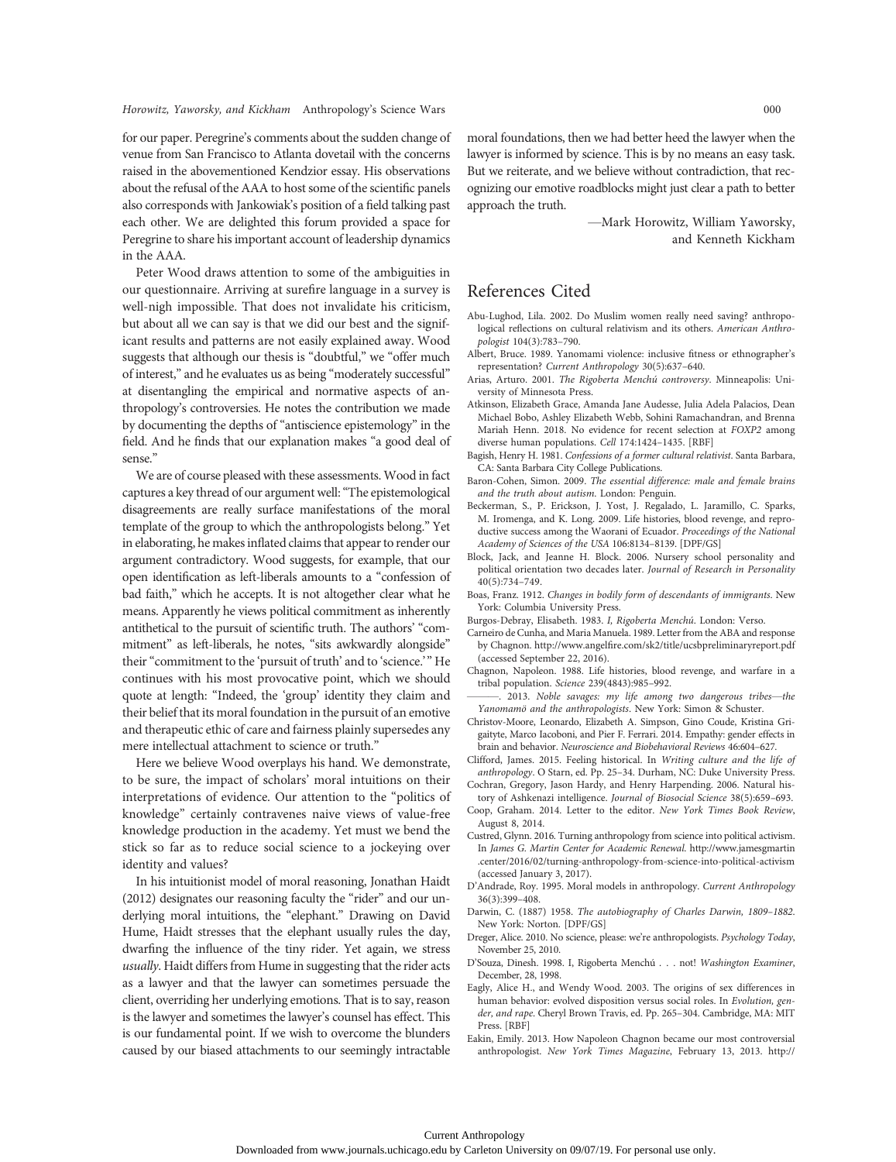for our paper. Peregrine's comments about the sudden change of venue from San Francisco to Atlanta dovetail with the concerns raised in the abovementioned Kendzior essay. His observations about the refusal of the AAA to host some of the scientific panels also corresponds with Jankowiak's position of a field talking past each other. We are delighted this forum provided a space for Peregrine to share his important account of leadership dynamics in the AAA.

Peter Wood draws attention to some of the ambiguities in our questionnaire. Arriving at surefire language in a survey is well-nigh impossible. That does not invalidate his criticism, but about all we can say is that we did our best and the significant results and patterns are not easily explained away. Wood suggests that although our thesis is "doubtful," we "offer much of interest," and he evaluates us as being "moderately successful" at disentangling the empirical and normative aspects of anthropology's controversies. He notes the contribution we made by documenting the depths of "antiscience epistemology" in the field. And he finds that our explanation makes "a good deal of sense."

We are of course pleased with these assessments. Wood in fact captures a key thread of our argument well:"The epistemological disagreements are really surface manifestations of the moral template of the group to which the anthropologists belong." Yet in elaborating, he makes inflated claims that appear to render our argument contradictory. Wood suggests, for example, that our open identification as left-liberals amounts to a "confession of bad faith," which he accepts. It is not altogether clear what he means. Apparently he views political commitment as inherently antithetical to the pursuit of scientific truth. The authors' "commitment" as left-liberals, he notes, "sits awkwardly alongside" their"commitment to the 'pursuit of truth' and to 'science.'" He continues with his most provocative point, which we should quote at length: "Indeed, the 'group' identity they claim and their belief that its moral foundation in the pursuit of an emotive and therapeutic ethic of care and fairness plainly supersedes any mere intellectual attachment to science or truth."

Here we believe Wood overplays his hand. We demonstrate, to be sure, the impact of scholars' moral intuitions on their interpretations of evidence. Our attention to the "politics of knowledge" certainly contravenes naive views of value-free knowledge production in the academy. Yet must we bend the stick so far as to reduce social science to a jockeying over identity and values?

In his intuitionist model of moral reasoning, Jonathan Haidt (2012) designates our reasoning faculty the "rider" and our underlying moral intuitions, the "elephant." Drawing on David Hume, Haidt stresses that the elephant usually rules the day, dwarfing the influence of the tiny rider. Yet again, we stress usually. Haidt differs from Hume in suggesting that the rider acts as a lawyer and that the lawyer can sometimes persuade the client, overriding her underlying emotions. That is to say, reason is the lawyer and sometimes the lawyer's counsel has effect. This is our fundamental point. If we wish to overcome the blunders caused by our biased attachments to our seemingly intractable moral foundations, then we had better heed the lawyer when the lawyer is informed by science. This is by no means an easy task. But we reiterate, and we believe without contradiction, that recognizing our emotive roadblocks might just clear a path to better approach the truth.

> —Mark Horowitz, William Yaworsky, and Kenneth Kickham

# References Cited

- Abu-Lughod, Lila. 2002. Do Muslim women really need saving? anthropological reflections on cultural relativism and its others. American Anthropologist 104(3):783–790.
- Albert, Bruce. 1989. Yanomami violence: inclusive fitness or ethnographer's representation? Current Anthropology 30(5):637–640.
- Arias, Arturo. 2001. The Rigoberta Menchú controversy. Minneapolis: University of Minnesota Press.
- Atkinson, Elizabeth Grace, Amanda Jane Audesse, Julia Adela Palacios, Dean Michael Bobo, Ashley Elizabeth Webb, Sohini Ramachandran, and Brenna Mariah Henn. 2018. No evidence for recent selection at FOXP2 among diverse human populations. Cell 174:1424–1435. [RBF]
- Bagish, Henry H. 1981. Confessions of a former cultural relativist. Santa Barbara, CA: Santa Barbara City College Publications.
- Baron-Cohen, Simon. 2009. The essential difference: male and female brains and the truth about autism. London: Penguin.
- Beckerman, S., P. Erickson, J. Yost, J. Regalado, L. Jaramillo, C. Sparks, M. Iromenga, and K. Long. 2009. Life histories, blood revenge, and reproductive success among the Waorani of Ecuador. Proceedings of the National Academy of Sciences of the USA 106:8134–8139. [DPF/GS]
- Block, Jack, and Jeanne H. Block. 2006. Nursery school personality and political orientation two decades later. Journal of Research in Personality 40(5):734–749.
- Boas, Franz. 1912. Changes in bodily form of descendants of immigrants. New York: Columbia University Press.
- Burgos-Debray, Elisabeth. 1983. I, Rigoberta Menchú. London: Verso.
- Carneiro de Cunha, and Maria Manuela. 1989. Letter from the ABA and response by Chagnon. http://www.angelfire.com/sk2/title/ucsbpreliminaryreport.pdf (accessed September 22, 2016).
- Chagnon, Napoleon. 1988. Life histories, blood revenge, and warfare in a tribal population. Science 239(4843):985–992.
- 2013. Noble savages: my life among two dangerous tribes—the Yanomamö and the anthropologists. New York: Simon & Schuster.
- Christov-Moore, Leonardo, Elizabeth A. Simpson, Gino Coude, Kristina Grigaityte, Marco Iacoboni, and Pier F. Ferrari. 2014. Empathy: gender effects in brain and behavior. Neuroscience and Biobehavioral Reviews 46:604–627.
- Clifford, James. 2015. Feeling historical. In Writing culture and the life of anthropology. O Starn, ed. Pp. 25–34. Durham, NC: Duke University Press.
- Cochran, Gregory, Jason Hardy, and Henry Harpending. 2006. Natural history of Ashkenazi intelligence. Journal of Biosocial Science 38(5):659–693.
- Coop, Graham. 2014. Letter to the editor. New York Times Book Review, August 8, 2014.
- Custred, Glynn. 2016. Turning anthropology from science into political activism. In James G. Martin Center for Academic Renewal. http://www.jamesgmartin .center/2016/02/turning-anthropology-from-science-into-political-activism (accessed January 3, 2017).
- D'Andrade, Roy. 1995. Moral models in anthropology. Current Anthropology 36(3):399–408.
- Darwin, C. (1887) 1958. The autobiography of Charles Darwin, 1809–1882. New York: Norton. [DPF/GS]
- Dreger, Alice. 2010. No science, please: we're anthropologists. Psychology Today, November 25, 2010.
- D'Souza, Dinesh. 1998. I, Rigoberta Menchú . . . not! Washington Examiner, December, 28, 1998.
- Eagly, Alice H., and Wendy Wood. 2003. The origins of sex differences in human behavior: evolved disposition versus social roles. In Evolution, gender, and rape. Cheryl Brown Travis, ed. Pp. 265–304. Cambridge, MA: MIT Press. [RBF]
- Eakin, Emily. 2013. How Napoleon Chagnon became our most controversial anthropologist. New York Times Magazine, February 13, 2013. http://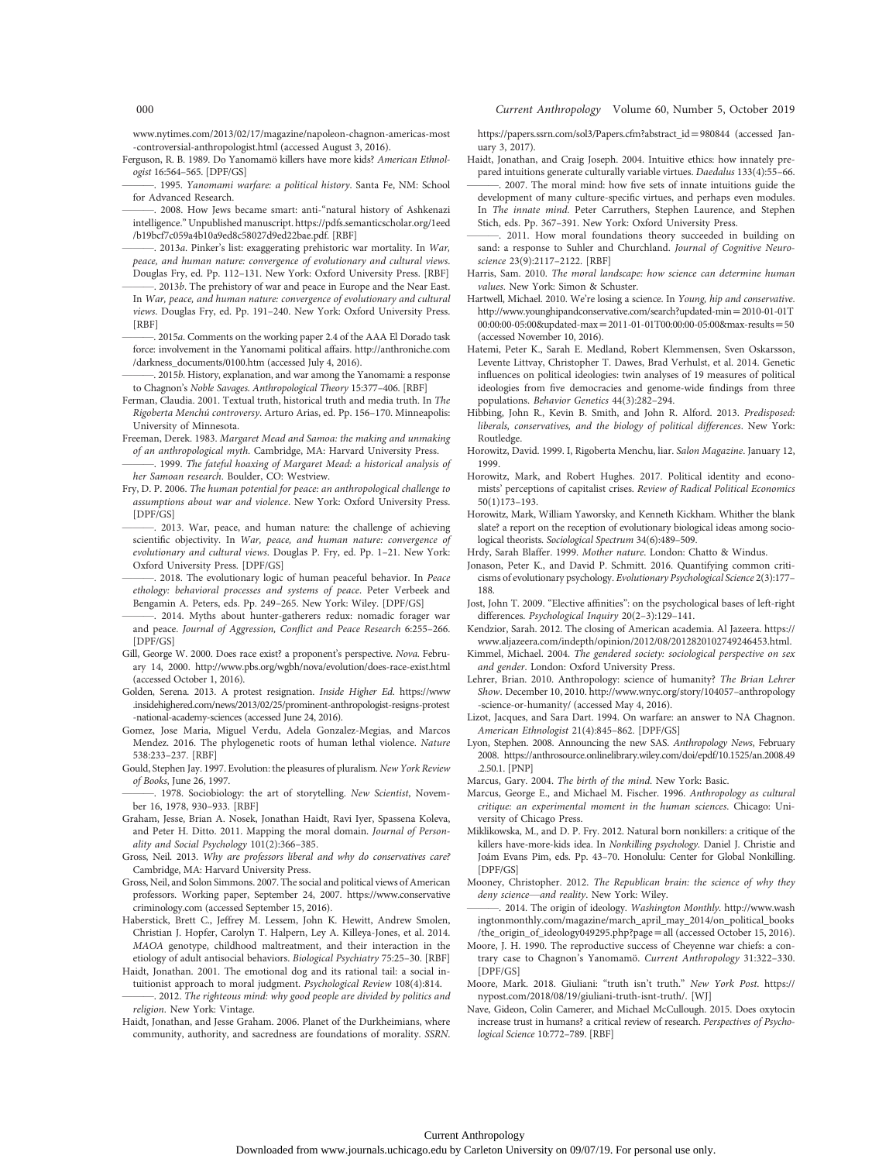www.nytimes.com/2013/02/17/magazine/napoleon-chagnon-americas-most -controversial-anthropologist.html (accessed August 3, 2016).

Ferguson, R. B. 1989. Do Yanomamö killers have more kids? American Ethnologist 16:564–565. [DPF/GS]

1995. Yanomami warfare: a political history. Santa Fe, NM: School for Advanced Research.

———. 2008. How Jews became smart: anti-"natural history of Ashkenazi intelligence." Unpublished manuscript. https://pdfs.semanticscholar.org/1eed /b19bcf7c059a4b10a9ed8c58027d9ed22bae.pdf. [RBF]

2013a. Pinker's list: exaggerating prehistoric war mortality. In War, peace, and human nature: convergence of evolutionary and cultural views. Douglas Fry, ed. Pp. 112–131. New York: Oxford University Press. [RBF]

 $2013b$ . The prehistory of war and peace in Europe and the Near East. In War, peace, and human nature: convergence of evolutionary and cultural views. Douglas Fry, ed. Pp. 191–240. New York: Oxford University Press. [RBF]

———. 2015a. Comments on the working paper 2.4 of the AAA El Dorado task force: involvement in the Yanomami political affairs. http://anthroniche.com /darkness\_documents/0100.htm (accessed July 4, 2016).

2015b. History, explanation, and war among the Yanomami: a response to Chagnon's Noble Savages. Anthropological Theory 15:377–406. [RBF]

Ferman, Claudia. 2001. Textual truth, historical truth and media truth. In The Rigoberta Menchú controversy. Arturo Arias, ed. Pp. 156–170. Minneapolis: University of Minnesota.

- Freeman, Derek. 1983. Margaret Mead and Samoa: the making and unmaking of an anthropological myth. Cambridge, MA: Harvard University Press.
- . 1999. The fateful hoaxing of Margaret Mead: a historical analysis of her Samoan research. Boulder, CO: Westview.
- Fry, D. P. 2006. The human potential for peace: an anthropological challenge to assumptions about war and violence. New York: Oxford University Press. [DPF/GS]
- 2013. War, peace, and human nature: the challenge of achieving scientific objectivity. In War, peace, and human nature: convergence of evolutionary and cultural views. Douglas P. Fry, ed. Pp. 1–21. New York: Oxford University Press. [DPF/GS]
- 2018. The evolutionary logic of human peaceful behavior. In Peace ethology: behavioral processes and systems of peace. Peter Verbeek and Bengamin A. Peters, eds. Pp. 249–265. New York: Wiley. [DPF/GS]

-. 2014. Myths about hunter-gatherers redux: nomadic forager war and peace. Journal of Aggression, Conflict and Peace Research 6:255–266. [DPF/GS]

- Gill, George W. 2000. Does race exist? a proponent's perspective. Nova. February 14, 2000. http://www.pbs.org/wgbh/nova/evolution/does-race-exist.html (accessed October 1, 2016).
- Golden, Serena. 2013. A protest resignation. Inside Higher Ed. https://www .insidehighered.com/news/2013/02/25/prominent-anthropologist-resigns-protest -national-academy-sciences (accessed June 24, 2016).
- Gomez, Jose Maria, Miguel Verdu, Adela Gonzalez-Megias, and Marcos Mendez. 2016. The phylogenetic roots of human lethal violence. Nature 538:233–237. [RBF]
- Gould, Stephen Jay. 1997. Evolution: the pleasures of pluralism. New York Review of Books, June 26, 1997.

-. 1978. Sociobiology: the art of storytelling. New Scientist, November 16, 1978, 930–933. [RBF]

- Graham, Jesse, Brian A. Nosek, Jonathan Haidt, Ravi Iyer, Spassena Koleva, and Peter H. Ditto. 2011. Mapping the moral domain. Journal of Personality and Social Psychology 101(2):366–385.
- Gross, Neil. 2013. Why are professors liberal and why do conservatives care? Cambridge, MA: Harvard University Press.
- Gross, Neil, and Solon Simmons. 2007. The social and political views of American professors. Working paper, September 24, 2007. https://www.conservative criminology.com (accessed September 15, 2016).
- Haberstick, Brett C., Jeffrey M. Lessem, John K. Hewitt, Andrew Smolen, Christian J. Hopfer, Carolyn T. Halpern, Ley A. Killeya-Jones, et al. 2014. MAOA genotype, childhood maltreatment, and their interaction in the etiology of adult antisocial behaviors. Biological Psychiatry 75:25–30. [RBF]
- Haidt, Jonathan. 2001. The emotional dog and its rational tail: a social intuitionist approach to moral judgment. Psychological Review 108(4):814. -. 2012. The righteous mind: why good people are divided by politics and
- religion. New York: Vintage. Haidt, Jonathan, and Jesse Graham. 2006. Planet of the Durkheimians, where
- community, authority, and sacredness are foundations of morality. SSRN.

https://papers.ssrn.com/sol3/Papers.cfm?abstract\_id=980844 (accessed January 3, 2017).

- Haidt, Jonathan, and Craig Joseph. 2004. Intuitive ethics: how innately prepared intuitions generate culturally variable virtues. Daedalus 133(4):55–66.
- ———. 2007. The moral mind: how five sets of innate intuitions guide the development of many culture-specific virtues, and perhaps even modules. In The innate mind. Peter Carruthers, Stephen Laurence, and Stephen Stich, eds. Pp. 367–391. New York: Oxford University Press.
- ———. 2011. How moral foundations theory succeeded in building on sand: a response to Suhler and Churchland. Journal of Cognitive Neuroscience 23(9):2117–2122. [RBF]
- Harris, Sam. 2010. The moral landscape: how science can determine human values. New York: Simon & Schuster.
- Hartwell, Michael. 2010. We're losing a science. In Young, hip and conservative. http://www.younghipandconservative.com/search?updated-min=2010-01-01T 00:00:00-05:00&updated-max = 2011-01-01T00:00:00-05:00&max-results = 50 (accessed November 10, 2016).
- Hatemi, Peter K., Sarah E. Medland, Robert Klemmensen, Sven Oskarsson, Levente Littvay, Christopher T. Dawes, Brad Verhulst, et al. 2014. Genetic influences on political ideologies: twin analyses of 19 measures of political ideologies from five democracies and genome-wide findings from three populations. Behavior Genetics 44(3):282–294.
- Hibbing, John R., Kevin B. Smith, and John R. Alford. 2013. Predisposed: liberals, conservatives, and the biology of political differences. New York: Routledge.
- Horowitz, David. 1999. I, Rigoberta Menchu, liar. Salon Magazine. January 12, 1999.
- Horowitz, Mark, and Robert Hughes. 2017. Political identity and economists' perceptions of capitalist crises. Review of Radical Political Economics 50(1)173–193.
- Horowitz, Mark, William Yaworsky, and Kenneth Kickham. Whither the blank slate? a report on the reception of evolutionary biological ideas among sociological theorists. Sociological Spectrum 34(6):489–509.

Hrdy, Sarah Blaffer. 1999. Mother nature. London: Chatto & Windus.

Jonason, Peter K., and David P. Schmitt. 2016. Quantifying common criticisms of evolutionary psychology. Evolutionary Psychological Science 2(3):177– 188.

- Jost, John T. 2009. "Elective affinities": on the psychological bases of left-right differences. Psychological Inquiry 20(2–3):129–141.
- Kendzior, Sarah. 2012. The closing of American academia. Al Jazeera. https:// www.aljazeera.com/indepth/opinion/2012/08/2012820102749246453.html.
- Kimmel, Michael. 2004. The gendered society: sociological perspective on sex and gender. London: Oxford University Press.
- Lehrer, Brian. 2010. Anthropology: science of humanity? The Brian Lehrer Show. December 10, 2010. http://www.wnyc.org/story/104057–anthropology -science-or-humanity/ (accessed May 4, 2016).
- Lizot, Jacques, and Sara Dart. 1994. On warfare: an answer to NA Chagnon. American Ethnologist 21(4):845–862. [DPF/GS]
- Lyon, Stephen. 2008. Announcing the new SAS. Anthropology News, February 2008. https://anthrosource.onlinelibrary.wiley.com/doi/epdf/10.1525/an.2008.49 .2.50.1. [PNP]
- Marcus, Gary. 2004. The birth of the mind. New York: Basic.
- Marcus, George E., and Michael M. Fischer. 1996. Anthropology as cultural critique: an experimental moment in the human sciences. Chicago: University of Chicago Press.
- Miklikowska, M., and D. P. Fry. 2012. Natural born nonkillers: a critique of the killers have-more-kids idea. In Nonkilling psychology. Daniel J. Christie and Joám Evans Pim, eds. Pp. 43–70. Honolulu: Center for Global Nonkilling. [DPF/GS]
- Mooney, Christopher. 2012. The Republican brain: the science of why they deny science—and reality. New York: Wiley.
- 2014. The origin of ideology. Washington Monthly. http://www.wash ingtonmonthly.com/magazine/march\_april\_may\_2014/on\_political\_books /the\_origin\_of\_ideology049295.php?page = all (accessed October 15, 2016).
- Moore, J. H. 1990. The reproductive success of Cheyenne war chiefs: a contrary case to Chagnon's Yanomamö. Current Anthropology 31:322–330. [DPF/GS]
- Moore, Mark. 2018. Giuliani: "truth isn't truth." New York Post. https:// nypost.com/2018/08/19/giuliani-truth-isnt-truth/. [WJ]
- Nave, Gideon, Colin Camerer, and Michael McCullough. 2015. Does oxytocin increase trust in humans? a critical review of research. Perspectives of Psychological Science 10:772–789. [RBF]